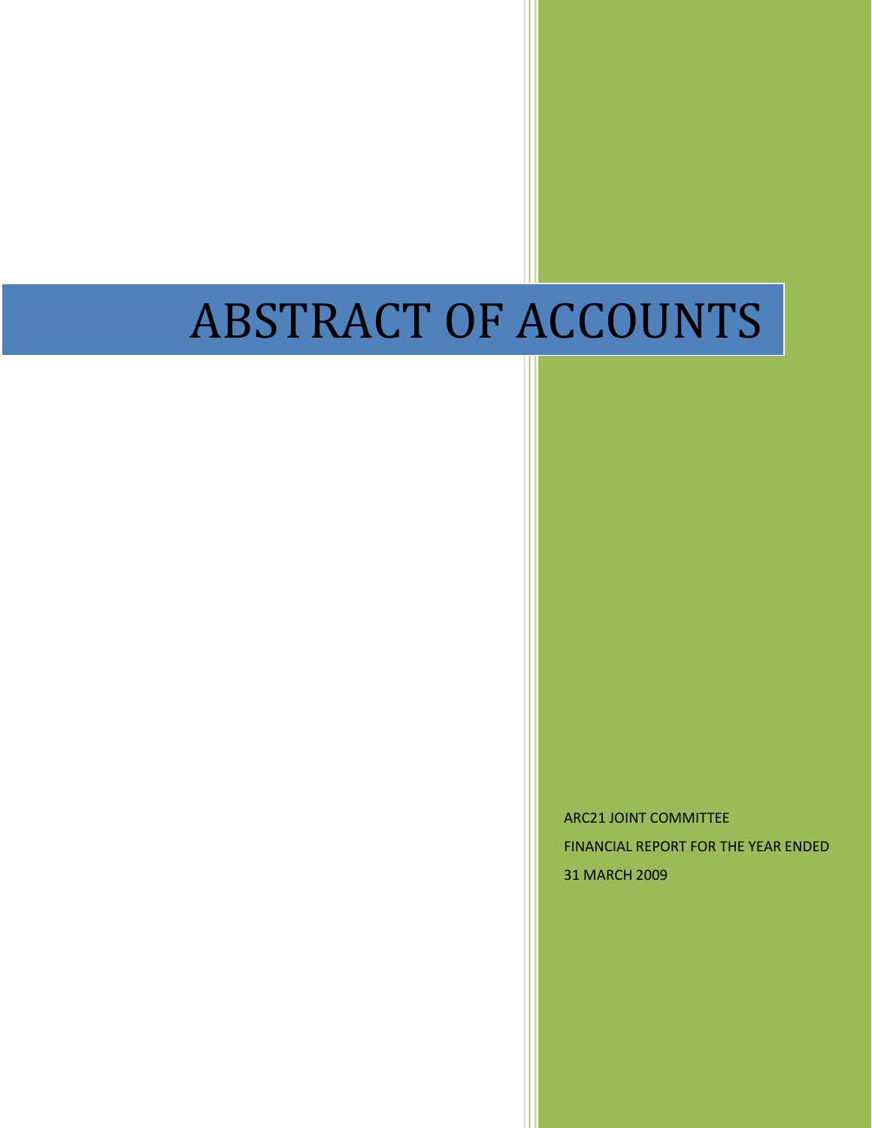# ABSTRACT OF ACCOUNTS

ARC21 JOINT COMMITTEE FINANCIAL REPORT FOR THE YEAR ENDED 31 MARCH 2009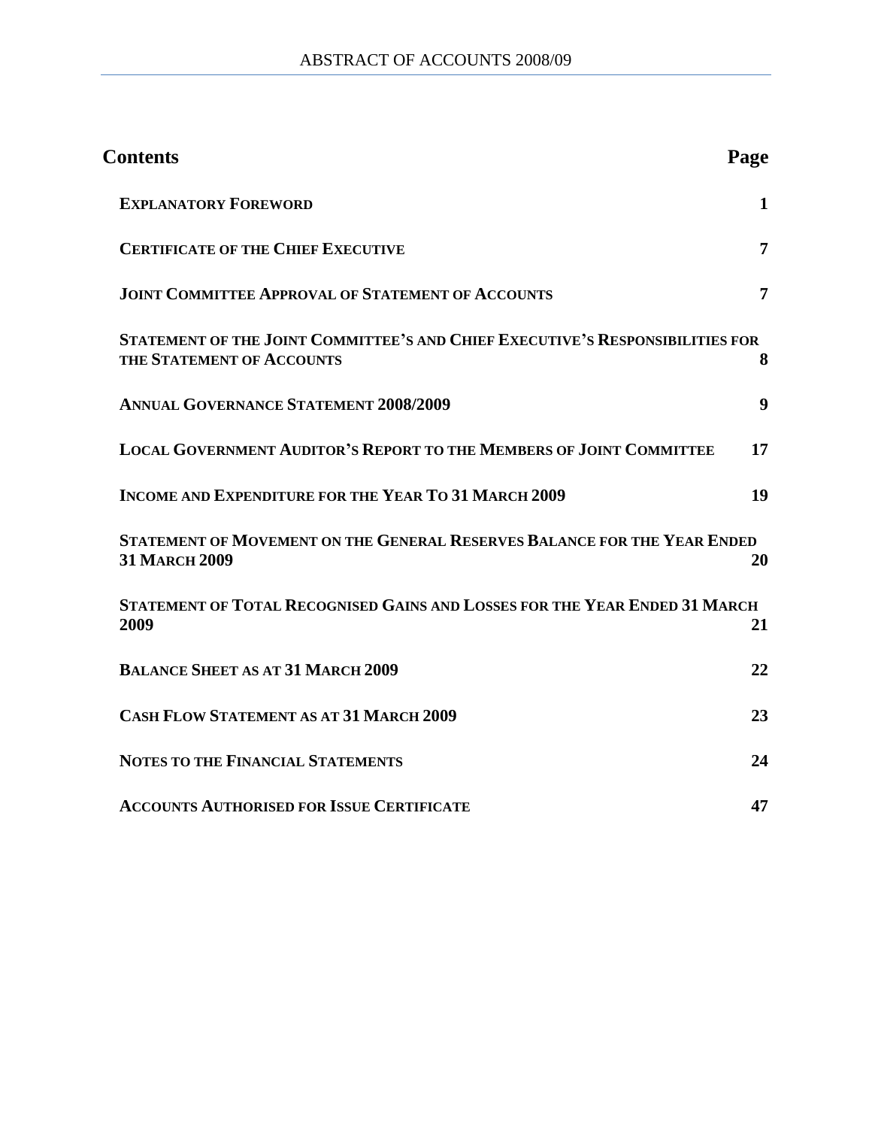| <b>Contents</b>                                                                                            | Page         |
|------------------------------------------------------------------------------------------------------------|--------------|
| <b>EXPLANATORY FOREWORD</b>                                                                                | $\mathbf{1}$ |
| <b>CERTIFICATE OF THE CHIEF EXECUTIVE</b>                                                                  | 7            |
| <b>JOINT COMMITTEE APPROVAL OF STATEMENT OF ACCOUNTS</b>                                                   | 7            |
| STATEMENT OF THE JOINT COMMITTEE'S AND CHIEF EXECUTIVE'S RESPONSIBILITIES FOR<br>THE STATEMENT OF ACCOUNTS | 8            |
| <b>ANNUAL GOVERNANCE STATEMENT 2008/2009</b>                                                               | 9            |
| <b>LOCAL GOVERNMENT AUDITOR'S REPORT TO THE MEMBERS OF JOINT COMMITTEE</b>                                 | 17           |
| <b>INCOME AND EXPENDITURE FOR THE YEAR TO 31 MARCH 2009</b>                                                | 19           |
| STATEMENT OF MOVEMENT ON THE GENERAL RESERVES BALANCE FOR THE YEAR ENDED<br><b>31 MARCH 2009</b>           | 20           |
| STATEMENT OF TOTAL RECOGNISED GAINS AND LOSSES FOR THE YEAR ENDED 31 MARCH<br>2009                         | 21           |
| <b>BALANCE SHEET AS AT 31 MARCH 2009</b>                                                                   | 22           |
| <b>CASH FLOW STATEMENT AS AT 31 MARCH 2009</b>                                                             | 23           |
| <b>NOTES TO THE FINANCIAL STATEMENTS</b>                                                                   | 24           |
| <b>ACCOUNTS AUTHORISED FOR ISSUE CERTIFICATE</b>                                                           | 47           |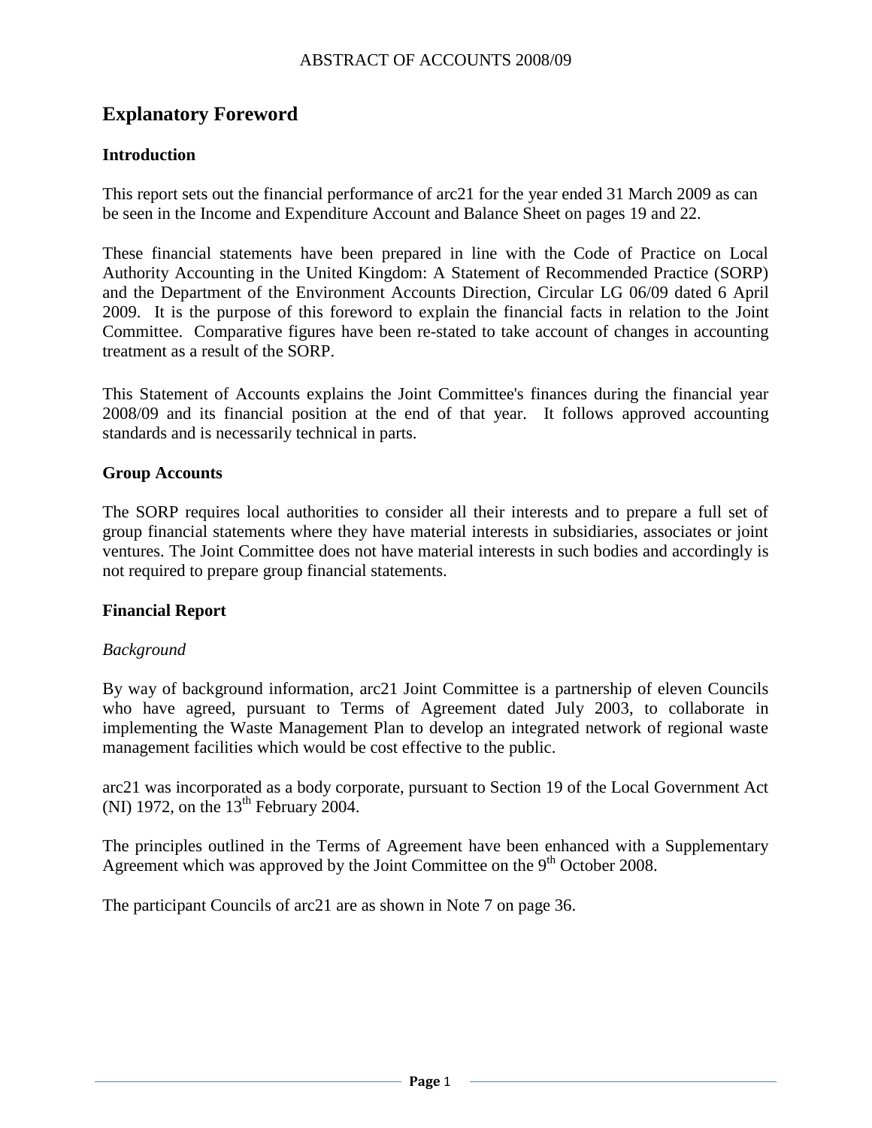# <span id="page-2-0"></span>**Explanatory Foreword**

## **Introduction**

This report sets out the financial performance of arc21 for the year ended 31 March 2009 as can be seen in the Income and Expenditure Account and Balance Sheet on pages 19 and 22.

These financial statements have been prepared in line with the Code of Practice on Local Authority Accounting in the United Kingdom: A Statement of Recommended Practice (SORP) and the Department of the Environment Accounts Direction, Circular LG 06/09 dated 6 April 2009. It is the purpose of this foreword to explain the financial facts in relation to the Joint Committee. Comparative figures have been re-stated to take account of changes in accounting treatment as a result of the SORP.

This Statement of Accounts explains the Joint Committee's finances during the financial year 2008/09 and its financial position at the end of that year. It follows approved accounting standards and is necessarily technical in parts.

#### **Group Accounts**

The SORP requires local authorities to consider all their interests and to prepare a full set of group financial statements where they have material interests in subsidiaries, associates or joint ventures. The Joint Committee does not have material interests in such bodies and accordingly is not required to prepare group financial statements.

#### **Financial Report**

#### *Background*

By way of background information, arc21 Joint Committee is a partnership of eleven Councils who have agreed, pursuant to Terms of Agreement dated July 2003, to collaborate in implementing the Waste Management Plan to develop an integrated network of regional waste management facilities which would be cost effective to the public.

arc21 was incorporated as a body corporate, pursuant to Section 19 of the Local Government Act (NI) 1972, on the  $13<sup>th</sup>$  February 2004.

The principles outlined in the Terms of Agreement have been enhanced with a Supplementary Agreement which was approved by the Joint Committee on the 9<sup>th</sup> October 2008.

The participant Councils of arc21 are as shown in Note 7 on page 36.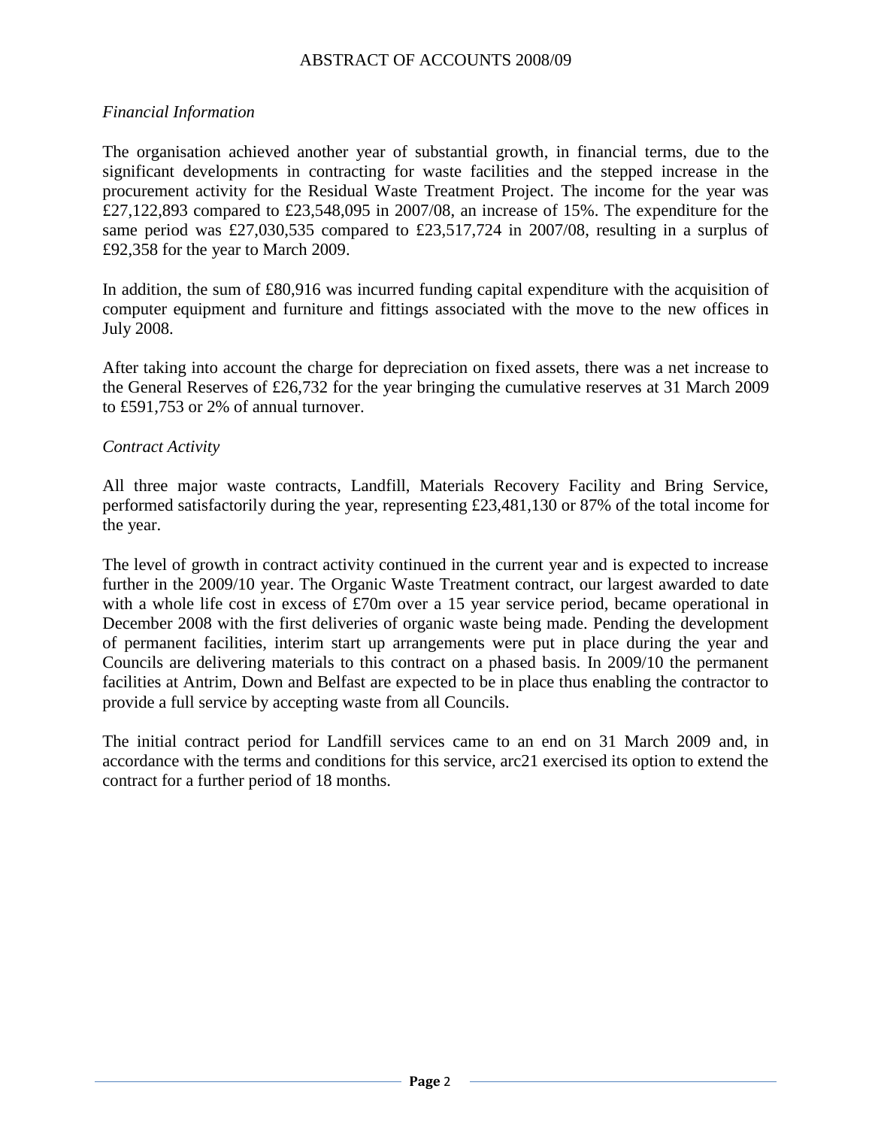#### *Financial Information*

The organisation achieved another year of substantial growth, in financial terms, due to the significant developments in contracting for waste facilities and the stepped increase in the procurement activity for the Residual Waste Treatment Project. The income for the year was £27,122,893 compared to £23,548,095 in 2007/08, an increase of 15%. The expenditure for the same period was £27,030,535 compared to £23,517,724 in 2007/08, resulting in a surplus of £92,358 for the year to March 2009.

In addition, the sum of £80,916 was incurred funding capital expenditure with the acquisition of computer equipment and furniture and fittings associated with the move to the new offices in July 2008.

After taking into account the charge for depreciation on fixed assets, there was a net increase to the General Reserves of £26,732 for the year bringing the cumulative reserves at 31 March 2009 to £591,753 or 2% of annual turnover.

#### *Contract Activity*

All three major waste contracts, Landfill, Materials Recovery Facility and Bring Service, performed satisfactorily during the year, representing £23,481,130 or 87% of the total income for the year.

The level of growth in contract activity continued in the current year and is expected to increase further in the 2009/10 year. The Organic Waste Treatment contract, our largest awarded to date with a whole life cost in excess of £70m over a 15 year service period, became operational in December 2008 with the first deliveries of organic waste being made. Pending the development of permanent facilities, interim start up arrangements were put in place during the year and Councils are delivering materials to this contract on a phased basis. In 2009/10 the permanent facilities at Antrim, Down and Belfast are expected to be in place thus enabling the contractor to provide a full service by accepting waste from all Councils.

The initial contract period for Landfill services came to an end on 31 March 2009 and, in accordance with the terms and conditions for this service, arc21 exercised its option to extend the contract for a further period of 18 months.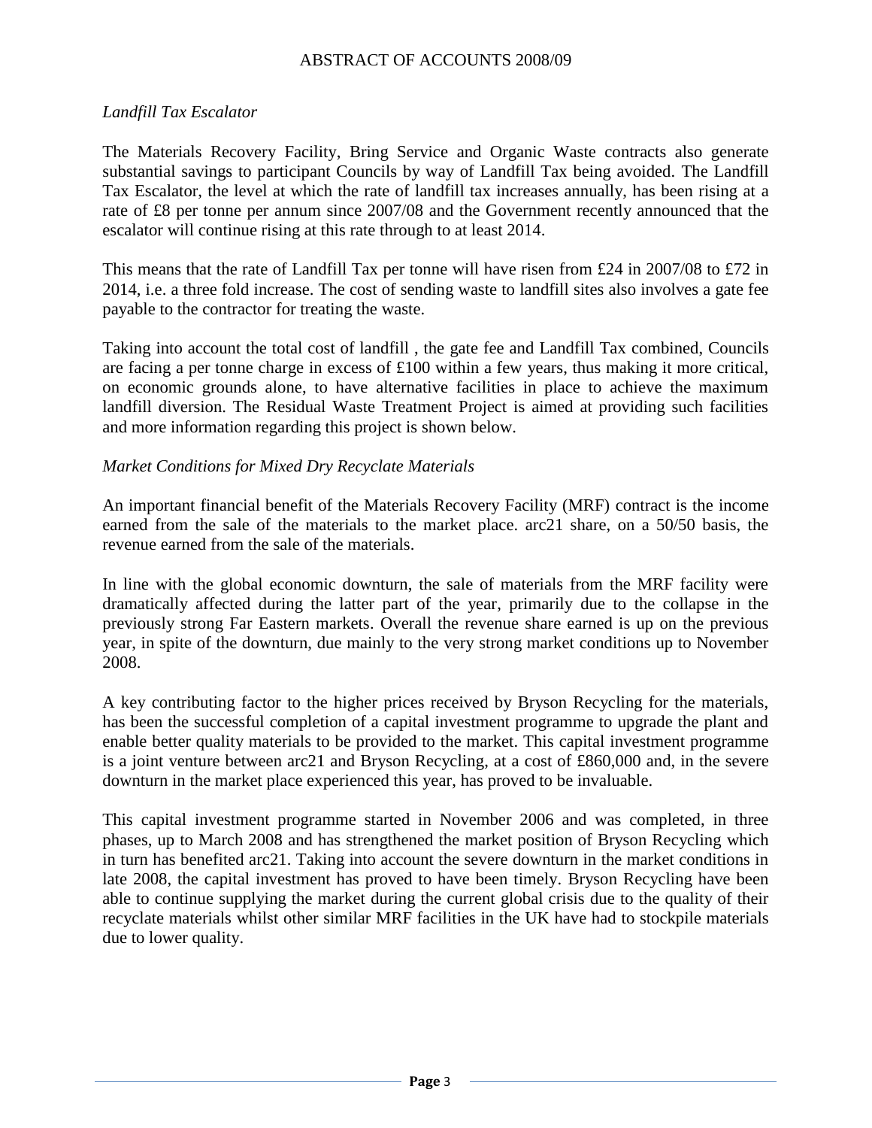#### *Landfill Tax Escalator*

The Materials Recovery Facility, Bring Service and Organic Waste contracts also generate substantial savings to participant Councils by way of Landfill Tax being avoided. The Landfill Tax Escalator, the level at which the rate of landfill tax increases annually, has been rising at a rate of £8 per tonne per annum since 2007/08 and the Government recently announced that the escalator will continue rising at this rate through to at least 2014.

This means that the rate of Landfill Tax per tonne will have risen from £24 in 2007/08 to £72 in 2014, i.e. a three fold increase. The cost of sending waste to landfill sites also involves a gate fee payable to the contractor for treating the waste.

Taking into account the total cost of landfill , the gate fee and Landfill Tax combined, Councils are facing a per tonne charge in excess of £100 within a few years, thus making it more critical, on economic grounds alone, to have alternative facilities in place to achieve the maximum landfill diversion. The Residual Waste Treatment Project is aimed at providing such facilities and more information regarding this project is shown below.

#### *Market Conditions for Mixed Dry Recyclate Materials*

An important financial benefit of the Materials Recovery Facility (MRF) contract is the income earned from the sale of the materials to the market place. arc21 share, on a 50/50 basis, the revenue earned from the sale of the materials.

In line with the global economic downturn, the sale of materials from the MRF facility were dramatically affected during the latter part of the year, primarily due to the collapse in the previously strong Far Eastern markets. Overall the revenue share earned is up on the previous year, in spite of the downturn, due mainly to the very strong market conditions up to November 2008.

A key contributing factor to the higher prices received by Bryson Recycling for the materials, has been the successful completion of a capital investment programme to upgrade the plant and enable better quality materials to be provided to the market. This capital investment programme is a joint venture between arc21 and Bryson Recycling, at a cost of £860,000 and, in the severe downturn in the market place experienced this year, has proved to be invaluable.

This capital investment programme started in November 2006 and was completed, in three phases, up to March 2008 and has strengthened the market position of Bryson Recycling which in turn has benefited arc21. Taking into account the severe downturn in the market conditions in late 2008, the capital investment has proved to have been timely. Bryson Recycling have been able to continue supplying the market during the current global crisis due to the quality of their recyclate materials whilst other similar MRF facilities in the UK have had to stockpile materials due to lower quality.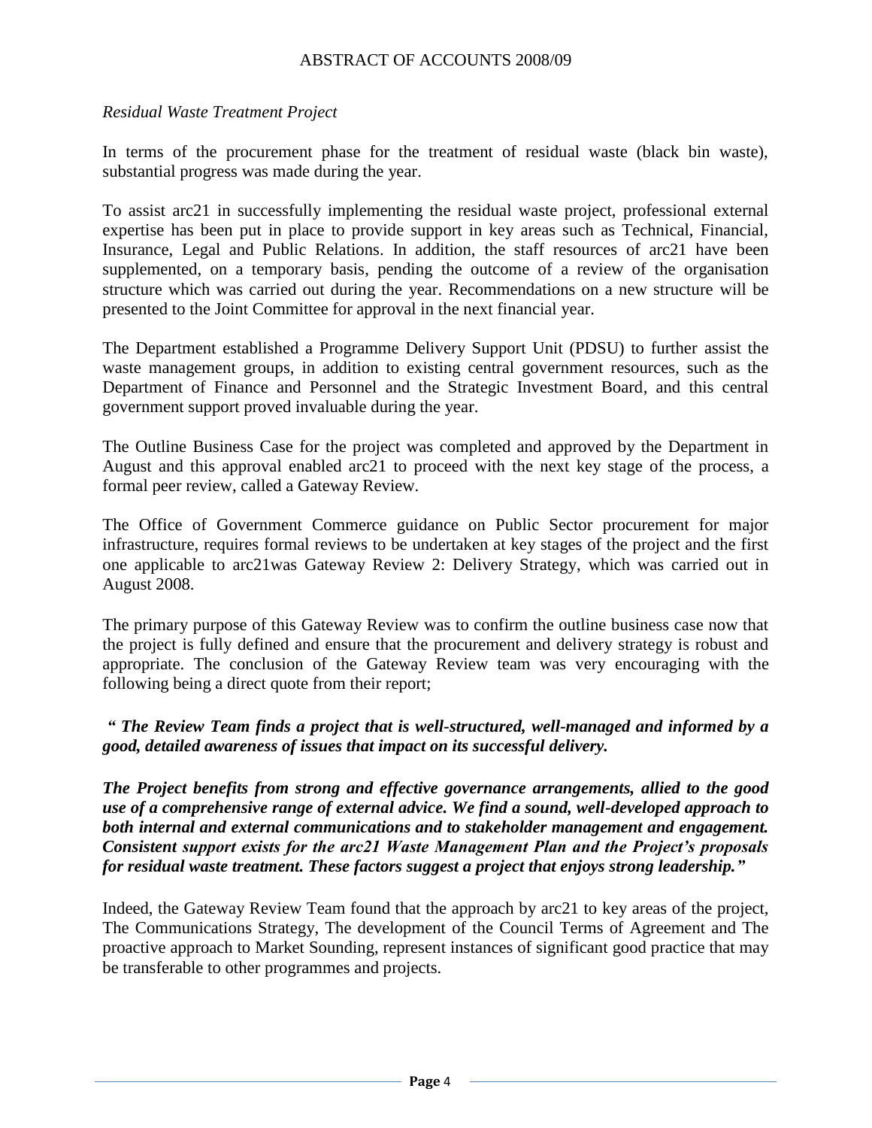#### *Residual Waste Treatment Project*

In terms of the procurement phase for the treatment of residual waste (black bin waste), substantial progress was made during the year.

To assist arc21 in successfully implementing the residual waste project, professional external expertise has been put in place to provide support in key areas such as Technical, Financial, Insurance, Legal and Public Relations. In addition, the staff resources of arc21 have been supplemented, on a temporary basis, pending the outcome of a review of the organisation structure which was carried out during the year. Recommendations on a new structure will be presented to the Joint Committee for approval in the next financial year.

The Department established a Programme Delivery Support Unit (PDSU) to further assist the waste management groups, in addition to existing central government resources, such as the Department of Finance and Personnel and the Strategic Investment Board, and this central government support proved invaluable during the year.

The Outline Business Case for the project was completed and approved by the Department in August and this approval enabled arc21 to proceed with the next key stage of the process, a formal peer review, called a Gateway Review.

The Office of Government Commerce guidance on Public Sector procurement for major infrastructure, requires formal reviews to be undertaken at key stages of the project and the first one applicable to arc21was Gateway Review 2: Delivery Strategy, which was carried out in August 2008.

The primary purpose of this Gateway Review was to confirm the outline business case now that the project is fully defined and ensure that the procurement and delivery strategy is robust and appropriate. The conclusion of the Gateway Review team was very encouraging with the following being a direct quote from their report;

*" The Review Team finds a project that is well-structured, well-managed and informed by a good, detailed awareness of issues that impact on its successful delivery.*

*The Project benefits from strong and effective governance arrangements, allied to the good use of a comprehensive range of external advice. We find a sound, well-developed approach to both internal and external communications and to stakeholder management and engagement. Consistent support exists for the arc21 Waste Management Plan and the Project's proposals for residual waste treatment. These factors suggest a project that enjoys strong leadership."*

Indeed, the Gateway Review Team found that the approach by arc21 to key areas of the project, The Communications Strategy, The development of the Council Terms of Agreement and The proactive approach to Market Sounding, represent instances of significant good practice that may be transferable to other programmes and projects.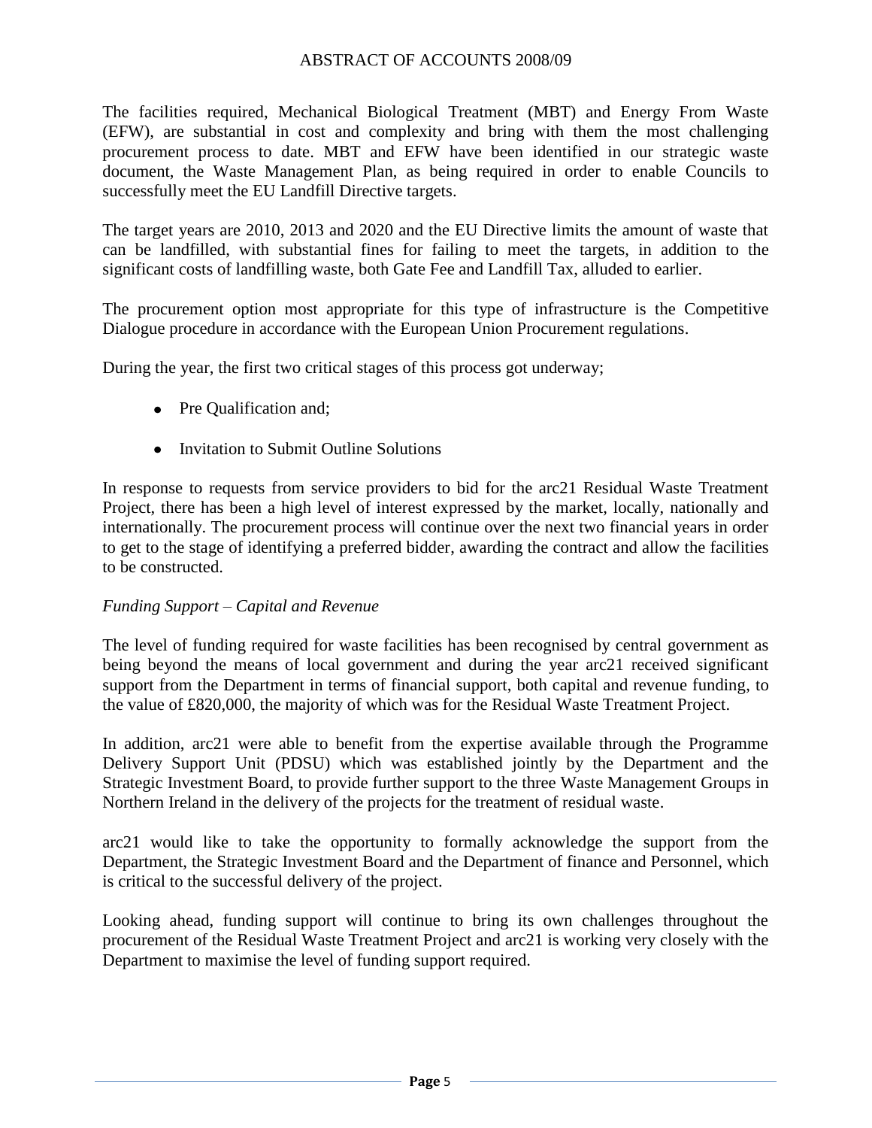The facilities required, Mechanical Biological Treatment (MBT) and Energy From Waste (EFW), are substantial in cost and complexity and bring with them the most challenging procurement process to date. MBT and EFW have been identified in our strategic waste document, the Waste Management Plan, as being required in order to enable Councils to successfully meet the EU Landfill Directive targets.

The target years are 2010, 2013 and 2020 and the EU Directive limits the amount of waste that can be landfilled, with substantial fines for failing to meet the targets, in addition to the significant costs of landfilling waste, both Gate Fee and Landfill Tax, alluded to earlier.

The procurement option most appropriate for this type of infrastructure is the Competitive Dialogue procedure in accordance with the European Union Procurement regulations.

During the year, the first two critical stages of this process got underway;

- Pre Qualification and;
- Invitation to Submit Outline Solutions

In response to requests from service providers to bid for the arc21 Residual Waste Treatment Project, there has been a high level of interest expressed by the market, locally, nationally and internationally. The procurement process will continue over the next two financial years in order to get to the stage of identifying a preferred bidder, awarding the contract and allow the facilities to be constructed.

#### *Funding Support – Capital and Revenue*

The level of funding required for waste facilities has been recognised by central government as being beyond the means of local government and during the year arc21 received significant support from the Department in terms of financial support, both capital and revenue funding, to the value of £820,000, the majority of which was for the Residual Waste Treatment Project.

In addition, arc21 were able to benefit from the expertise available through the Programme Delivery Support Unit (PDSU) which was established jointly by the Department and the Strategic Investment Board, to provide further support to the three Waste Management Groups in Northern Ireland in the delivery of the projects for the treatment of residual waste.

arc21 would like to take the opportunity to formally acknowledge the support from the Department, the Strategic Investment Board and the Department of finance and Personnel, which is critical to the successful delivery of the project.

Looking ahead, funding support will continue to bring its own challenges throughout the procurement of the Residual Waste Treatment Project and arc21 is working very closely with the Department to maximise the level of funding support required.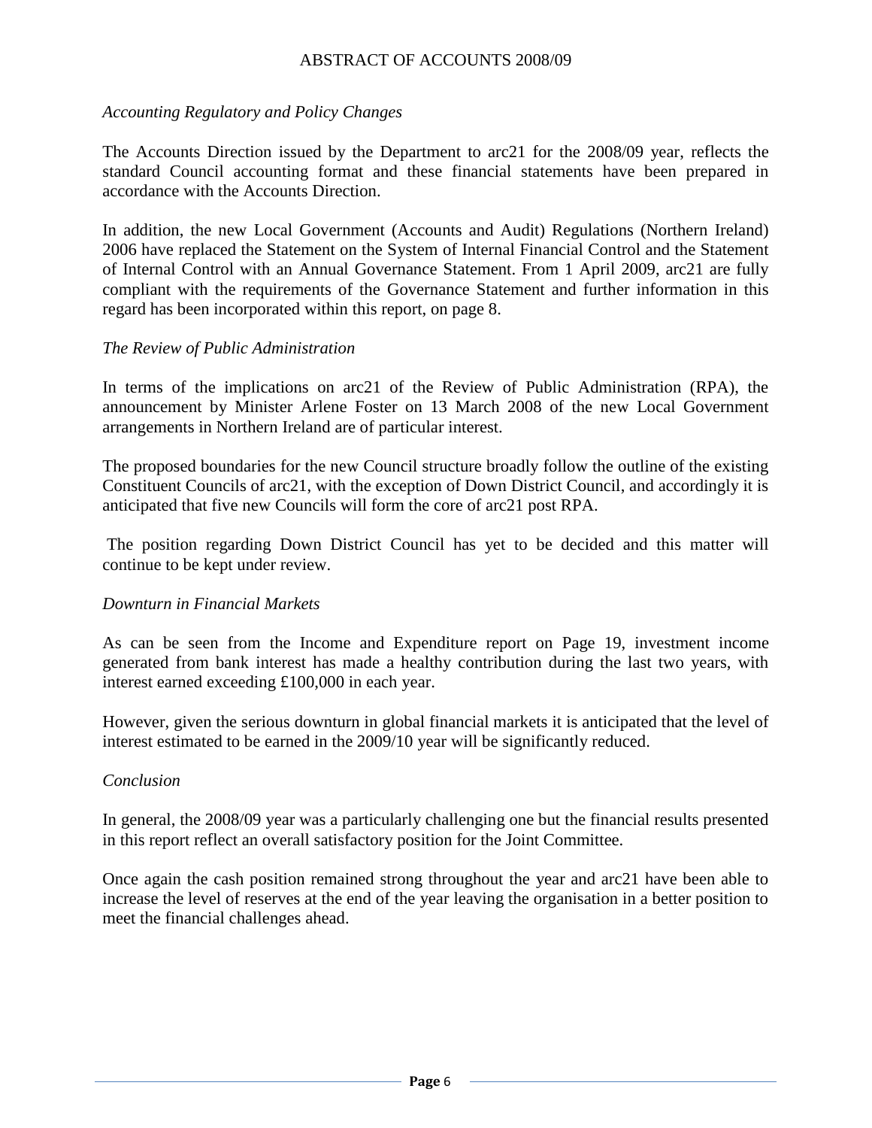#### *Accounting Regulatory and Policy Changes*

The Accounts Direction issued by the Department to arc21 for the 2008/09 year, reflects the standard Council accounting format and these financial statements have been prepared in accordance with the Accounts Direction.

In addition, the new Local Government (Accounts and Audit) Regulations (Northern Ireland) 2006 have replaced the Statement on the System of Internal Financial Control and the Statement of Internal Control with an Annual Governance Statement. From 1 April 2009, arc21 are fully compliant with the requirements of the Governance Statement and further information in this regard has been incorporated within this report, on page 8.

#### *The Review of Public Administration*

In terms of the implications on arc21 of the Review of Public Administration (RPA), the announcement by Minister Arlene Foster on 13 March 2008 of the new Local Government arrangements in Northern Ireland are of particular interest.

The proposed boundaries for the new Council structure broadly follow the outline of the existing Constituent Councils of arc21, with the exception of Down District Council, and accordingly it is anticipated that five new Councils will form the core of arc21 post RPA.

The position regarding Down District Council has yet to be decided and this matter will continue to be kept under review.

#### *Downturn in Financial Markets*

As can be seen from the Income and Expenditure report on Page 19, investment income generated from bank interest has made a healthy contribution during the last two years, with interest earned exceeding £100,000 in each year.

However, given the serious downturn in global financial markets it is anticipated that the level of interest estimated to be earned in the 2009/10 year will be significantly reduced.

#### *Conclusion*

In general, the 2008/09 year was a particularly challenging one but the financial results presented in this report reflect an overall satisfactory position for the Joint Committee.

Once again the cash position remained strong throughout the year and arc21 have been able to increase the level of reserves at the end of the year leaving the organisation in a better position to meet the financial challenges ahead.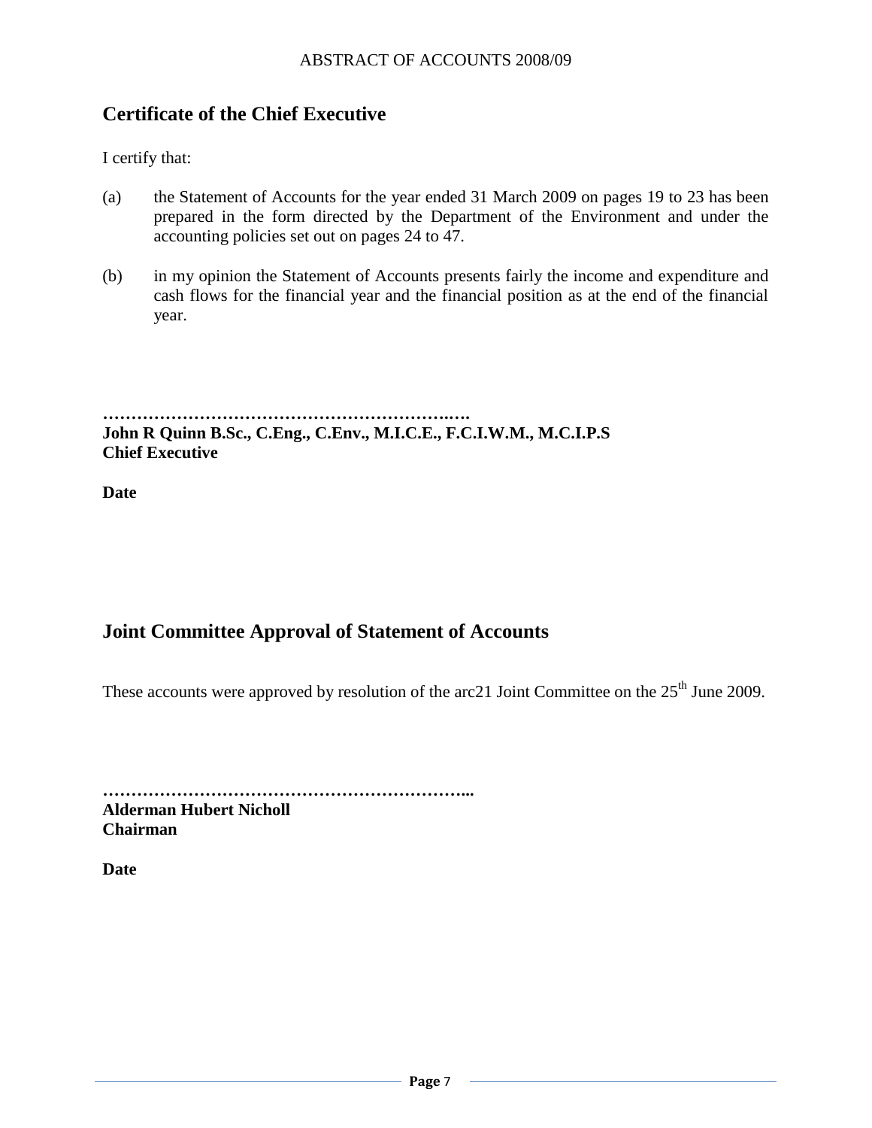# <span id="page-8-0"></span>**Certificate of the Chief Executive**

I certify that:

- (a) the Statement of Accounts for the year ended 31 March 2009 on pages 19 to 23 has been prepared in the form directed by the Department of the Environment and under the accounting policies set out on pages 24 to 47.
- (b) in my opinion the Statement of Accounts presents fairly the income and expenditure and cash flows for the financial year and the financial position as at the end of the financial year.

**…………………………………………………….…. John R Quinn B.Sc., C.Eng., C.Env., M.I.C.E., F.C.I.W.M., M.C.I.P.S Chief Executive**

**Date** 

# <span id="page-8-1"></span>**Joint Committee Approval of Statement of Accounts**

These accounts were approved by resolution of the arc21 Joint Committee on the  $25<sup>th</sup>$  June 2009.

**………………………………………………………...**

**Alderman Hubert Nicholl Chairman**

**Date**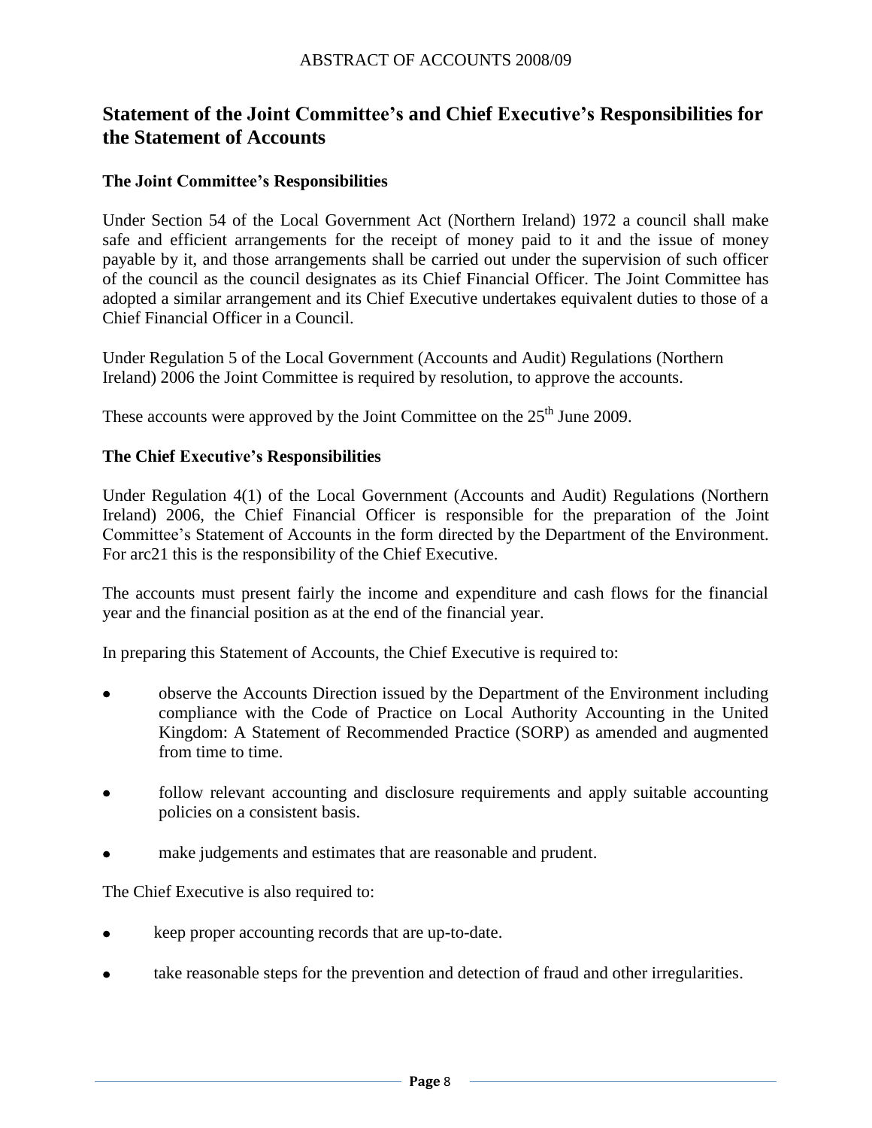# <span id="page-9-0"></span>**Statement of the Joint Committee's and Chief Executive's Responsibilities for the Statement of Accounts**

#### **The Joint Committee's Responsibilities**

Under Section 54 of the Local Government Act (Northern Ireland) 1972 a council shall make safe and efficient arrangements for the receipt of money paid to it and the issue of money payable by it, and those arrangements shall be carried out under the supervision of such officer of the council as the council designates as its Chief Financial Officer. The Joint Committee has adopted a similar arrangement and its Chief Executive undertakes equivalent duties to those of a Chief Financial Officer in a Council.

Under Regulation 5 of the Local Government (Accounts and Audit) Regulations (Northern Ireland) 2006 the Joint Committee is required by resolution, to approve the accounts.

These accounts were approved by the Joint Committee on the  $25<sup>th</sup>$  June 2009.

#### **The Chief Executive's Responsibilities**

Under Regulation 4(1) of the Local Government (Accounts and Audit) Regulations (Northern Ireland) 2006, the Chief Financial Officer is responsible for the preparation of the Joint Committee"s Statement of Accounts in the form directed by the Department of the Environment. For arc21 this is the responsibility of the Chief Executive.

The accounts must present fairly the income and expenditure and cash flows for the financial year and the financial position as at the end of the financial year.

In preparing this Statement of Accounts, the Chief Executive is required to:

- observe the Accounts Direction issued by the Department of the Environment including compliance with the Code of Practice on Local Authority Accounting in the United Kingdom: A Statement of Recommended Practice (SORP) as amended and augmented from time to time.
- follow relevant accounting and disclosure requirements and apply suitable accounting policies on a consistent basis.
- make judgements and estimates that are reasonable and prudent.

The Chief Executive is also required to:

- keep proper accounting records that are up-to-date.
- take reasonable steps for the prevention and detection of fraud and other irregularities. $\bullet$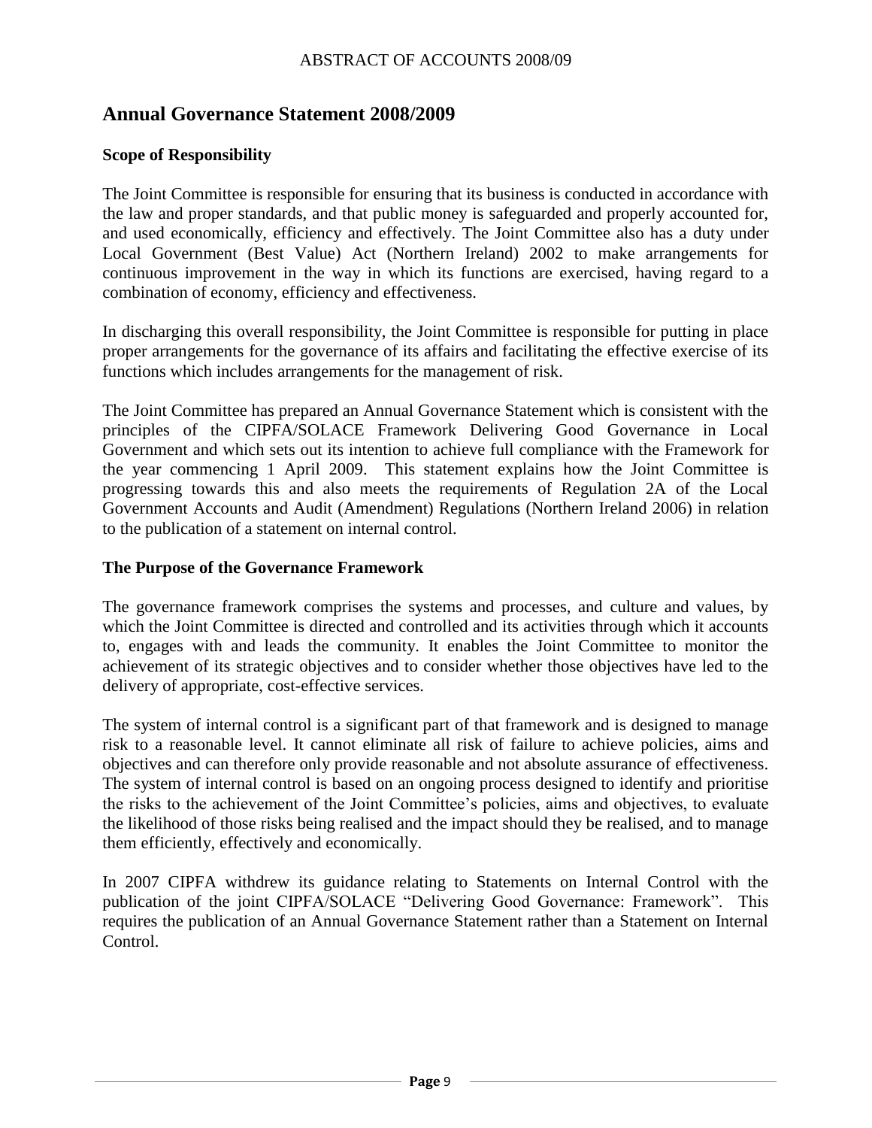# <span id="page-10-0"></span>**Annual Governance Statement 2008/2009**

#### **Scope of Responsibility**

The Joint Committee is responsible for ensuring that its business is conducted in accordance with the law and proper standards, and that public money is safeguarded and properly accounted for, and used economically, efficiency and effectively. The Joint Committee also has a duty under Local Government (Best Value) Act (Northern Ireland) 2002 to make arrangements for continuous improvement in the way in which its functions are exercised, having regard to a combination of economy, efficiency and effectiveness.

In discharging this overall responsibility, the Joint Committee is responsible for putting in place proper arrangements for the governance of its affairs and facilitating the effective exercise of its functions which includes arrangements for the management of risk.

The Joint Committee has prepared an Annual Governance Statement which is consistent with the principles of the CIPFA/SOLACE Framework Delivering Good Governance in Local Government and which sets out its intention to achieve full compliance with the Framework for the year commencing 1 April 2009. This statement explains how the Joint Committee is progressing towards this and also meets the requirements of Regulation 2A of the Local Government Accounts and Audit (Amendment) Regulations (Northern Ireland 2006) in relation to the publication of a statement on internal control.

#### **The Purpose of the Governance Framework**

The governance framework comprises the systems and processes, and culture and values, by which the Joint Committee is directed and controlled and its activities through which it accounts to, engages with and leads the community. It enables the Joint Committee to monitor the achievement of its strategic objectives and to consider whether those objectives have led to the delivery of appropriate, cost-effective services.

The system of internal control is a significant part of that framework and is designed to manage risk to a reasonable level. It cannot eliminate all risk of failure to achieve policies, aims and objectives and can therefore only provide reasonable and not absolute assurance of effectiveness. The system of internal control is based on an ongoing process designed to identify and prioritise the risks to the achievement of the Joint Committee"s policies, aims and objectives, to evaluate the likelihood of those risks being realised and the impact should they be realised, and to manage them efficiently, effectively and economically.

In 2007 CIPFA withdrew its guidance relating to Statements on Internal Control with the publication of the joint CIPFA/SOLACE "Delivering Good Governance: Framework". This requires the publication of an Annual Governance Statement rather than a Statement on Internal Control.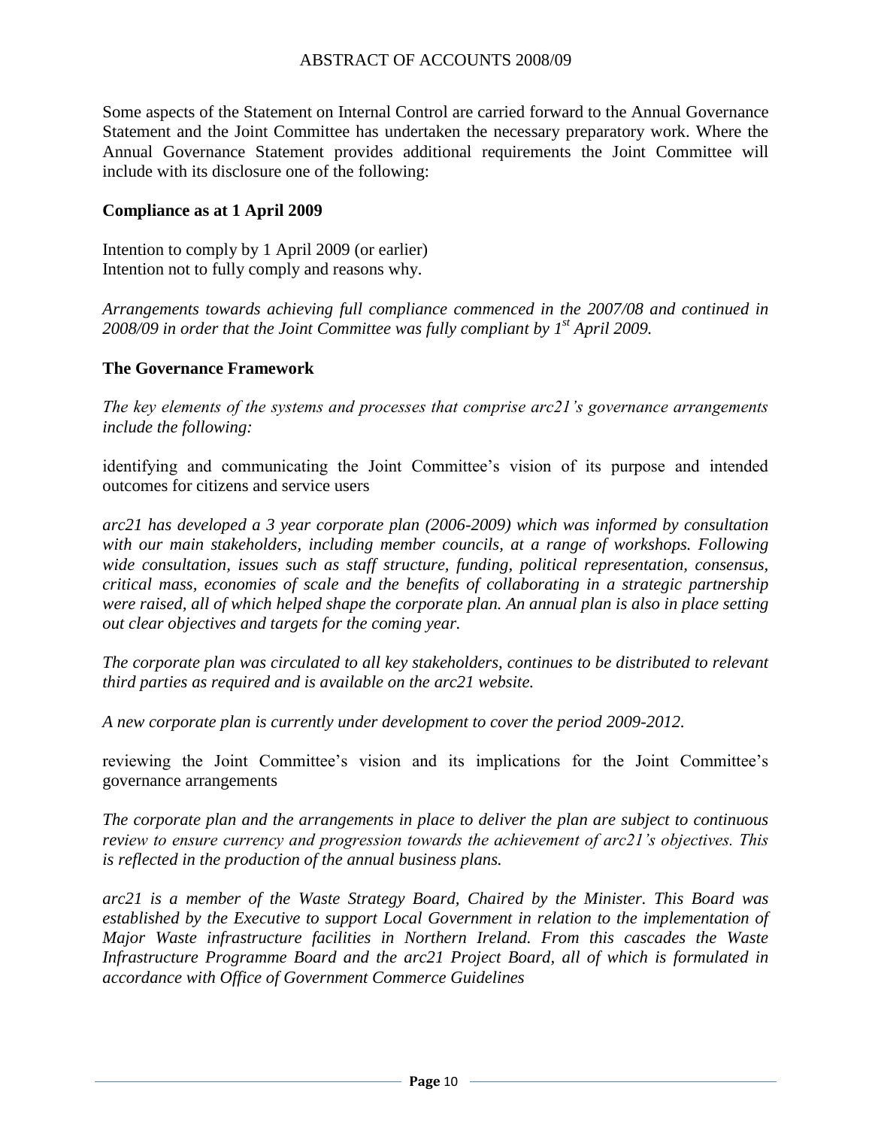Some aspects of the Statement on Internal Control are carried forward to the Annual Governance Statement and the Joint Committee has undertaken the necessary preparatory work. Where the Annual Governance Statement provides additional requirements the Joint Committee will include with its disclosure one of the following:

#### **Compliance as at 1 April 2009**

Intention to comply by 1 April 2009 (or earlier) Intention not to fully comply and reasons why.

*Arrangements towards achieving full compliance commenced in the 2007/08 and continued in 2008/09 in order that the Joint Committee was fully compliant by 1st April 2009.*

#### **The Governance Framework**

*The key elements of the systems and processes that comprise arc21"s governance arrangements include the following:*

identifying and communicating the Joint Committee"s vision of its purpose and intended outcomes for citizens and service users

*arc21 has developed a 3 year corporate plan (2006-2009) which was informed by consultation with our main stakeholders, including member councils, at a range of workshops. Following wide consultation, issues such as staff structure, funding, political representation, consensus, critical mass, economies of scale and the benefits of collaborating in a strategic partnership were raised, all of which helped shape the corporate plan. An annual plan is also in place setting out clear objectives and targets for the coming year.* 

*The corporate plan was circulated to all key stakeholders, continues to be distributed to relevant third parties as required and is available on the arc21 website.*

*A new corporate plan is currently under development to cover the period 2009-2012.*

reviewing the Joint Committee"s vision and its implications for the Joint Committee"s governance arrangements

*The corporate plan and the arrangements in place to deliver the plan are subject to continuous review to ensure currency and progression towards the achievement of arc21"s objectives. This is reflected in the production of the annual business plans.* 

*arc21 is a member of the Waste Strategy Board, Chaired by the Minister. This Board was established by the Executive to support Local Government in relation to the implementation of Major Waste infrastructure facilities in Northern Ireland. From this cascades the Waste Infrastructure Programme Board and the arc21 Project Board, all of which is formulated in accordance with Office of Government Commerce Guidelines*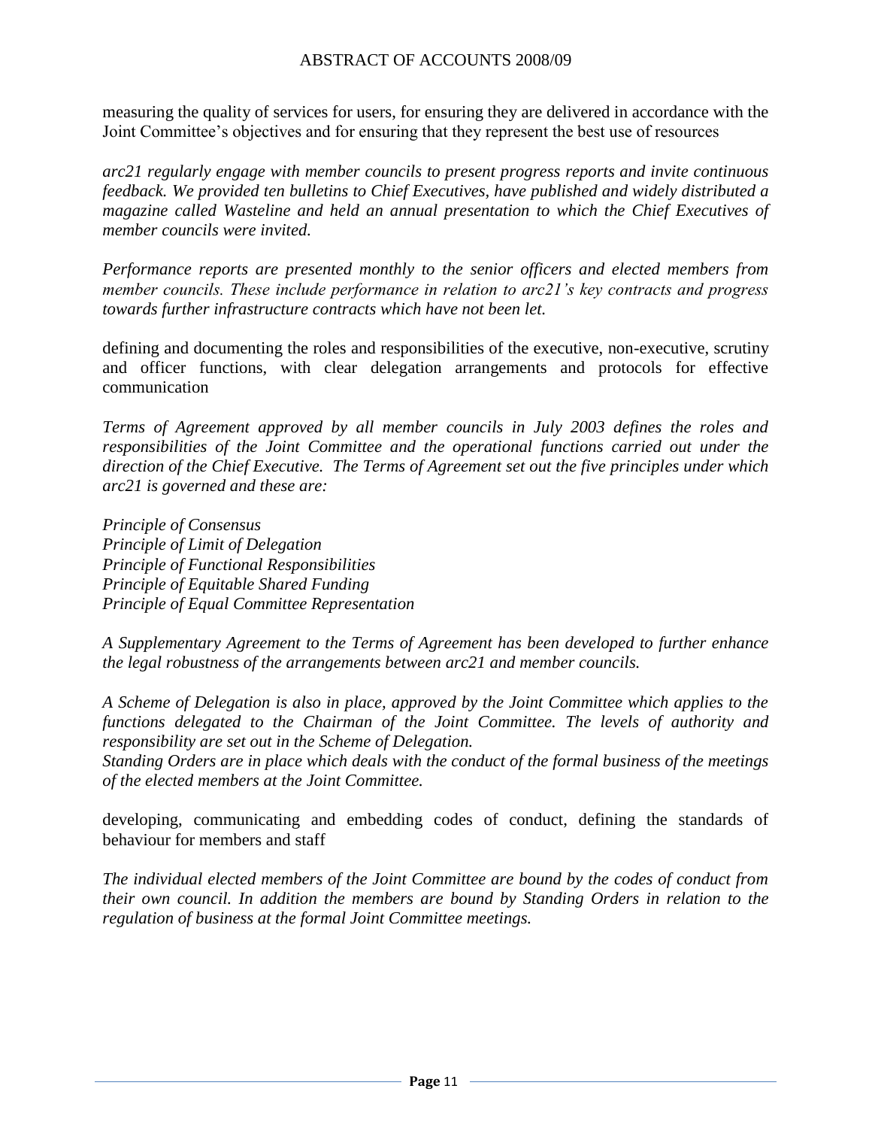measuring the quality of services for users, for ensuring they are delivered in accordance with the Joint Committee"s objectives and for ensuring that they represent the best use of resources

*arc21 regularly engage with member councils to present progress reports and invite continuous feedback. We provided ten bulletins to Chief Executives, have published and widely distributed a magazine called Wasteline and held an annual presentation to which the Chief Executives of member councils were invited.* 

*Performance reports are presented monthly to the senior officers and elected members from member councils. These include performance in relation to arc21"s key contracts and progress towards further infrastructure contracts which have not been let.* 

defining and documenting the roles and responsibilities of the executive, non-executive, scrutiny and officer functions, with clear delegation arrangements and protocols for effective communication

*Terms of Agreement approved by all member councils in July 2003 defines the roles and responsibilities of the Joint Committee and the operational functions carried out under the direction of the Chief Executive. The Terms of Agreement set out the five principles under which arc21 is governed and these are:*

*Principle of Consensus Principle of Limit of Delegation Principle of Functional Responsibilities Principle of Equitable Shared Funding Principle of Equal Committee Representation*

*A Supplementary Agreement to the Terms of Agreement has been developed to further enhance the legal robustness of the arrangements between arc21 and member councils.*

*A Scheme of Delegation is also in place, approved by the Joint Committee which applies to the functions delegated to the Chairman of the Joint Committee. The levels of authority and responsibility are set out in the Scheme of Delegation.*

*Standing Orders are in place which deals with the conduct of the formal business of the meetings of the elected members at the Joint Committee.*

developing, communicating and embedding codes of conduct, defining the standards of behaviour for members and staff

*The individual elected members of the Joint Committee are bound by the codes of conduct from their own council. In addition the members are bound by Standing Orders in relation to the regulation of business at the formal Joint Committee meetings.*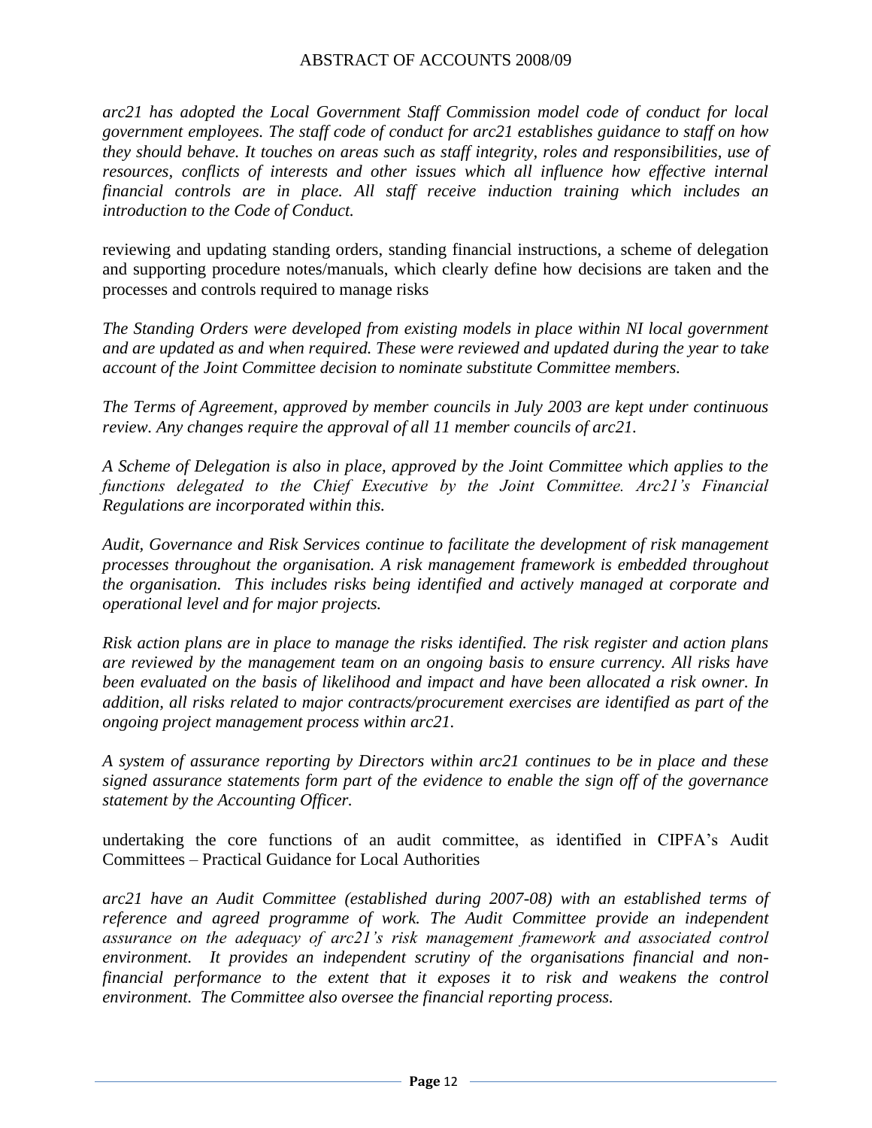*arc21 has adopted the Local Government Staff Commission model code of conduct for local government employees. The staff code of conduct for arc21 establishes guidance to staff on how they should behave. It touches on areas such as staff integrity, roles and responsibilities, use of resources, conflicts of interests and other issues which all influence how effective internal financial controls are in place. All staff receive induction training which includes an introduction to the Code of Conduct.*

reviewing and updating standing orders, standing financial instructions, a scheme of delegation and supporting procedure notes/manuals, which clearly define how decisions are taken and the processes and controls required to manage risks

*The Standing Orders were developed from existing models in place within NI local government and are updated as and when required. These were reviewed and updated during the year to take account of the Joint Committee decision to nominate substitute Committee members.*

*The Terms of Agreement, approved by member councils in July 2003 are kept under continuous review. Any changes require the approval of all 11 member councils of arc21.* 

*A Scheme of Delegation is also in place, approved by the Joint Committee which applies to the functions delegated to the Chief Executive by the Joint Committee. Arc21"s Financial Regulations are incorporated within this.* 

*Audit, Governance and Risk Services continue to facilitate the development of risk management processes throughout the organisation. A risk management framework is embedded throughout the organisation. This includes risks being identified and actively managed at corporate and operational level and for major projects.* 

*Risk action plans are in place to manage the risks identified. The risk register and action plans are reviewed by the management team on an ongoing basis to ensure currency. All risks have been evaluated on the basis of likelihood and impact and have been allocated a risk owner. In addition, all risks related to major contracts/procurement exercises are identified as part of the ongoing project management process within arc21.*

*A system of assurance reporting by Directors within arc21 continues to be in place and these signed assurance statements form part of the evidence to enable the sign off of the governance statement by the Accounting Officer.*

undertaking the core functions of an audit committee, as identified in CIPFA"s Audit Committees – Practical Guidance for Local Authorities

*arc21 have an Audit Committee (established during 2007-08) with an established terms of reference and agreed programme of work. The Audit Committee provide an independent assurance on the adequacy of arc21"s risk management framework and associated control environment. It provides an independent scrutiny of the organisations financial and nonfinancial performance to the extent that it exposes it to risk and weakens the control environment. The Committee also oversee the financial reporting process.*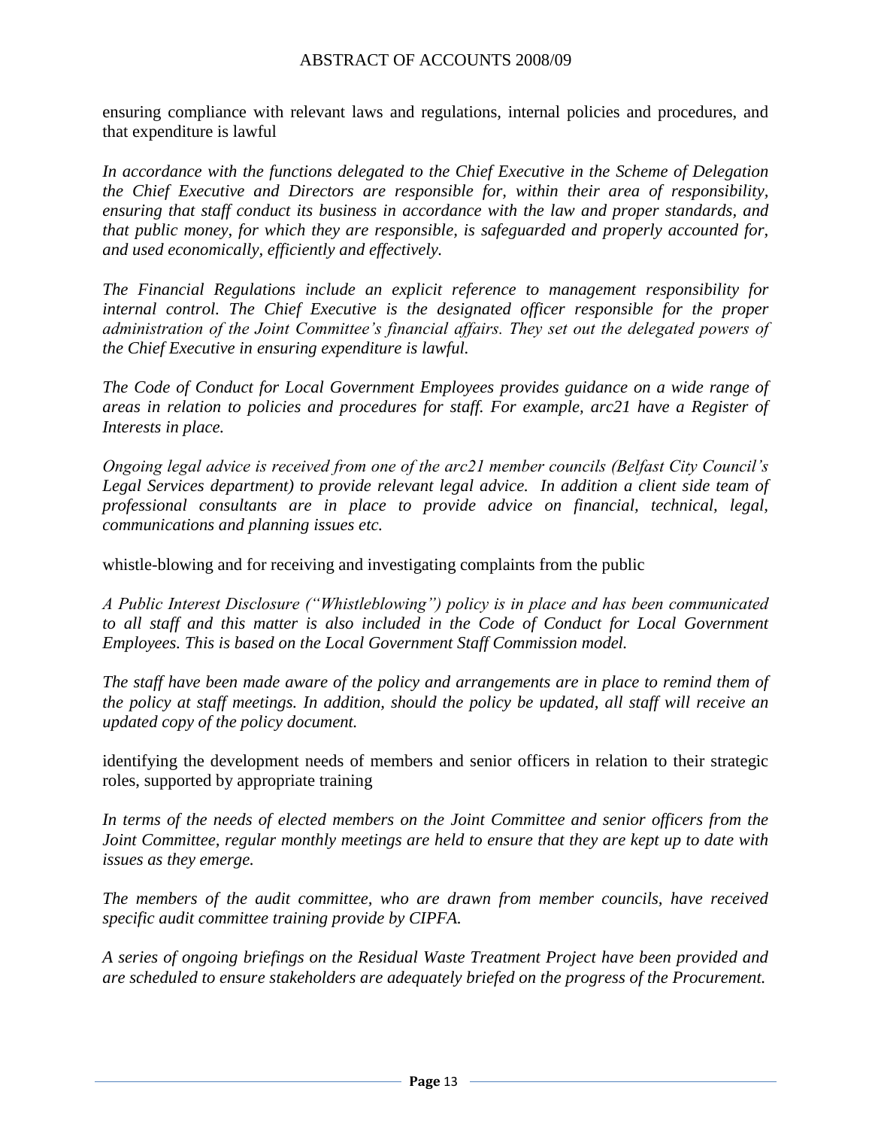ensuring compliance with relevant laws and regulations, internal policies and procedures, and that expenditure is lawful

*In accordance with the functions delegated to the Chief Executive in the Scheme of Delegation the Chief Executive and Directors are responsible for, within their area of responsibility, ensuring that staff conduct its business in accordance with the law and proper standards, and that public money, for which they are responsible, is safeguarded and properly accounted for, and used economically, efficiently and effectively.* 

*The Financial Regulations include an explicit reference to management responsibility for internal control. The Chief Executive is the designated officer responsible for the proper administration of the Joint Committee"s financial affairs. They set out the delegated powers of the Chief Executive in ensuring expenditure is lawful.* 

*The Code of Conduct for Local Government Employees provides guidance on a wide range of areas in relation to policies and procedures for staff. For example, arc21 have a Register of Interests in place.*

*Ongoing legal advice is received from one of the arc21 member councils (Belfast City Council"s*  Legal Services department) to provide relevant legal advice. In addition a client side team of *professional consultants are in place to provide advice on financial, technical, legal, communications and planning issues etc.* 

whistle-blowing and for receiving and investigating complaints from the public

*A Public Interest Disclosure ("Whistleblowing") policy is in place and has been communicated to all staff and this matter is also included in the Code of Conduct for Local Government Employees. This is based on the Local Government Staff Commission model.*

*The staff have been made aware of the policy and arrangements are in place to remind them of the policy at staff meetings. In addition, should the policy be updated, all staff will receive an updated copy of the policy document.*

identifying the development needs of members and senior officers in relation to their strategic roles, supported by appropriate training

*In terms of the needs of elected members on the Joint Committee and senior officers from the Joint Committee, regular monthly meetings are held to ensure that they are kept up to date with issues as they emerge.*

*The members of the audit committee, who are drawn from member councils, have received specific audit committee training provide by CIPFA.*

*A series of ongoing briefings on the Residual Waste Treatment Project have been provided and are scheduled to ensure stakeholders are adequately briefed on the progress of the Procurement.*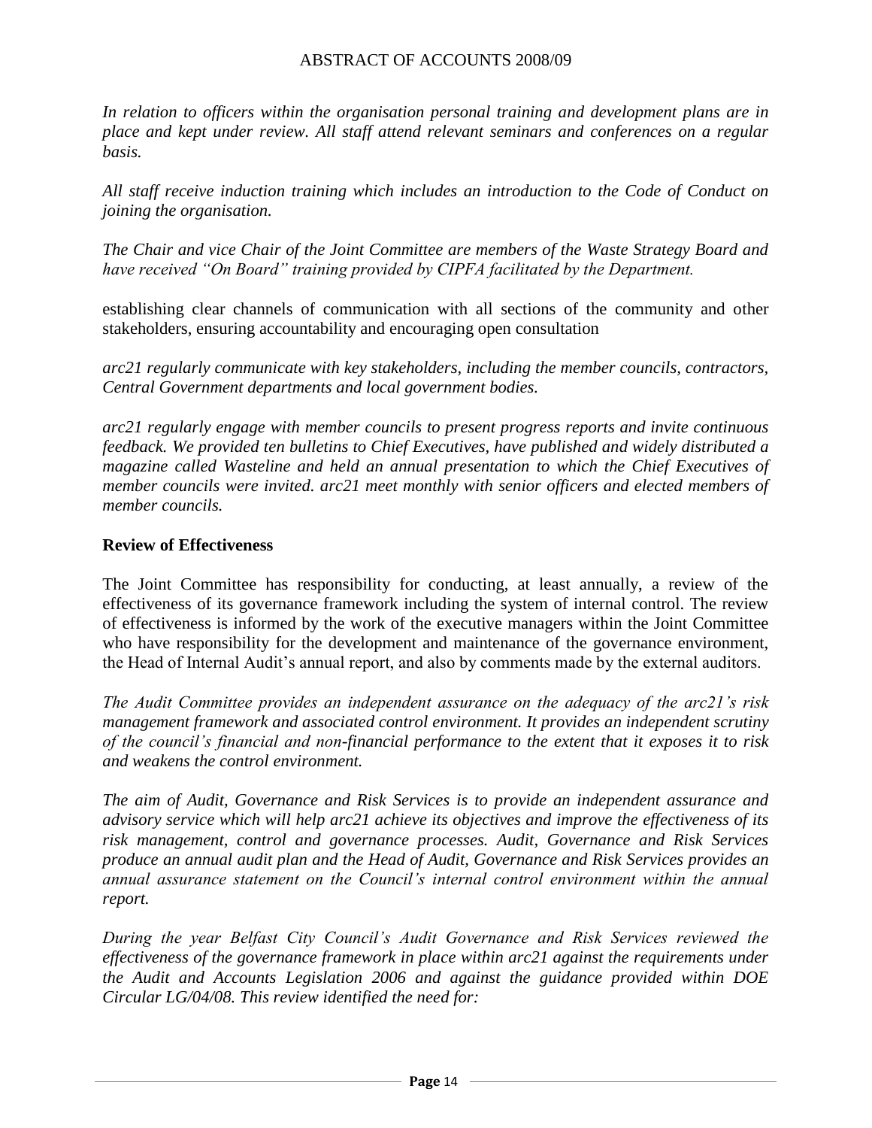*In relation to officers within the organisation personal training and development plans are in place and kept under review. All staff attend relevant seminars and conferences on a regular basis.* 

*All staff receive induction training which includes an introduction to the Code of Conduct on joining the organisation.*

*The Chair and vice Chair of the Joint Committee are members of the Waste Strategy Board and have received "On Board" training provided by CIPFA facilitated by the Department.*

establishing clear channels of communication with all sections of the community and other stakeholders, ensuring accountability and encouraging open consultation

*arc21 regularly communicate with key stakeholders, including the member councils, contractors, Central Government departments and local government bodies.*

*arc21 regularly engage with member councils to present progress reports and invite continuous feedback. We provided ten bulletins to Chief Executives, have published and widely distributed a magazine called Wasteline and held an annual presentation to which the Chief Executives of member councils were invited. arc21 meet monthly with senior officers and elected members of member councils.* 

#### **Review of Effectiveness**

The Joint Committee has responsibility for conducting, at least annually, a review of the effectiveness of its governance framework including the system of internal control. The review of effectiveness is informed by the work of the executive managers within the Joint Committee who have responsibility for the development and maintenance of the governance environment, the Head of Internal Audit"s annual report, and also by comments made by the external auditors.

*The Audit Committee provides an independent assurance on the adequacy of the arc21"s risk management framework and associated control environment. It provides an independent scrutiny of the council"s financial and non-financial performance to the extent that it exposes it to risk and weakens the control environment.* 

*The aim of Audit, Governance and Risk Services is to provide an independent assurance and advisory service which will help arc21 achieve its objectives and improve the effectiveness of its risk management, control and governance processes. Audit, Governance and Risk Services produce an annual audit plan and the Head of Audit, Governance and Risk Services provides an annual assurance statement on the Council"s internal control environment within the annual report.* 

*During the year Belfast City Council"s Audit Governance and Risk Services reviewed the effectiveness of the governance framework in place within arc21 against the requirements under the Audit and Accounts Legislation 2006 and against the guidance provided within DOE Circular LG/04/08. This review identified the need for:*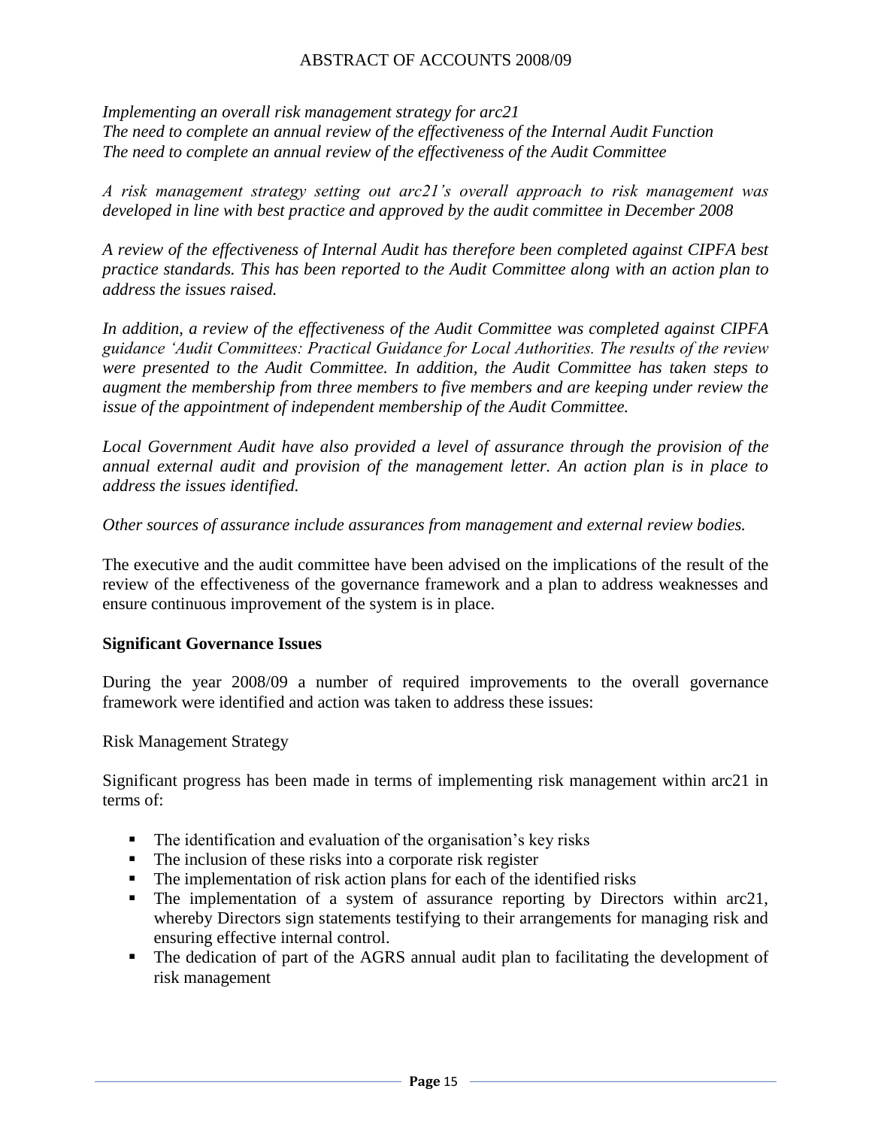*Implementing an overall risk management strategy for arc21 The need to complete an annual review of the effectiveness of the Internal Audit Function The need to complete an annual review of the effectiveness of the Audit Committee* 

*A risk management strategy setting out arc21"s overall approach to risk management was developed in line with best practice and approved by the audit committee in December 2008*

*A review of the effectiveness of Internal Audit has therefore been completed against CIPFA best practice standards. This has been reported to the Audit Committee along with an action plan to address the issues raised.*

*In addition, a review of the effectiveness of the Audit Committee was completed against CIPFA guidance "Audit Committees: Practical Guidance for Local Authorities. The results of the review were presented to the Audit Committee. In addition, the Audit Committee has taken steps to augment the membership from three members to five members and are keeping under review the issue of the appointment of independent membership of the Audit Committee.*

*Local Government Audit have also provided a level of assurance through the provision of the annual external audit and provision of the management letter. An action plan is in place to address the issues identified.*

*Other sources of assurance include assurances from management and external review bodies.*

The executive and the audit committee have been advised on the implications of the result of the review of the effectiveness of the governance framework and a plan to address weaknesses and ensure continuous improvement of the system is in place.

#### **Significant Governance Issues**

During the year 2008/09 a number of required improvements to the overall governance framework were identified and action was taken to address these issues:

Risk Management Strategy

Significant progress has been made in terms of implementing risk management within arc21 in terms of:

- The identification and evaluation of the organisation's key risks
- The inclusion of these risks into a corporate risk register
- The implementation of risk action plans for each of the identified risks
- The implementation of a system of assurance reporting by Directors within arc21, whereby Directors sign statements testifying to their arrangements for managing risk and ensuring effective internal control.
- The dedication of part of the AGRS annual audit plan to facilitating the development of risk management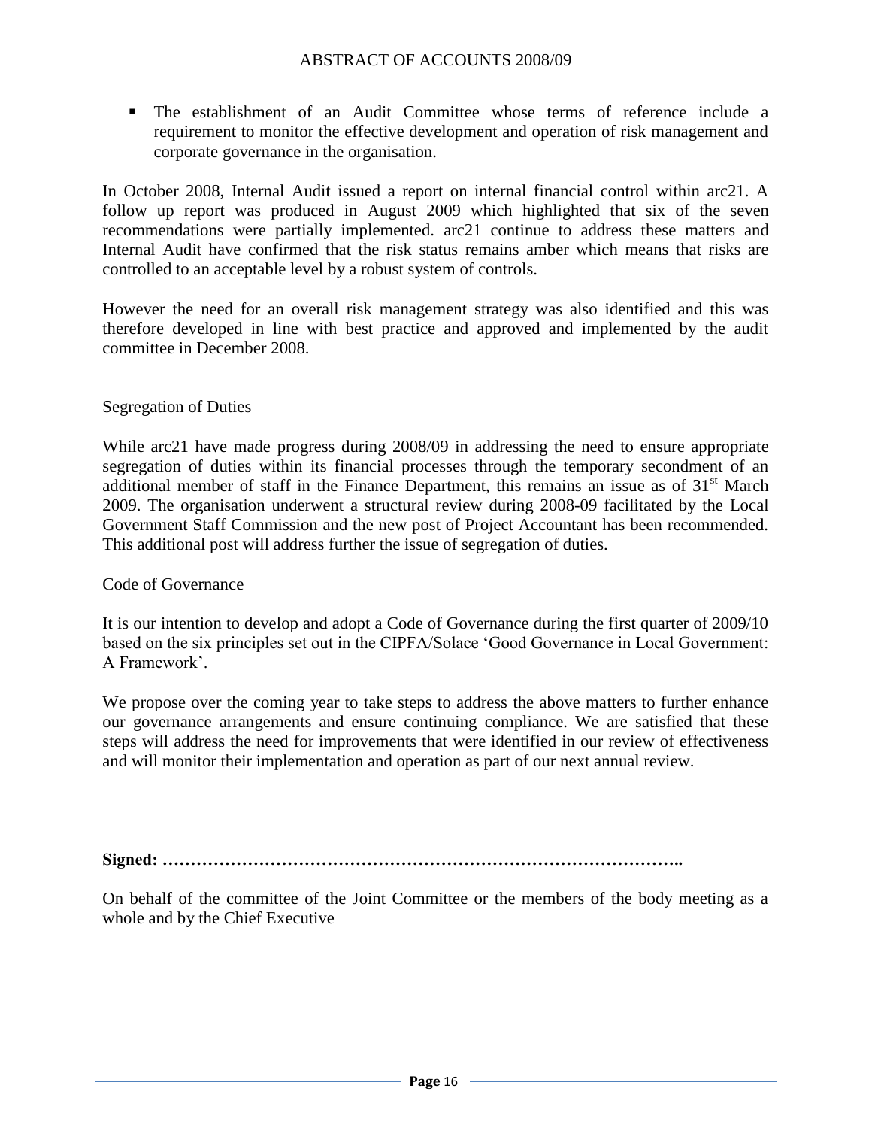The establishment of an Audit Committee whose terms of reference include a requirement to monitor the effective development and operation of risk management and corporate governance in the organisation.

In October 2008, Internal Audit issued a report on internal financial control within arc21. A follow up report was produced in August 2009 which highlighted that six of the seven recommendations were partially implemented. arc21 continue to address these matters and Internal Audit have confirmed that the risk status remains amber which means that risks are controlled to an acceptable level by a robust system of controls.

However the need for an overall risk management strategy was also identified and this was therefore developed in line with best practice and approved and implemented by the audit committee in December 2008.

#### Segregation of Duties

While arc21 have made progress during 2008/09 in addressing the need to ensure appropriate segregation of duties within its financial processes through the temporary secondment of an additional member of staff in the Finance Department, this remains an issue as of  $31<sup>st</sup>$  March 2009. The organisation underwent a structural review during 2008-09 facilitated by the Local Government Staff Commission and the new post of Project Accountant has been recommended. This additional post will address further the issue of segregation of duties.

#### Code of Governance

It is our intention to develop and adopt a Code of Governance during the first quarter of 2009/10 based on the six principles set out in the CIPFA/Solace "Good Governance in Local Government: A Framework".

We propose over the coming year to take steps to address the above matters to further enhance our governance arrangements and ensure continuing compliance. We are satisfied that these steps will address the need for improvements that were identified in our review of effectiveness and will monitor their implementation and operation as part of our next annual review.

**Signed: ………………………………………………………………………………..**

On behalf of the committee of the Joint Committee or the members of the body meeting as a whole and by the Chief Executive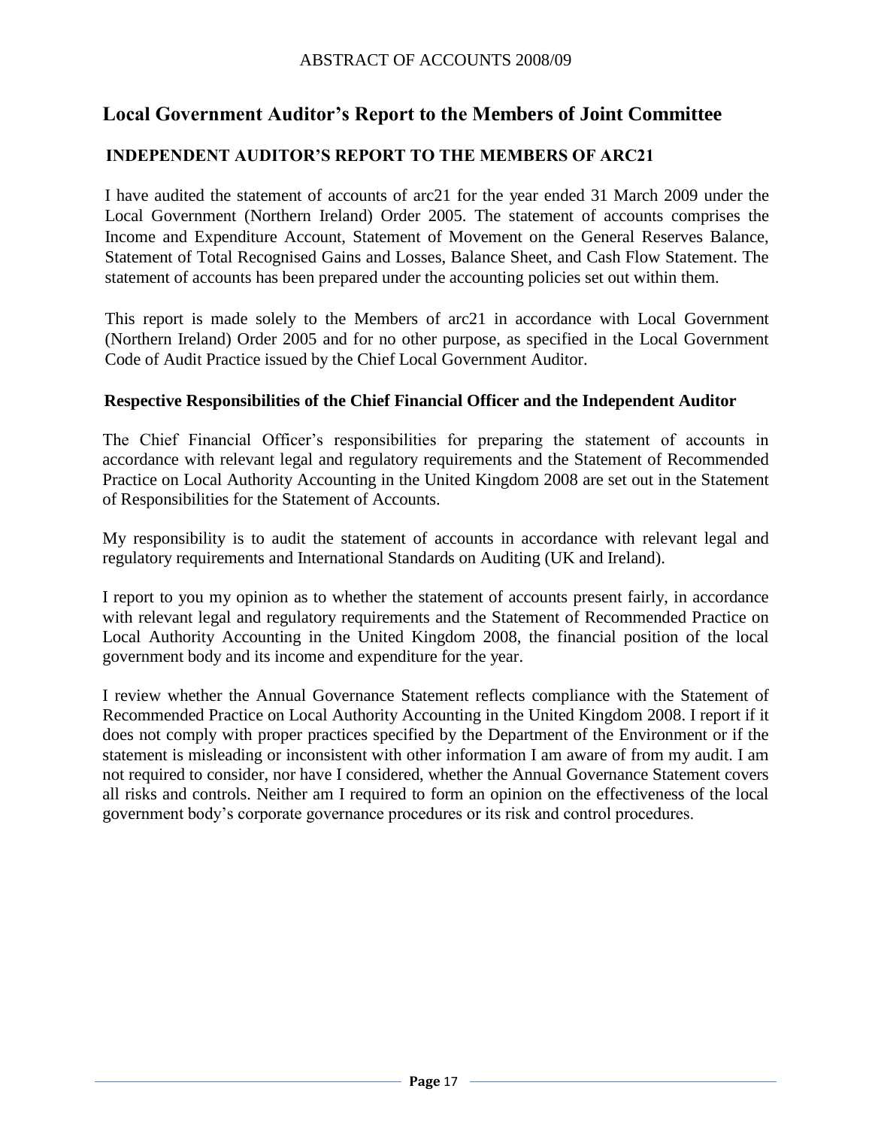# <span id="page-18-0"></span>**Local Government Auditor's Report to the Members of Joint Committee**

## **INDEPENDENT AUDITOR'S REPORT TO THE MEMBERS OF ARC21**

I have audited the statement of accounts of arc21 for the year ended 31 March 2009 under the Local Government (Northern Ireland) Order 2005. The statement of accounts comprises the Income and Expenditure Account, Statement of Movement on the General Reserves Balance, Statement of Total Recognised Gains and Losses, Balance Sheet, and Cash Flow Statement. The statement of accounts has been prepared under the accounting policies set out within them.

This report is made solely to the Members of arc21 in accordance with Local Government (Northern Ireland) Order 2005 and for no other purpose, as specified in the Local Government Code of Audit Practice issued by the Chief Local Government Auditor.

#### **Respective Responsibilities of the Chief Financial Officer and the Independent Auditor**

The Chief Financial Officer"s responsibilities for preparing the statement of accounts in accordance with relevant legal and regulatory requirements and the Statement of Recommended Practice on Local Authority Accounting in the United Kingdom 2008 are set out in the Statement of Responsibilities for the Statement of Accounts.

My responsibility is to audit the statement of accounts in accordance with relevant legal and regulatory requirements and International Standards on Auditing (UK and Ireland).

I report to you my opinion as to whether the statement of accounts present fairly, in accordance with relevant legal and regulatory requirements and the Statement of Recommended Practice on Local Authority Accounting in the United Kingdom 2008, the financial position of the local government body and its income and expenditure for the year.

I review whether the Annual Governance Statement reflects compliance with the Statement of Recommended Practice on Local Authority Accounting in the United Kingdom 2008. I report if it does not comply with proper practices specified by the Department of the Environment or if the statement is misleading or inconsistent with other information I am aware of from my audit. I am not required to consider, nor have I considered, whether the Annual Governance Statement covers all risks and controls. Neither am I required to form an opinion on the effectiveness of the local government body"s corporate governance procedures or its risk and control procedures.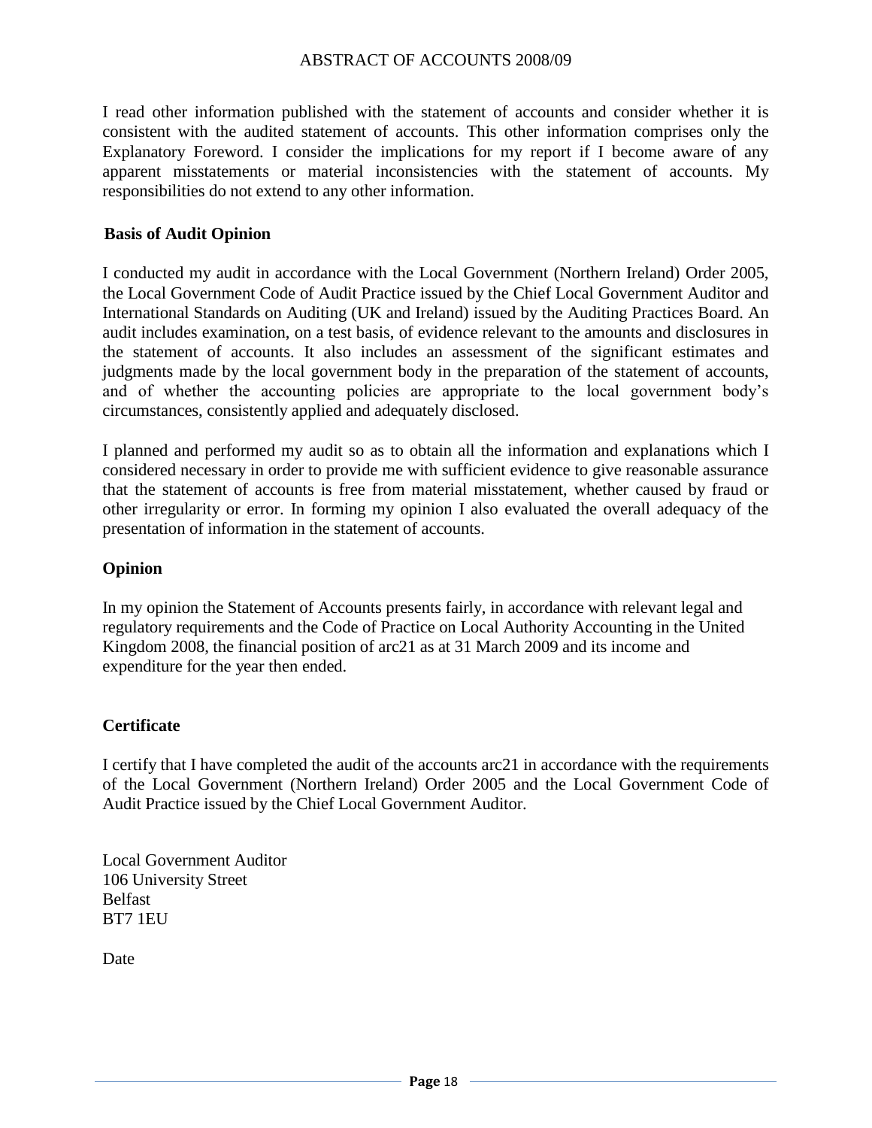I read other information published with the statement of accounts and consider whether it is consistent with the audited statement of accounts. This other information comprises only the Explanatory Foreword. I consider the implications for my report if I become aware of any apparent misstatements or material inconsistencies with the statement of accounts. My responsibilities do not extend to any other information.

#### **Basis of Audit Opinion**

I conducted my audit in accordance with the Local Government (Northern Ireland) Order 2005, the Local Government Code of Audit Practice issued by the Chief Local Government Auditor and International Standards on Auditing (UK and Ireland) issued by the Auditing Practices Board. An audit includes examination, on a test basis, of evidence relevant to the amounts and disclosures in the statement of accounts. It also includes an assessment of the significant estimates and judgments made by the local government body in the preparation of the statement of accounts, and of whether the accounting policies are appropriate to the local government body"s circumstances, consistently applied and adequately disclosed.

I planned and performed my audit so as to obtain all the information and explanations which I considered necessary in order to provide me with sufficient evidence to give reasonable assurance that the statement of accounts is free from material misstatement, whether caused by fraud or other irregularity or error. In forming my opinion I also evaluated the overall adequacy of the presentation of information in the statement of accounts.

#### **Opinion**

In my opinion the Statement of Accounts presents fairly, in accordance with relevant legal and regulatory requirements and the Code of Practice on Local Authority Accounting in the United Kingdom 2008, the financial position of arc21 as at 31 March 2009 and its income and expenditure for the year then ended.

#### **Certificate**

I certify that I have completed the audit of the accounts arc21 in accordance with the requirements of the Local Government (Northern Ireland) Order 2005 and the Local Government Code of Audit Practice issued by the Chief Local Government Auditor.

Local Government Auditor 106 University Street Belfast BT7 1EU

Date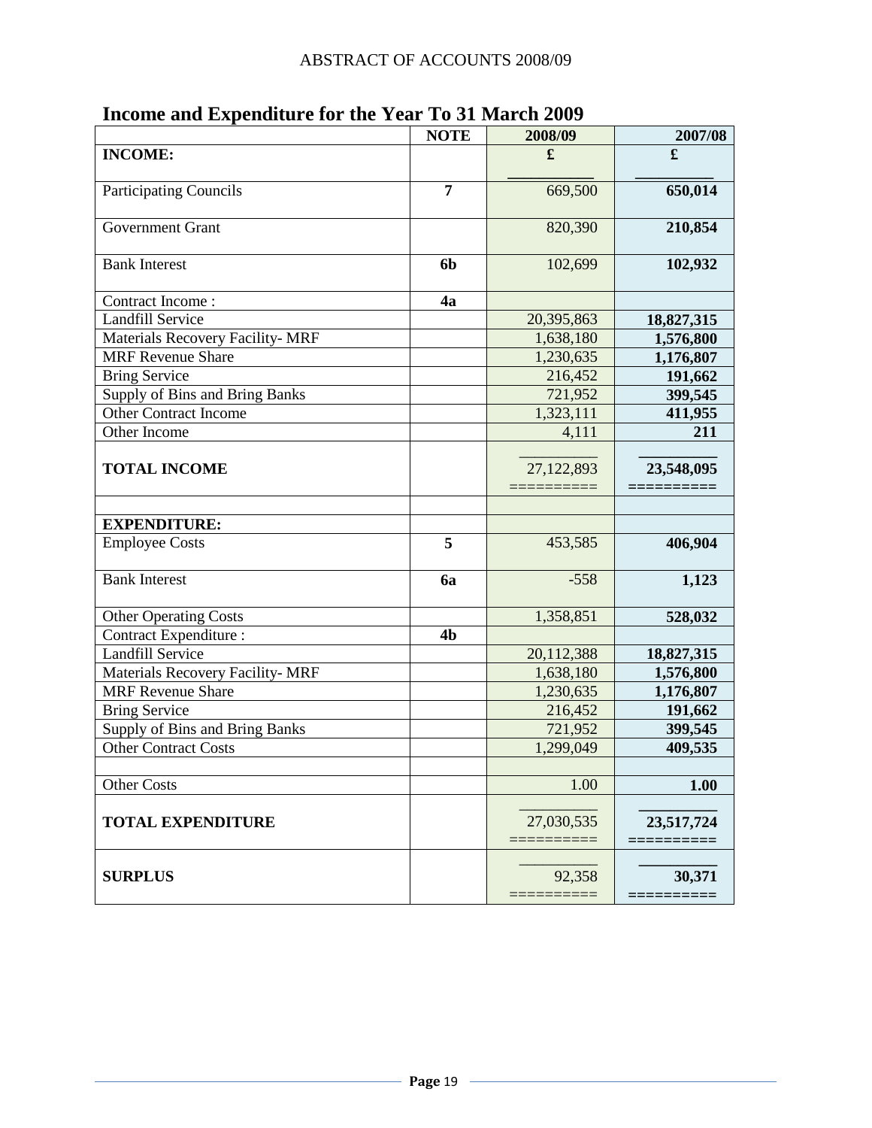|                                         | <b>NOTE</b>    | 2008/09    | 2007/08    |
|-----------------------------------------|----------------|------------|------------|
| <b>INCOME:</b>                          |                | £          | £          |
| <b>Participating Councils</b>           | $\overline{7}$ | 669,500    | 650,014    |
| <b>Government Grant</b>                 |                | 820,390    | 210,854    |
| <b>Bank Interest</b>                    | 6 <sub>b</sub> | 102,699    | 102,932    |
| Contract Income:                        | 4a             |            |            |
| <b>Landfill Service</b>                 |                | 20,395,863 | 18,827,315 |
| <b>Materials Recovery Facility- MRF</b> |                | 1,638,180  | 1,576,800  |
| <b>MRF</b> Revenue Share                |                | 1,230,635  | 1,176,807  |
| <b>Bring Service</b>                    |                | 216,452    | 191,662    |
| Supply of Bins and Bring Banks          |                | 721,952    | 399,545    |
| <b>Other Contract Income</b>            |                | 1,323,111  | 411,955    |
| Other Income                            |                | 4,111      | 211        |
| <b>TOTAL INCOME</b>                     |                | 27,122,893 | 23,548,095 |
| <b>EXPENDITURE:</b>                     |                |            |            |
| <b>Employee Costs</b>                   | 5              | 453,585    | 406,904    |
| <b>Bank Interest</b>                    | 6a             | $-558$     | 1,123      |
| <b>Other Operating Costs</b>            |                | 1,358,851  | 528,032    |
| <b>Contract Expenditure:</b>            | 4 <sub>b</sub> |            |            |
| <b>Landfill Service</b>                 |                | 20,112,388 | 18,827,315 |
| <b>Materials Recovery Facility- MRF</b> |                | 1,638,180  | 1,576,800  |
| <b>MRF</b> Revenue Share                |                | 1,230,635  | 1,176,807  |
| <b>Bring Service</b>                    |                | 216,452    | 191,662    |
| Supply of Bins and Bring Banks          |                | 721,952    | 399,545    |
| <b>Other Contract Costs</b>             |                | 1,299,049  | 409,535    |
|                                         |                |            |            |
| <b>Other Costs</b>                      |                | 1.00       | 1.00       |
| <b>TOTAL EXPENDITURE</b>                |                | 27,030,535 | 23,517,724 |
| <b>SURPLUS</b>                          |                | 92,358     | 30,371     |

# <span id="page-20-0"></span>**Income and Expenditure for the Year To 31 March 2009**

<u> 1980 - Johann Barbara, martxa alemaniar a</u>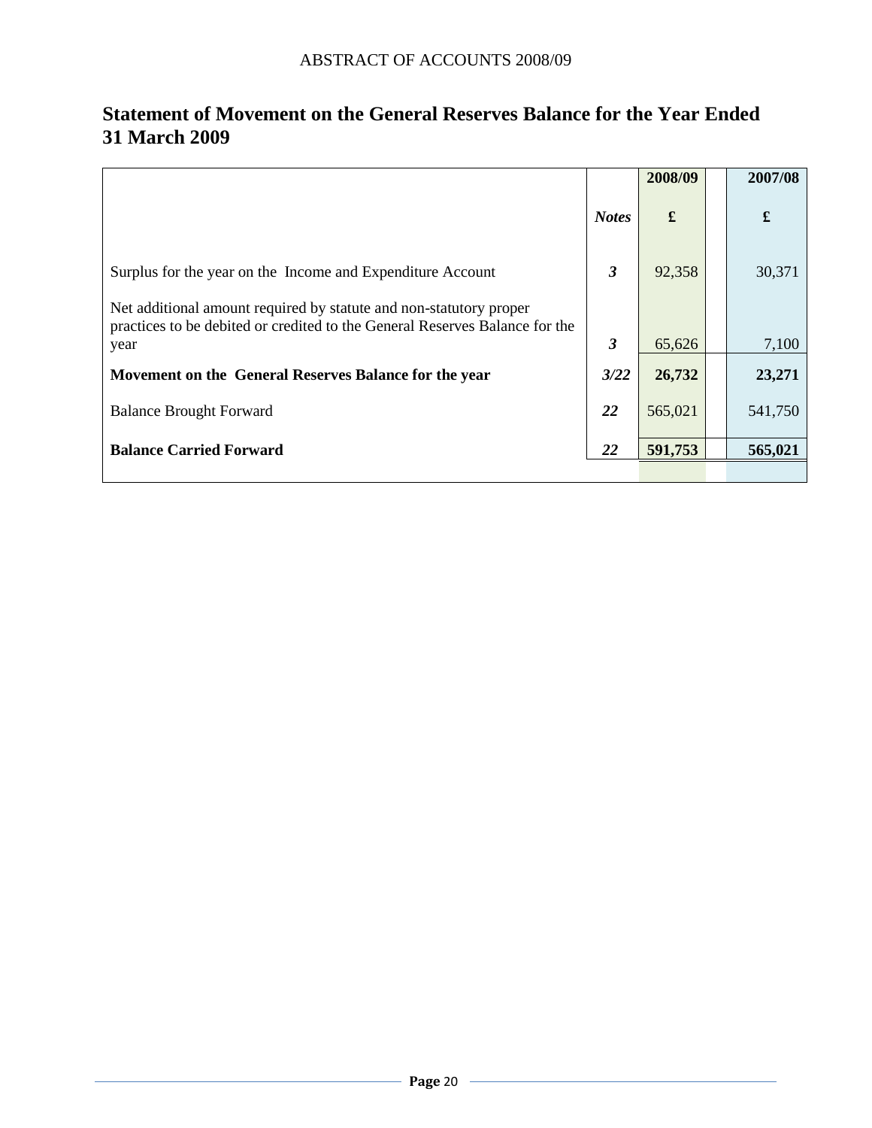|                                                                                                                                                   |              | 2008/09 | 2007/08 |
|---------------------------------------------------------------------------------------------------------------------------------------------------|--------------|---------|---------|
|                                                                                                                                                   | <b>Notes</b> |         | £       |
| Surplus for the year on the Income and Expenditure Account                                                                                        | 3            | 92,358  | 30,371  |
| Net additional amount required by statute and non-statutory proper<br>practices to be debited or credited to the General Reserves Balance for the |              |         |         |
| year                                                                                                                                              | 3            | 65,626  | 7,100   |
| Movement on the General Reserves Balance for the year                                                                                             | 3/22         | 26,732  | 23,271  |
| <b>Balance Brought Forward</b>                                                                                                                    | 22           | 565,021 | 541,750 |
| <b>Balance Carried Forward</b>                                                                                                                    | 22           | 591,753 | 565,021 |
|                                                                                                                                                   |              |         |         |

# <span id="page-21-0"></span>**Statement of Movement on the General Reserves Balance for the Year Ended 31 March 2009**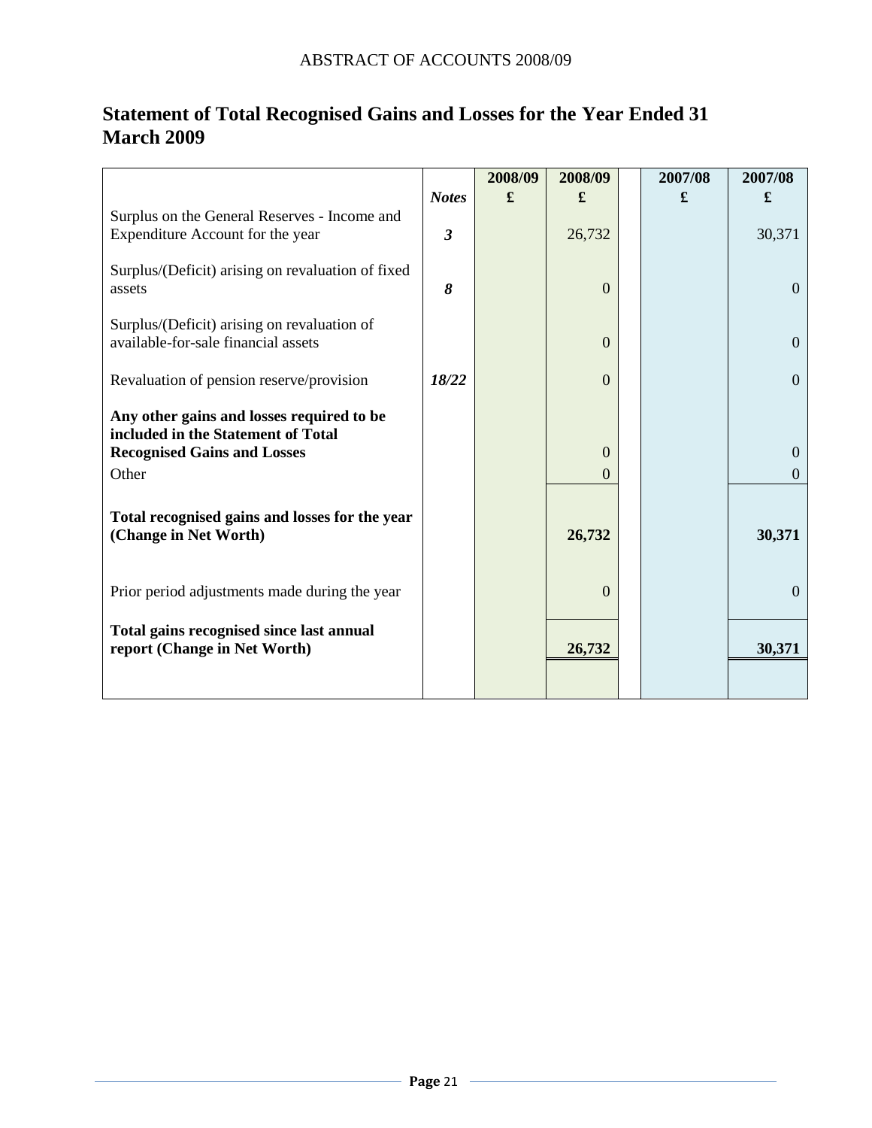|                                                                                    |                | 2008/09 | 2008/09        | 2007/08 | 2007/08        |
|------------------------------------------------------------------------------------|----------------|---------|----------------|---------|----------------|
|                                                                                    | <b>Notes</b>   | £       | £              | £       | £              |
| Surplus on the General Reserves - Income and<br>Expenditure Account for the year   | $\mathfrak{z}$ |         | 26,732         |         | 30,371         |
| Surplus/(Deficit) arising on revaluation of fixed<br>assets                        | 8              |         | $\Omega$       |         | $\overline{0}$ |
| Surplus/(Deficit) arising on revaluation of<br>available-for-sale financial assets |                |         | $\Omega$       |         | $\mathbf{0}$   |
| Revaluation of pension reserve/provision                                           | 18/22          |         | $\overline{0}$ |         | $\overline{0}$ |
| Any other gains and losses required to be<br>included in the Statement of Total    |                |         |                |         |                |
| <b>Recognised Gains and Losses</b>                                                 |                |         | $\Omega$       |         | $\theta$       |
| Other                                                                              |                |         | $\Omega$       |         | $\Omega$       |
| Total recognised gains and losses for the year<br>(Change in Net Worth)            |                |         | 26,732         |         | 30,371         |
| Prior period adjustments made during the year                                      |                |         | $\Omega$       |         | $\overline{0}$ |
| Total gains recognised since last annual<br>report (Change in Net Worth)           |                |         | 26,732         |         | 30,371         |
|                                                                                    |                |         |                |         |                |

# <span id="page-22-0"></span>**Statement of Total Recognised Gains and Losses for the Year Ended 31 March 2009**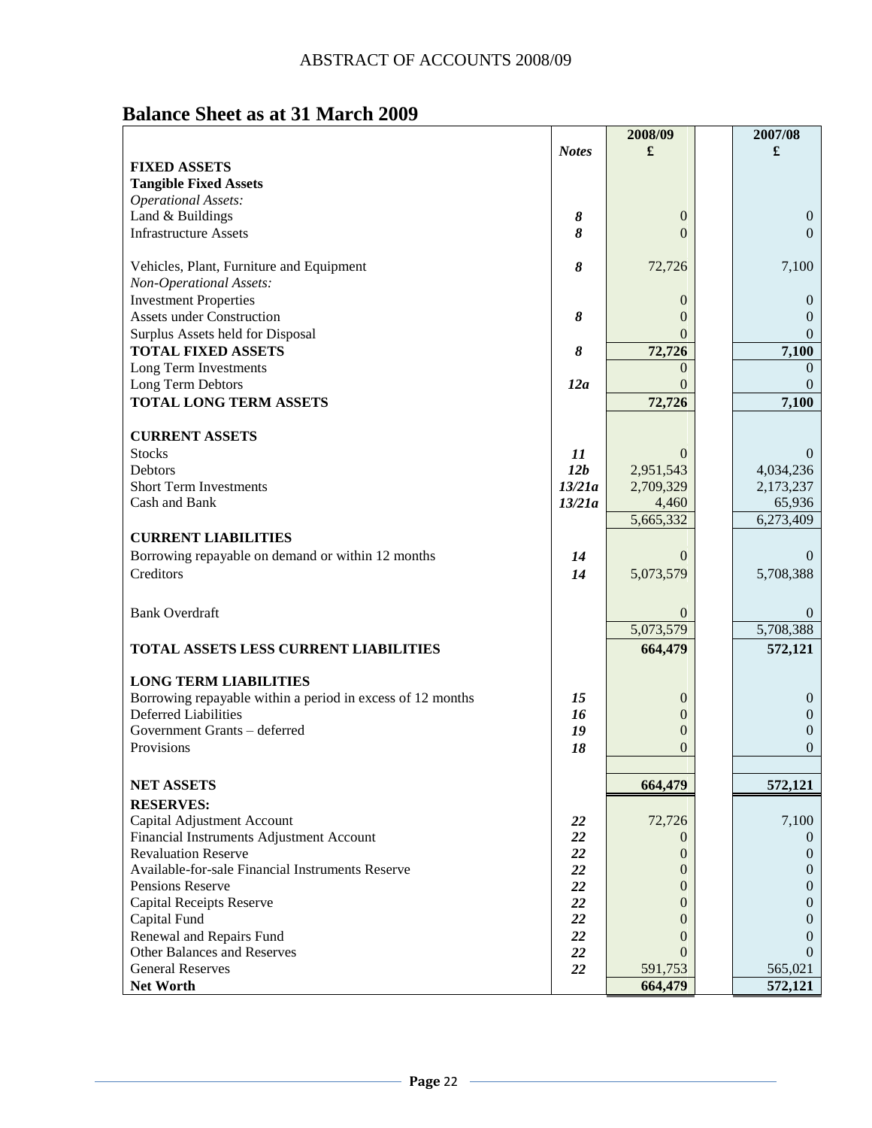# <span id="page-23-0"></span> **Balance Sheet as at 31 March 2009**

|                                                                                           |              | 2008/09                          | 2007/08                  |
|-------------------------------------------------------------------------------------------|--------------|----------------------------------|--------------------------|
|                                                                                           | <b>Notes</b> | £                                | £                        |
| <b>FIXED ASSETS</b>                                                                       |              |                                  |                          |
| <b>Tangible Fixed Assets</b>                                                              |              |                                  |                          |
| <b>Operational Assets:</b>                                                                |              |                                  |                          |
| Land & Buildings                                                                          | 8            | $\overline{0}$                   | $\theta$                 |
| <b>Infrastructure Assets</b>                                                              | 8            | $\Omega$                         | $\Omega$                 |
|                                                                                           |              |                                  |                          |
| Vehicles, Plant, Furniture and Equipment                                                  | 8            | 72,726                           | 7,100                    |
| Non-Operational Assets:                                                                   |              |                                  |                          |
| <b>Investment Properties</b>                                                              |              | $\theta$                         | $\theta$                 |
| <b>Assets under Construction</b>                                                          | 8            | $\Omega$                         | $\Omega$                 |
| Surplus Assets held for Disposal                                                          |              | $\Omega$                         | $\theta$                 |
| <b>TOTAL FIXED ASSETS</b>                                                                 | 8            | 72,726                           | 7,100                    |
| Long Term Investments                                                                     |              | $\Omega$                         | $\Omega$                 |
| Long Term Debtors                                                                         | 12a          | $\Omega$                         | $\theta$                 |
| <b>TOTAL LONG TERM ASSETS</b>                                                             |              | 72,726                           | 7,100                    |
|                                                                                           |              |                                  |                          |
| <b>CURRENT ASSETS</b>                                                                     |              |                                  |                          |
| <b>Stocks</b>                                                                             | 11           | $\Omega$                         | $\Omega$                 |
| Debtors                                                                                   | 12b          | 2,951,543                        | 4,034,236                |
| <b>Short Term Investments</b>                                                             | 13/21a       | 2,709,329                        | 2,173,237                |
| Cash and Bank                                                                             | 13/21a       | 4,460                            | 65,936                   |
|                                                                                           |              | 5,665,332                        | 6,273,409                |
| <b>CURRENT LIABILITIES</b>                                                                |              |                                  |                          |
| Borrowing repayable on demand or within 12 months                                         | 14           | $\Omega$                         | $\Omega$                 |
| Creditors                                                                                 | 14           | 5,073,579                        | 5,708,388                |
|                                                                                           |              |                                  |                          |
|                                                                                           |              |                                  |                          |
| <b>Bank Overdraft</b>                                                                     |              | $\Omega$                         | $\theta$                 |
|                                                                                           |              | 5,073,579                        | 5,708,388                |
| TOTAL ASSETS LESS CURRENT LIABILITIES                                                     |              | 664,479                          | 572,121                  |
|                                                                                           |              |                                  |                          |
| <b>LONG TERM LIABILITIES</b>                                                              |              |                                  |                          |
| Borrowing repayable within a period in excess of 12 months<br><b>Deferred Liabilities</b> | 15           | $\mathbf{0}$                     | $\mathbf{0}$             |
| Government Grants - deferred                                                              | 16<br>19     | $\overline{0}$<br>$\overline{0}$ | $\mathbf{0}$<br>$\theta$ |
| Provisions                                                                                | 18           |                                  | $\theta$                 |
|                                                                                           |              | 0                                |                          |
|                                                                                           |              |                                  |                          |
| <b>NET ASSETS</b>                                                                         |              | 664,479                          | 572,121                  |
| <b>RESERVES:</b>                                                                          |              |                                  |                          |
| Capital Adjustment Account                                                                | 22           | 72,726                           | 7,100                    |
| Financial Instruments Adjustment Account                                                  | 22           | $\theta$                         | $\theta$                 |
| <b>Revaluation Reserve</b>                                                                | 22           | $\mathbf{0}$                     | $\theta$                 |
| Available-for-sale Financial Instruments Reserve                                          | 22           | $\theta$                         | $\theta$                 |
| Pensions Reserve                                                                          | 22           | $\overline{0}$                   | $\theta$                 |
| <b>Capital Receipts Reserve</b>                                                           | 22           | 0                                | $\theta$                 |
| Capital Fund                                                                              | 22           | 0                                | 0                        |
| Renewal and Repairs Fund                                                                  | 22           | 0                                | $\theta$                 |
| Other Balances and Reserves                                                               | 22           | $\Omega$                         | $\Omega$                 |
| <b>General Reserves</b>                                                                   | 22           | 591,753                          | 565,021                  |
| Net Worth                                                                                 |              | 664,479                          | 572,121                  |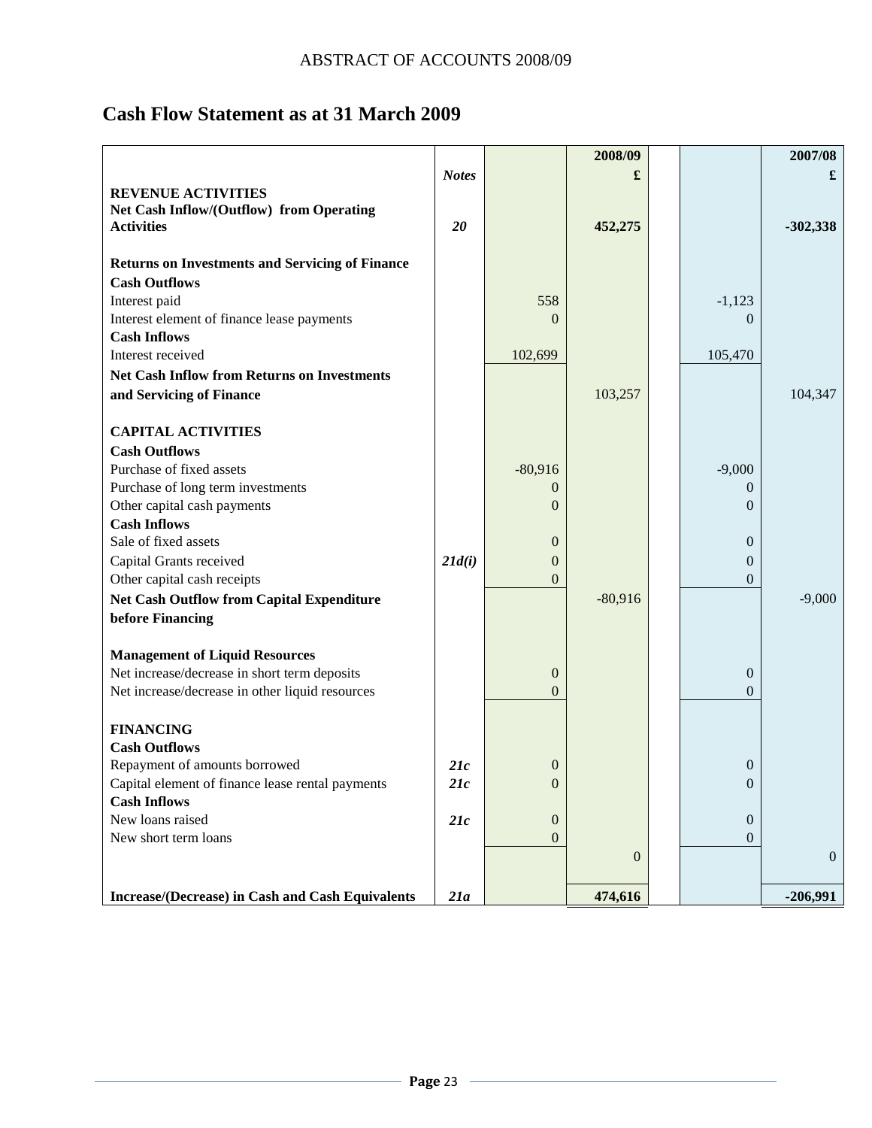# <span id="page-24-0"></span>**Cash Flow Statement as at 31 March 2009**

|                                                        |              |                  | 2008/09        |                  | 2007/08      |
|--------------------------------------------------------|--------------|------------------|----------------|------------------|--------------|
|                                                        | <b>Notes</b> |                  | £              |                  | £            |
| <b>REVENUE ACTIVITIES</b>                              |              |                  |                |                  |              |
| Net Cash Inflow/(Outflow) from Operating               |              |                  |                |                  |              |
| <b>Activities</b>                                      | 20           |                  | 452,275        |                  | $-302,338$   |
|                                                        |              |                  |                |                  |              |
| <b>Returns on Investments and Servicing of Finance</b> |              |                  |                |                  |              |
| <b>Cash Outflows</b>                                   |              |                  |                |                  |              |
| Interest paid                                          |              | 558              |                | $-1,123$         |              |
| Interest element of finance lease payments             |              | $\Omega$         |                | $\Omega$         |              |
| <b>Cash Inflows</b>                                    |              |                  |                |                  |              |
| Interest received                                      |              | 102,699          |                | 105,470          |              |
| <b>Net Cash Inflow from Returns on Investments</b>     |              |                  |                |                  |              |
| and Servicing of Finance                               |              |                  | 103,257        |                  | 104,347      |
|                                                        |              |                  |                |                  |              |
| <b>CAPITAL ACTIVITIES</b>                              |              |                  |                |                  |              |
| <b>Cash Outflows</b>                                   |              |                  |                |                  |              |
| Purchase of fixed assets                               |              | $-80,916$        |                | $-9,000$         |              |
| Purchase of long term investments                      |              | $\Omega$         |                | $\theta$         |              |
| Other capital cash payments                            |              | $\Omega$         |                | $\Omega$         |              |
| <b>Cash Inflows</b>                                    |              |                  |                |                  |              |
| Sale of fixed assets                                   |              | $\overline{0}$   |                | $\boldsymbol{0}$ |              |
| Capital Grants received                                | 21d(i)       | $\boldsymbol{0}$ |                | $\boldsymbol{0}$ |              |
| Other capital cash receipts                            |              | $\overline{0}$   |                | 0                |              |
| <b>Net Cash Outflow from Capital Expenditure</b>       |              |                  | $-80,916$      |                  | $-9,000$     |
| before Financing                                       |              |                  |                |                  |              |
|                                                        |              |                  |                |                  |              |
| <b>Management of Liquid Resources</b>                  |              |                  |                |                  |              |
| Net increase/decrease in short term deposits           |              | $\mathbf{0}$     |                | $\boldsymbol{0}$ |              |
| Net increase/decrease in other liquid resources        |              | $\overline{0}$   |                | $\Omega$         |              |
| <b>FINANCING</b>                                       |              |                  |                |                  |              |
| <b>Cash Outflows</b>                                   |              |                  |                |                  |              |
| Repayment of amounts borrowed                          | 21c          | 0                |                | 0                |              |
| Capital element of finance lease rental payments       | 21c          | $\boldsymbol{0}$ |                |                  |              |
| <b>Cash Inflows</b>                                    |              |                  |                | U                |              |
| New loans raised                                       | 21c          | $\overline{0}$   |                | $\overline{0}$   |              |
| New short term loans                                   |              | $\overline{0}$   |                | $\overline{0}$   |              |
|                                                        |              |                  | $\overline{0}$ |                  | $\mathbf{0}$ |
|                                                        |              |                  |                |                  |              |
| Increase/(Decrease) in Cash and Cash Equivalents       | 21a          |                  | 474,616        |                  | $-206,991$   |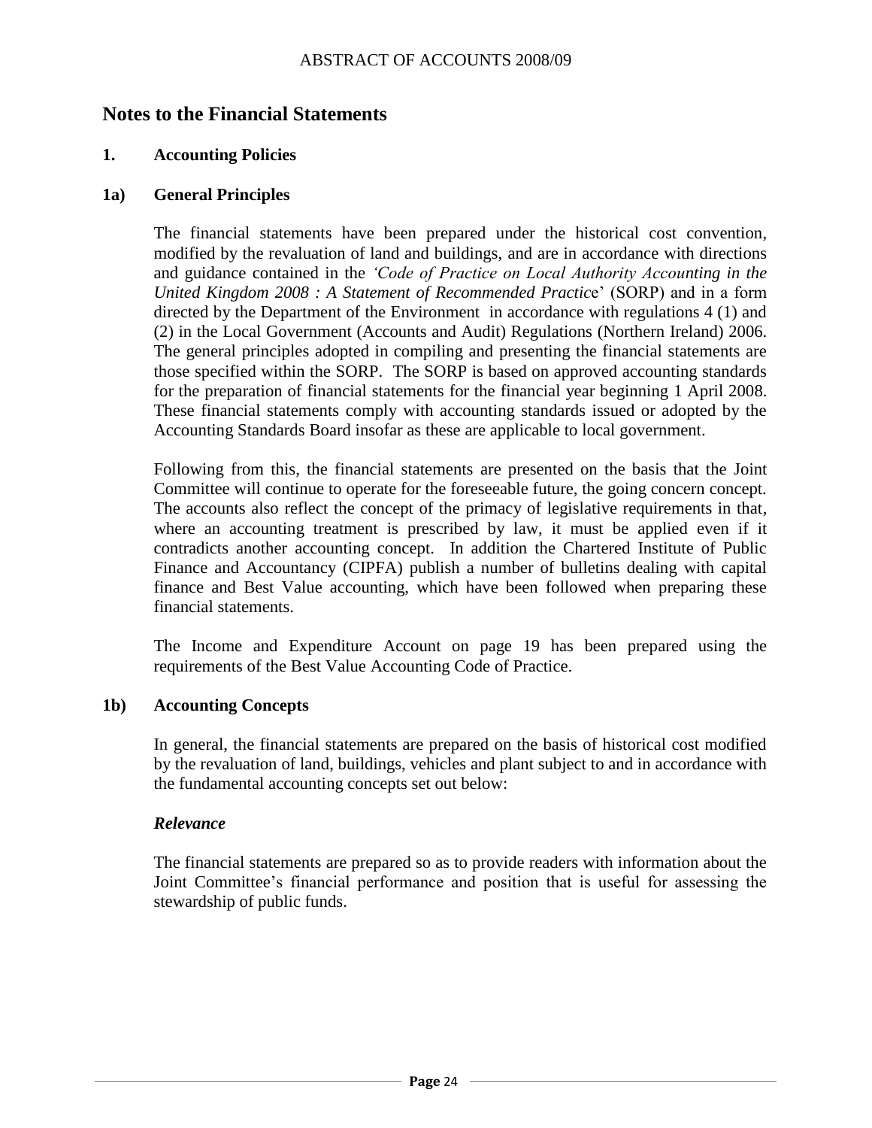## <span id="page-25-0"></span>**Notes to the Financial Statements**

#### **1. Accounting Policies**

#### **1a) General Principles**

The financial statements have been prepared under the historical cost convention, modified by the revaluation of land and buildings, and are in accordance with directions and guidance contained in the *"Code of Practice on Local Authority Accounting in the United Kingdom 2008 : A Statement of Recommended Practic*e" (SORP) and in a form directed by the Department of the Environment in accordance with regulations 4 (1) and (2) in the Local Government (Accounts and Audit) Regulations (Northern Ireland) 2006. The general principles adopted in compiling and presenting the financial statements are those specified within the SORP. The SORP is based on approved accounting standards for the preparation of financial statements for the financial year beginning 1 April 2008. These financial statements comply with accounting standards issued or adopted by the Accounting Standards Board insofar as these are applicable to local government.

Following from this, the financial statements are presented on the basis that the Joint Committee will continue to operate for the foreseeable future, the going concern concept. The accounts also reflect the concept of the primacy of legislative requirements in that, where an accounting treatment is prescribed by law, it must be applied even if it contradicts another accounting concept. In addition the Chartered Institute of Public Finance and Accountancy (CIPFA) publish a number of bulletins dealing with capital finance and Best Value accounting, which have been followed when preparing these financial statements.

The Income and Expenditure Account on page 19 has been prepared using the requirements of the Best Value Accounting Code of Practice.

#### **1b) Accounting Concepts**

In general, the financial statements are prepared on the basis of historical cost modified by the revaluation of land, buildings, vehicles and plant subject to and in accordance with the fundamental accounting concepts set out below:

#### *Relevance*

The financial statements are prepared so as to provide readers with information about the Joint Committee"s financial performance and position that is useful for assessing the stewardship of public funds.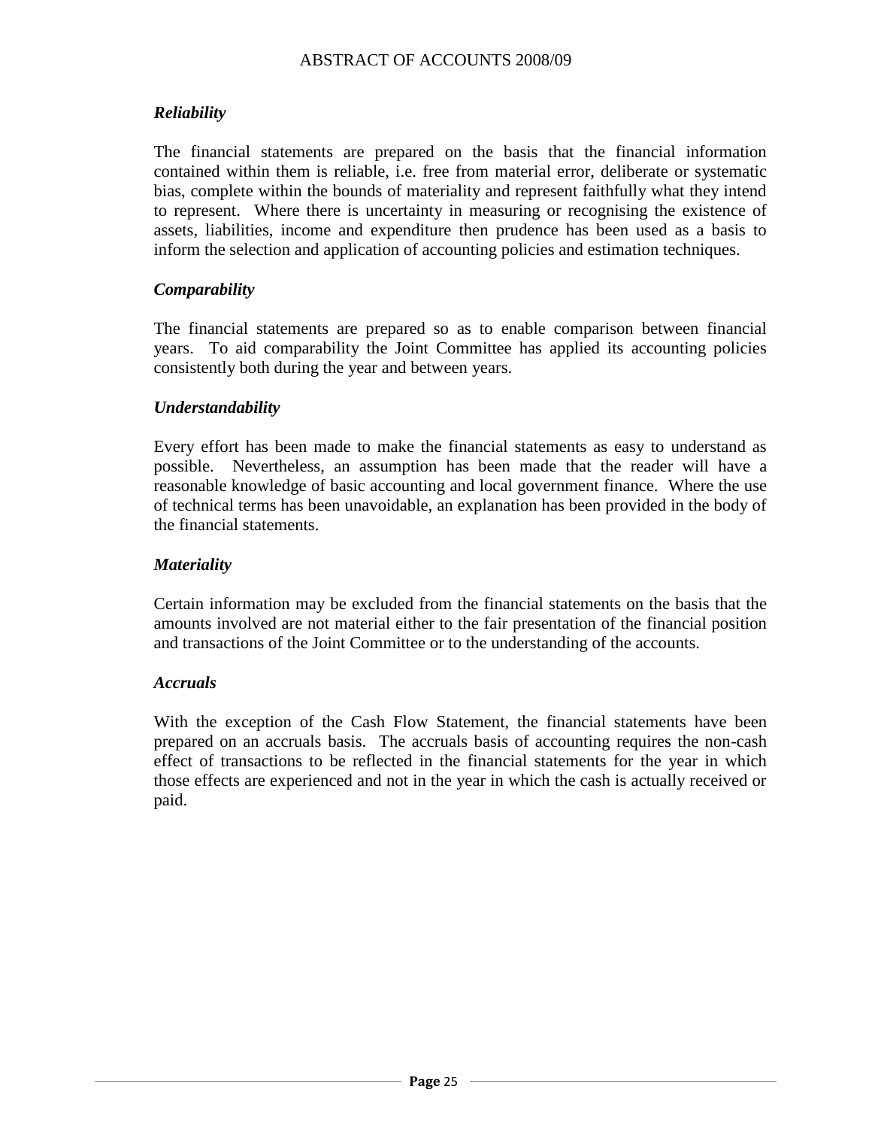## *Reliability*

The financial statements are prepared on the basis that the financial information contained within them is reliable, i.e. free from material error, deliberate or systematic bias, complete within the bounds of materiality and represent faithfully what they intend to represent. Where there is uncertainty in measuring or recognising the existence of assets, liabilities, income and expenditure then prudence has been used as a basis to inform the selection and application of accounting policies and estimation techniques.

#### *Comparability*

The financial statements are prepared so as to enable comparison between financial years. To aid comparability the Joint Committee has applied its accounting policies consistently both during the year and between years.

#### *Understandability*

Every effort has been made to make the financial statements as easy to understand as possible. Nevertheless, an assumption has been made that the reader will have a reasonable knowledge of basic accounting and local government finance. Where the use of technical terms has been unavoidable, an explanation has been provided in the body of the financial statements.

#### *Materiality*

Certain information may be excluded from the financial statements on the basis that the amounts involved are not material either to the fair presentation of the financial position and transactions of the Joint Committee or to the understanding of the accounts.

#### *Accruals*

With the exception of the Cash Flow Statement, the financial statements have been prepared on an accruals basis. The accruals basis of accounting requires the non-cash effect of transactions to be reflected in the financial statements for the year in which those effects are experienced and not in the year in which the cash is actually received or paid.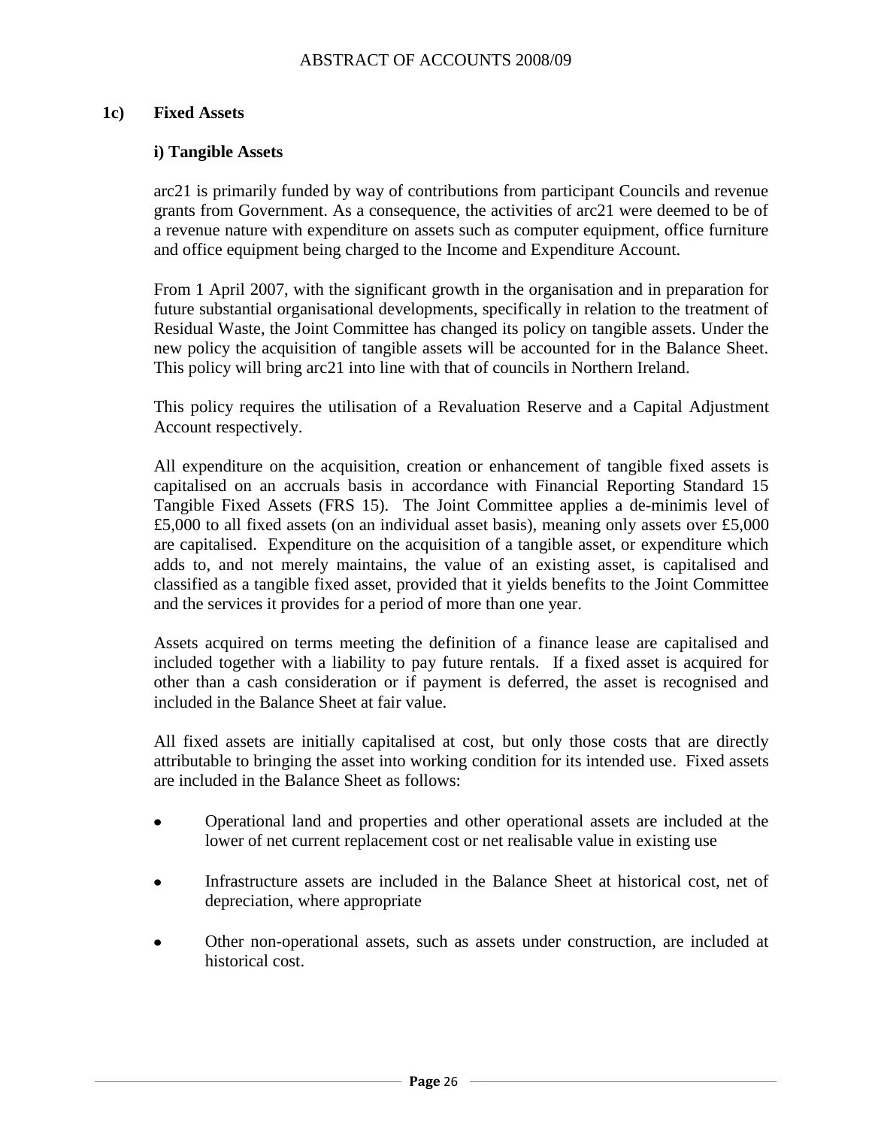#### **1c) Fixed Assets**

#### **i) Tangible Assets**

arc21 is primarily funded by way of contributions from participant Councils and revenue grants from Government. As a consequence, the activities of arc21 were deemed to be of a revenue nature with expenditure on assets such as computer equipment, office furniture and office equipment being charged to the Income and Expenditure Account.

From 1 April 2007, with the significant growth in the organisation and in preparation for future substantial organisational developments, specifically in relation to the treatment of Residual Waste, the Joint Committee has changed its policy on tangible assets. Under the new policy the acquisition of tangible assets will be accounted for in the Balance Sheet. This policy will bring arc21 into line with that of councils in Northern Ireland.

This policy requires the utilisation of a Revaluation Reserve and a Capital Adjustment Account respectively.

All expenditure on the acquisition, creation or enhancement of tangible fixed assets is capitalised on an accruals basis in accordance with Financial Reporting Standard 15 Tangible Fixed Assets (FRS 15). The Joint Committee applies a de-minimis level of £5,000 to all fixed assets (on an individual asset basis), meaning only assets over £5,000 are capitalised. Expenditure on the acquisition of a tangible asset, or expenditure which adds to, and not merely maintains, the value of an existing asset, is capitalised and classified as a tangible fixed asset, provided that it yields benefits to the Joint Committee and the services it provides for a period of more than one year.

Assets acquired on terms meeting the definition of a finance lease are capitalised and included together with a liability to pay future rentals. If a fixed asset is acquired for other than a cash consideration or if payment is deferred, the asset is recognised and included in the Balance Sheet at fair value.

All fixed assets are initially capitalised at cost, but only those costs that are directly attributable to bringing the asset into working condition for its intended use. Fixed assets are included in the Balance Sheet as follows:

- Operational land and properties and other operational assets are included at the  $\bullet$ lower of net current replacement cost or net realisable value in existing use
- Infrastructure assets are included in the Balance Sheet at historical cost, net of  $\bullet$ depreciation, where appropriate
- Other non-operational assets, such as assets under construction, are included at historical cost.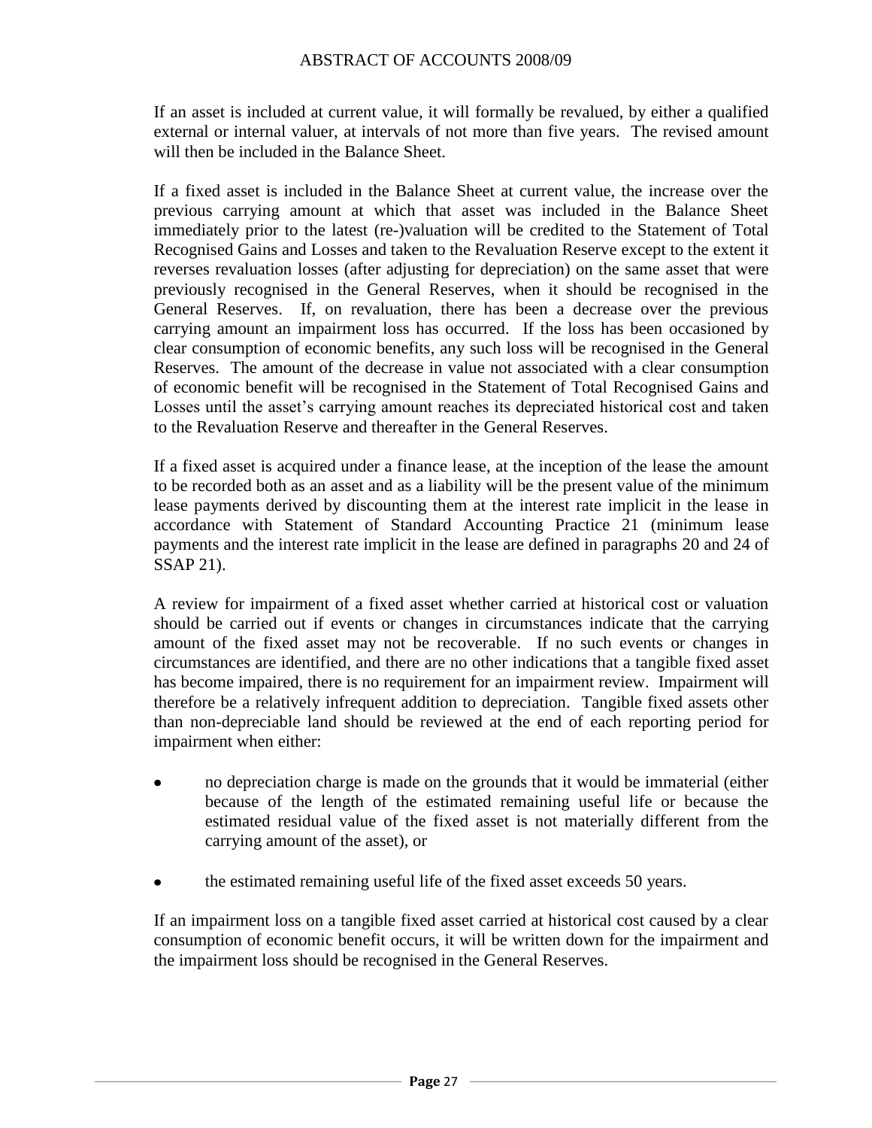If an asset is included at current value, it will formally be revalued, by either a qualified external or internal valuer, at intervals of not more than five years. The revised amount will then be included in the Balance Sheet.

If a fixed asset is included in the Balance Sheet at current value, the increase over the previous carrying amount at which that asset was included in the Balance Sheet immediately prior to the latest (re-)valuation will be credited to the Statement of Total Recognised Gains and Losses and taken to the Revaluation Reserve except to the extent it reverses revaluation losses (after adjusting for depreciation) on the same asset that were previously recognised in the General Reserves, when it should be recognised in the General Reserves. If, on revaluation, there has been a decrease over the previous carrying amount an impairment loss has occurred. If the loss has been occasioned by clear consumption of economic benefits, any such loss will be recognised in the General Reserves. The amount of the decrease in value not associated with a clear consumption of economic benefit will be recognised in the Statement of Total Recognised Gains and Losses until the asset's carrying amount reaches its depreciated historical cost and taken to the Revaluation Reserve and thereafter in the General Reserves.

If a fixed asset is acquired under a finance lease, at the inception of the lease the amount to be recorded both as an asset and as a liability will be the present value of the minimum lease payments derived by discounting them at the interest rate implicit in the lease in accordance with Statement of Standard Accounting Practice 21 (minimum lease payments and the interest rate implicit in the lease are defined in paragraphs 20 and 24 of SSAP 21).

A review for impairment of a fixed asset whether carried at historical cost or valuation should be carried out if events or changes in circumstances indicate that the carrying amount of the fixed asset may not be recoverable. If no such events or changes in circumstances are identified, and there are no other indications that a tangible fixed asset has become impaired, there is no requirement for an impairment review. Impairment will therefore be a relatively infrequent addition to depreciation. Tangible fixed assets other than non-depreciable land should be reviewed at the end of each reporting period for impairment when either:

- no depreciation charge is made on the grounds that it would be immaterial (either because of the length of the estimated remaining useful life or because the estimated residual value of the fixed asset is not materially different from the carrying amount of the asset), or
- the estimated remaining useful life of the fixed asset exceeds 50 years.  $\bullet$

If an impairment loss on a tangible fixed asset carried at historical cost caused by a clear consumption of economic benefit occurs, it will be written down for the impairment and the impairment loss should be recognised in the General Reserves.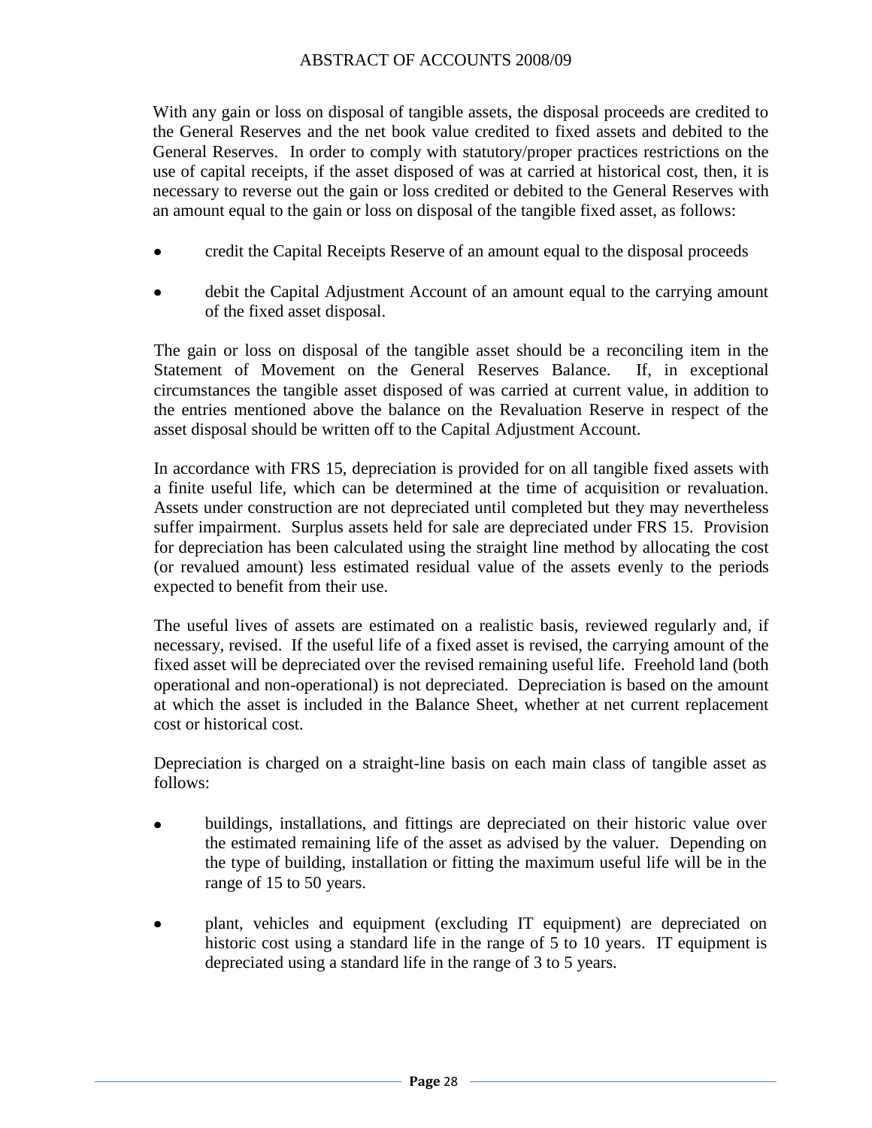With any gain or loss on disposal of tangible assets, the disposal proceeds are credited to the General Reserves and the net book value credited to fixed assets and debited to the General Reserves. In order to comply with statutory/proper practices restrictions on the use of capital receipts, if the asset disposed of was at carried at historical cost, then, it is necessary to reverse out the gain or loss credited or debited to the General Reserves with an amount equal to the gain or loss on disposal of the tangible fixed asset, as follows:

- credit the Capital Receipts Reserve of an amount equal to the disposal proceeds  $\bullet$
- debit the Capital Adjustment Account of an amount equal to the carrying amount of the fixed asset disposal.

The gain or loss on disposal of the tangible asset should be a reconciling item in the Statement of Movement on the General Reserves Balance. If, in exceptional circumstances the tangible asset disposed of was carried at current value, in addition to the entries mentioned above the balance on the Revaluation Reserve in respect of the asset disposal should be written off to the Capital Adjustment Account.

In accordance with FRS 15, depreciation is provided for on all tangible fixed assets with a finite useful life, which can be determined at the time of acquisition or revaluation. Assets under construction are not depreciated until completed but they may nevertheless suffer impairment. Surplus assets held for sale are depreciated under FRS 15. Provision for depreciation has been calculated using the straight line method by allocating the cost (or revalued amount) less estimated residual value of the assets evenly to the periods expected to benefit from their use.

The useful lives of assets are estimated on a realistic basis, reviewed regularly and, if necessary, revised. If the useful life of a fixed asset is revised, the carrying amount of the fixed asset will be depreciated over the revised remaining useful life. Freehold land (both operational and non-operational) is not depreciated. Depreciation is based on the amount at which the asset is included in the Balance Sheet, whether at net current replacement cost or historical cost.

Depreciation is charged on a straight-line basis on each main class of tangible asset as follows:

- buildings, installations, and fittings are depreciated on their historic value over the estimated remaining life of the asset as advised by the valuer. Depending on the type of building, installation or fitting the maximum useful life will be in the range of 15 to 50 years.
- plant, vehicles and equipment (excluding IT equipment) are depreciated on historic cost using a standard life in the range of 5 to 10 years. IT equipment is depreciated using a standard life in the range of 3 to 5 years.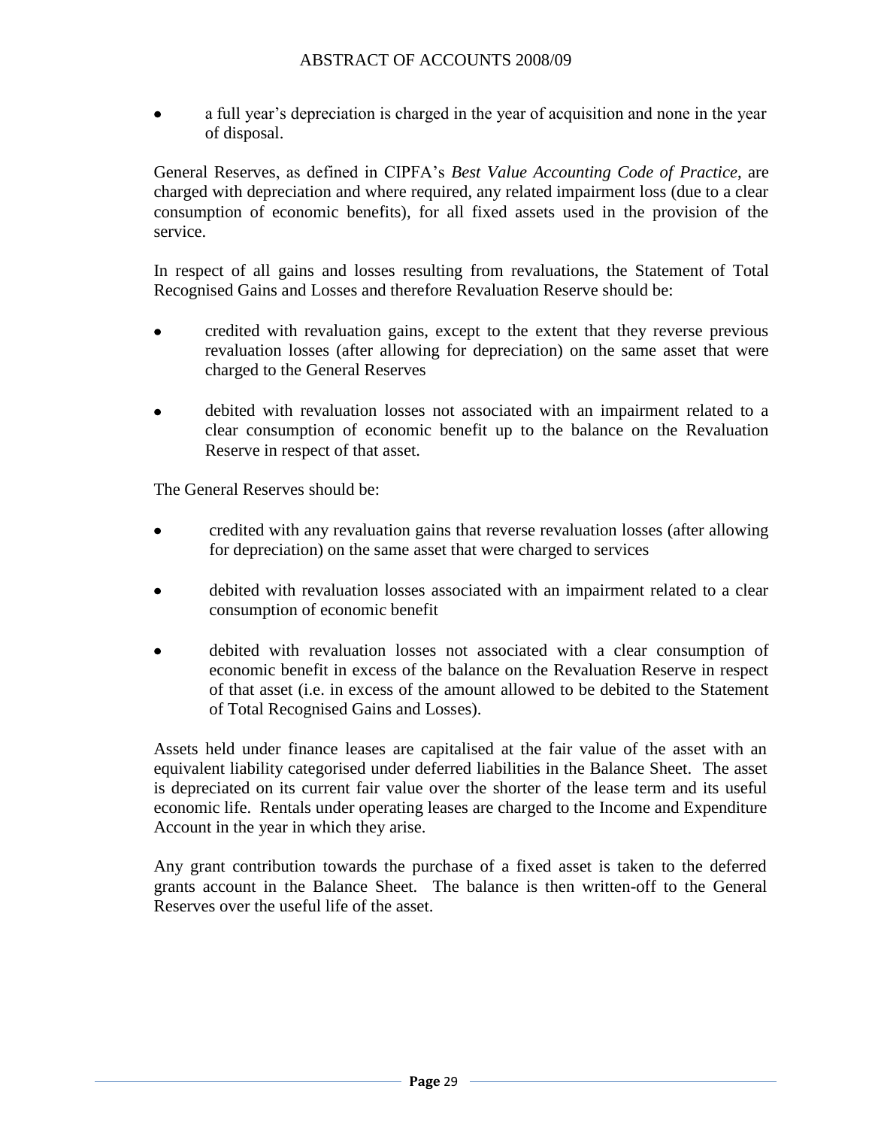a full year's depreciation is charged in the year of acquisition and none in the year of disposal.

General Reserves, as defined in CIPFA"s *Best Value Accounting Code of Practice*, are charged with depreciation and where required, any related impairment loss (due to a clear consumption of economic benefits), for all fixed assets used in the provision of the service.

In respect of all gains and losses resulting from revaluations, the Statement of Total Recognised Gains and Losses and therefore Revaluation Reserve should be:

- $\bullet$ credited with revaluation gains, except to the extent that they reverse previous revaluation losses (after allowing for depreciation) on the same asset that were charged to the General Reserves
- debited with revaluation losses not associated with an impairment related to a clear consumption of economic benefit up to the balance on the Revaluation Reserve in respect of that asset.

The General Reserves should be:

- credited with any revaluation gains that reverse revaluation losses (after allowing for depreciation) on the same asset that were charged to services
- debited with revaluation losses associated with an impairment related to a clear consumption of economic benefit
- debited with revaluation losses not associated with a clear consumption of economic benefit in excess of the balance on the Revaluation Reserve in respect of that asset (i.e. in excess of the amount allowed to be debited to the Statement of Total Recognised Gains and Losses).

Assets held under finance leases are capitalised at the fair value of the asset with an equivalent liability categorised under deferred liabilities in the Balance Sheet. The asset is depreciated on its current fair value over the shorter of the lease term and its useful economic life. Rentals under operating leases are charged to the Income and Expenditure Account in the year in which they arise.

Any grant contribution towards the purchase of a fixed asset is taken to the deferred grants account in the Balance Sheet. The balance is then written-off to the General Reserves over the useful life of the asset.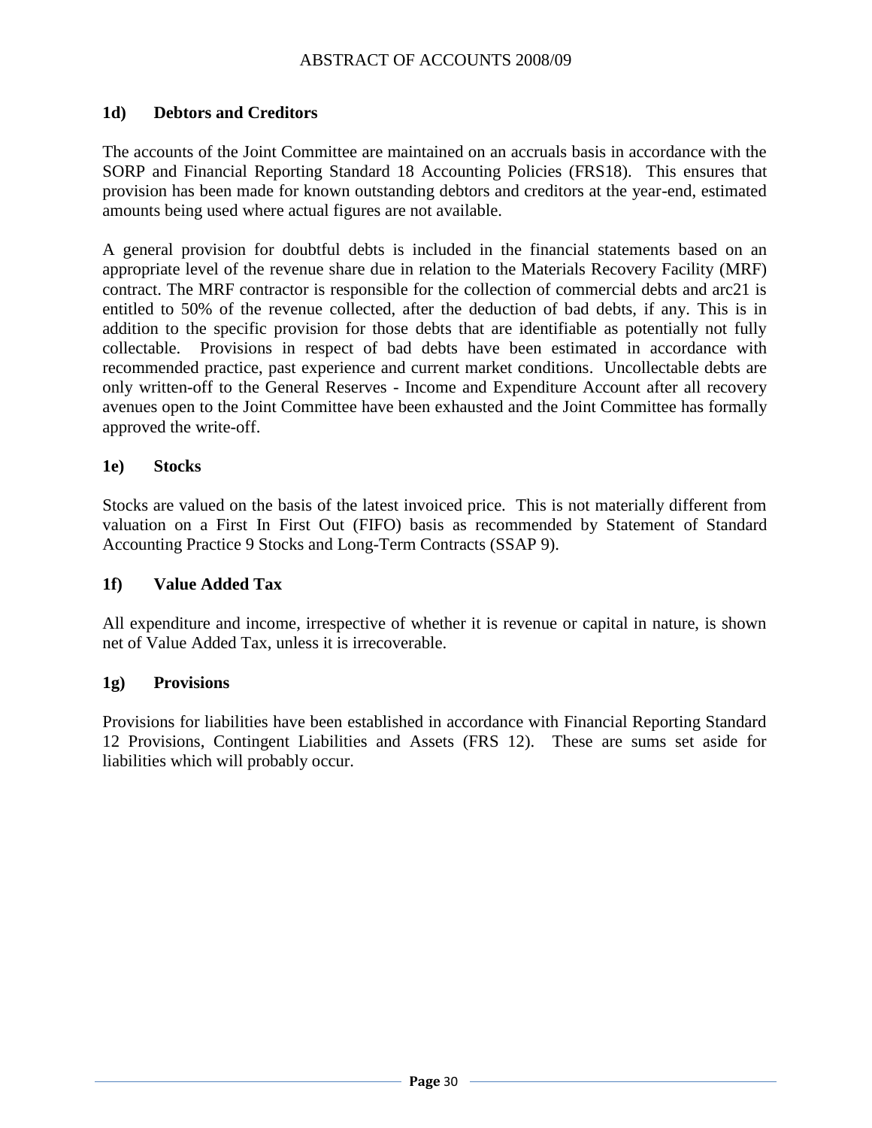#### **1d) Debtors and Creditors**

The accounts of the Joint Committee are maintained on an accruals basis in accordance with the SORP and Financial Reporting Standard 18 Accounting Policies (FRS18). This ensures that provision has been made for known outstanding debtors and creditors at the year-end, estimated amounts being used where actual figures are not available.

A general provision for doubtful debts is included in the financial statements based on an appropriate level of the revenue share due in relation to the Materials Recovery Facility (MRF) contract. The MRF contractor is responsible for the collection of commercial debts and arc21 is entitled to 50% of the revenue collected, after the deduction of bad debts, if any. This is in addition to the specific provision for those debts that are identifiable as potentially not fully collectable. Provisions in respect of bad debts have been estimated in accordance with recommended practice, past experience and current market conditions. Uncollectable debts are only written-off to the General Reserves - Income and Expenditure Account after all recovery avenues open to the Joint Committee have been exhausted and the Joint Committee has formally approved the write-off.

#### **1e) Stocks**

Stocks are valued on the basis of the latest invoiced price. This is not materially different from valuation on a First In First Out (FIFO) basis as recommended by Statement of Standard Accounting Practice 9 Stocks and Long-Term Contracts (SSAP 9).

#### **1f) Value Added Tax**

All expenditure and income, irrespective of whether it is revenue or capital in nature, is shown net of Value Added Tax, unless it is irrecoverable.

#### **1g) Provisions**

Provisions for liabilities have been established in accordance with Financial Reporting Standard 12 Provisions, Contingent Liabilities and Assets (FRS 12). These are sums set aside for liabilities which will probably occur.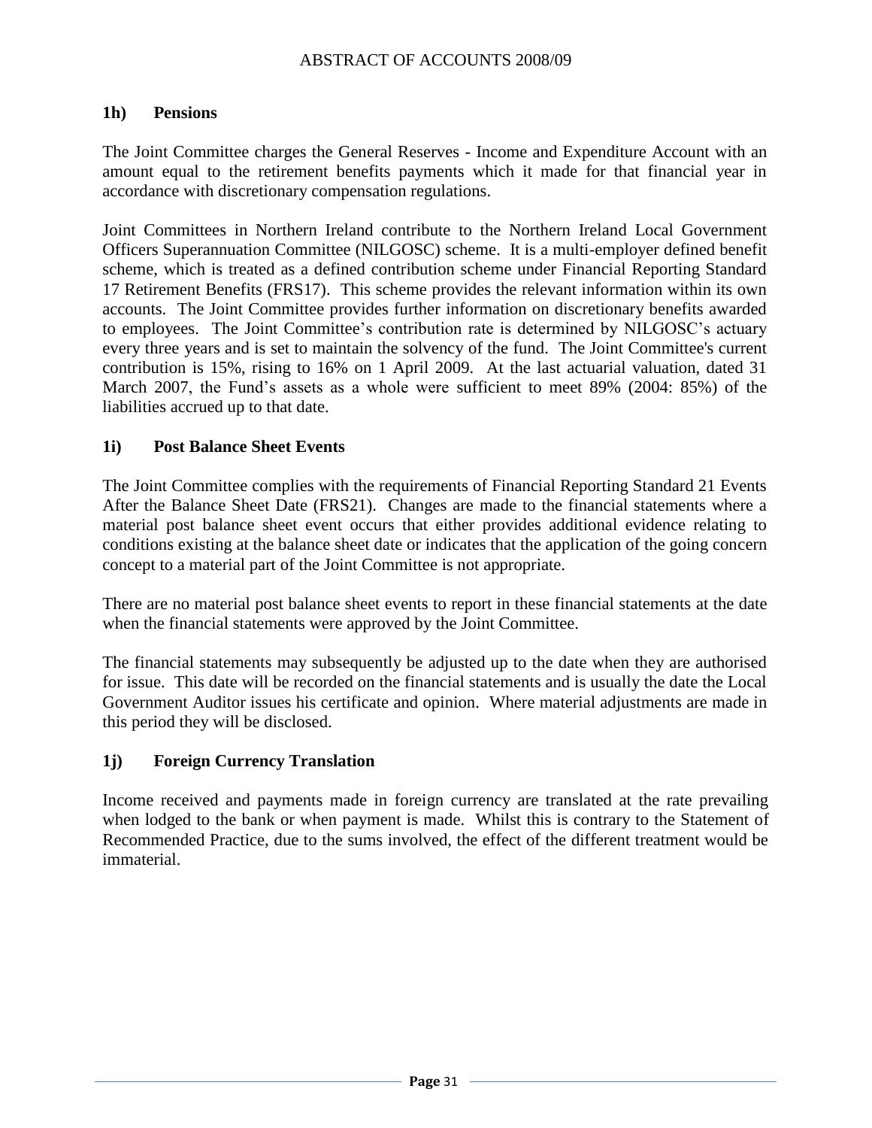#### **1h) Pensions**

The Joint Committee charges the General Reserves - Income and Expenditure Account with an amount equal to the retirement benefits payments which it made for that financial year in accordance with discretionary compensation regulations.

Joint Committees in Northern Ireland contribute to the Northern Ireland Local Government Officers Superannuation Committee (NILGOSC) scheme. It is a multi-employer defined benefit scheme, which is treated as a defined contribution scheme under Financial Reporting Standard 17 Retirement Benefits (FRS17). This scheme provides the relevant information within its own accounts. The Joint Committee provides further information on discretionary benefits awarded to employees. The Joint Committee's contribution rate is determined by NILGOSC's actuary every three years and is set to maintain the solvency of the fund. The Joint Committee's current contribution is 15%, rising to 16% on 1 April 2009. At the last actuarial valuation, dated 31 March 2007, the Fund"s assets as a whole were sufficient to meet 89% (2004: 85%) of the liabilities accrued up to that date.

#### **1i) Post Balance Sheet Events**

The Joint Committee complies with the requirements of Financial Reporting Standard 21 Events After the Balance Sheet Date (FRS21). Changes are made to the financial statements where a material post balance sheet event occurs that either provides additional evidence relating to conditions existing at the balance sheet date or indicates that the application of the going concern concept to a material part of the Joint Committee is not appropriate.

There are no material post balance sheet events to report in these financial statements at the date when the financial statements were approved by the Joint Committee.

The financial statements may subsequently be adjusted up to the date when they are authorised for issue. This date will be recorded on the financial statements and is usually the date the Local Government Auditor issues his certificate and opinion. Where material adjustments are made in this period they will be disclosed.

#### **1j) Foreign Currency Translation**

Income received and payments made in foreign currency are translated at the rate prevailing when lodged to the bank or when payment is made. Whilst this is contrary to the Statement of Recommended Practice, due to the sums involved, the effect of the different treatment would be immaterial.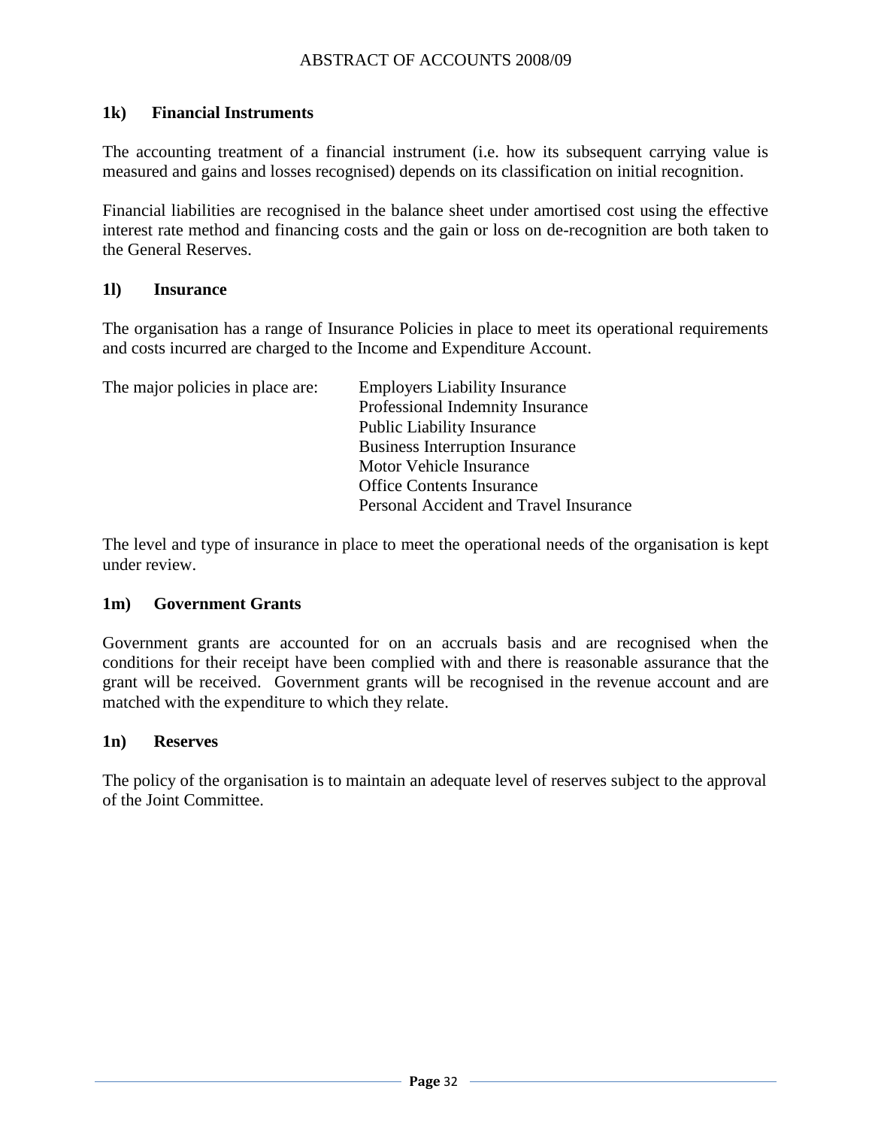#### **1k) Financial Instruments**

The accounting treatment of a financial instrument (i.e. how its subsequent carrying value is measured and gains and losses recognised) depends on its classification on initial recognition.

Financial liabilities are recognised in the balance sheet under amortised cost using the effective interest rate method and financing costs and the gain or loss on de-recognition are both taken to the General Reserves.

#### **1l) Insurance**

The organisation has a range of Insurance Policies in place to meet its operational requirements and costs incurred are charged to the Income and Expenditure Account.

| The major policies in place are: | <b>Employers Liability Insurance</b>   |
|----------------------------------|----------------------------------------|
|                                  | Professional Indemnity Insurance       |
|                                  | <b>Public Liability Insurance</b>      |
|                                  | <b>Business Interruption Insurance</b> |
|                                  | Motor Vehicle Insurance                |
|                                  | <b>Office Contents Insurance</b>       |
|                                  | Personal Accident and Travel Insurance |

The level and type of insurance in place to meet the operational needs of the organisation is kept under review.

#### **1m) Government Grants**

Government grants are accounted for on an accruals basis and are recognised when the conditions for their receipt have been complied with and there is reasonable assurance that the grant will be received. Government grants will be recognised in the revenue account and are matched with the expenditure to which they relate.

#### **1n) Reserves**

The policy of the organisation is to maintain an adequate level of reserves subject to the approval of the Joint Committee.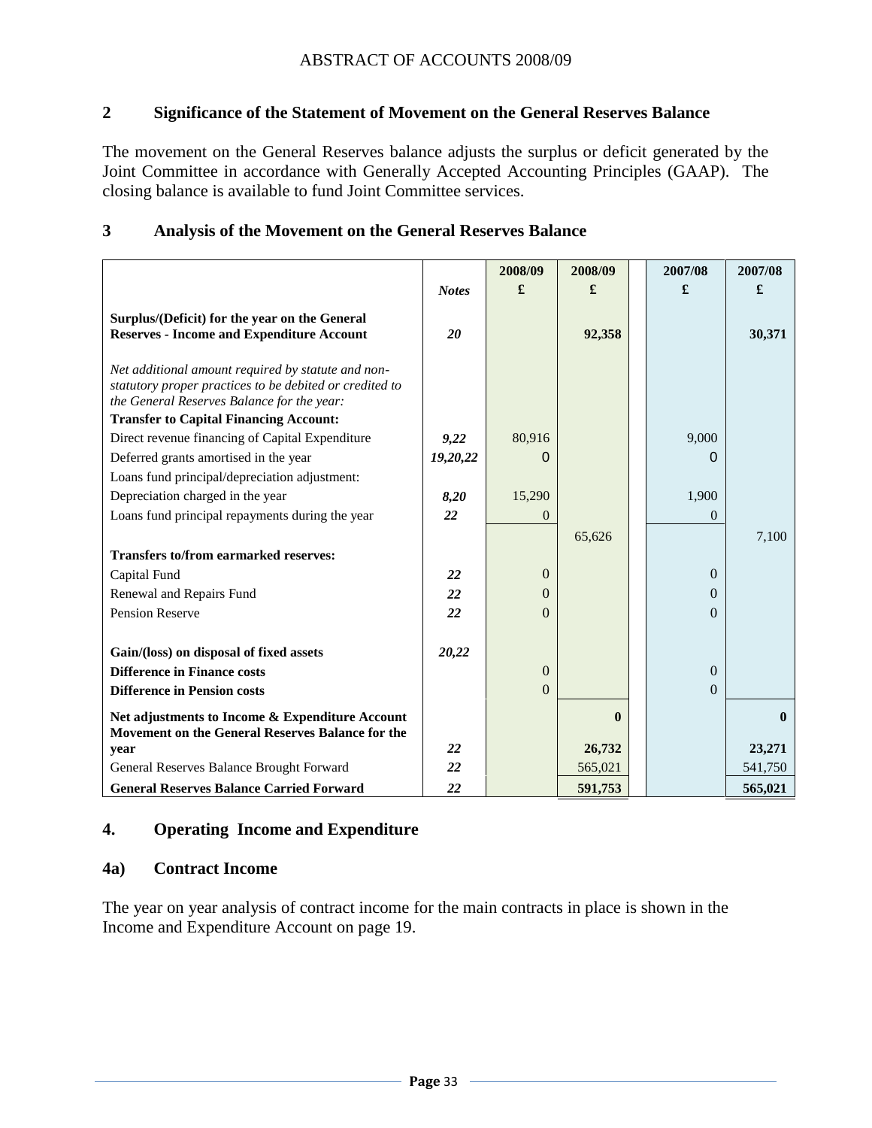### **2 Significance of the Statement of Movement on the General Reserves Balance**

The movement on the General Reserves balance adjusts the surplus or deficit generated by the Joint Committee in accordance with Generally Accepted Accounting Principles (GAAP). The closing balance is available to fund Joint Committee services.

#### **3 Analysis of the Movement on the General Reserves Balance**

|                                                                                                                                                             |              | 2008/09        | 2008/09      | 2007/08      | 2007/08      |
|-------------------------------------------------------------------------------------------------------------------------------------------------------------|--------------|----------------|--------------|--------------|--------------|
|                                                                                                                                                             | <b>Notes</b> | £              | £            | £            | £            |
| Surplus/(Deficit) for the year on the General<br><b>Reserves - Income and Expenditure Account</b>                                                           | 20           |                | 92,358       |              | 30,371       |
| Net additional amount required by statute and non-<br>statutory proper practices to be debited or credited to<br>the General Reserves Balance for the year: |              |                |              |              |              |
| <b>Transfer to Capital Financing Account:</b>                                                                                                               |              |                |              |              |              |
| Direct revenue financing of Capital Expenditure                                                                                                             | 9,22         | 80,916         |              | 9,000        |              |
| Deferred grants amortised in the year                                                                                                                       | 19,20,22     | 0              |              | $\Omega$     |              |
| Loans fund principal/depreciation adjustment:                                                                                                               |              |                |              |              |              |
| Depreciation charged in the year                                                                                                                            | 8,20         | 15,290         |              | 1,900        |              |
| Loans fund principal repayments during the year                                                                                                             | 22           | $\overline{0}$ |              | $\theta$     |              |
|                                                                                                                                                             |              |                | 65,626       |              | 7,100        |
| <b>Transfers to/from earmarked reserves:</b>                                                                                                                |              |                |              |              |              |
| Capital Fund                                                                                                                                                | 22           | $\overline{0}$ |              | $\Omega$     |              |
| Renewal and Repairs Fund                                                                                                                                    | 22           | $\Omega$       |              | $\Omega$     |              |
| Pension Reserve                                                                                                                                             | 22           | $\Omega$       |              | $\Omega$     |              |
|                                                                                                                                                             |              |                |              |              |              |
| Gain/(loss) on disposal of fixed assets                                                                                                                     | 20,22        |                |              |              |              |
| <b>Difference in Finance costs</b>                                                                                                                          |              | $\overline{0}$ |              | $\mathbf{0}$ |              |
| <b>Difference in Pension costs</b>                                                                                                                          |              | $\Omega$       |              | $\mathbf{0}$ |              |
| Net adjustments to Income & Expenditure Account<br>Movement on the General Reserves Balance for the                                                         |              |                | $\mathbf{0}$ |              | $\mathbf{0}$ |
| year                                                                                                                                                        | 22           |                | 26,732       |              | 23,271       |
| General Reserves Balance Brought Forward                                                                                                                    | 22           |                | 565,021      |              | 541,750      |
| <b>General Reserves Balance Carried Forward</b>                                                                                                             | 22           |                | 591,753      |              | 565,021      |

#### **4. Operating Income and Expenditure**

#### **4a) Contract Income**

The year on year analysis of contract income for the main contracts in place is shown in the Income and Expenditure Account on page 19.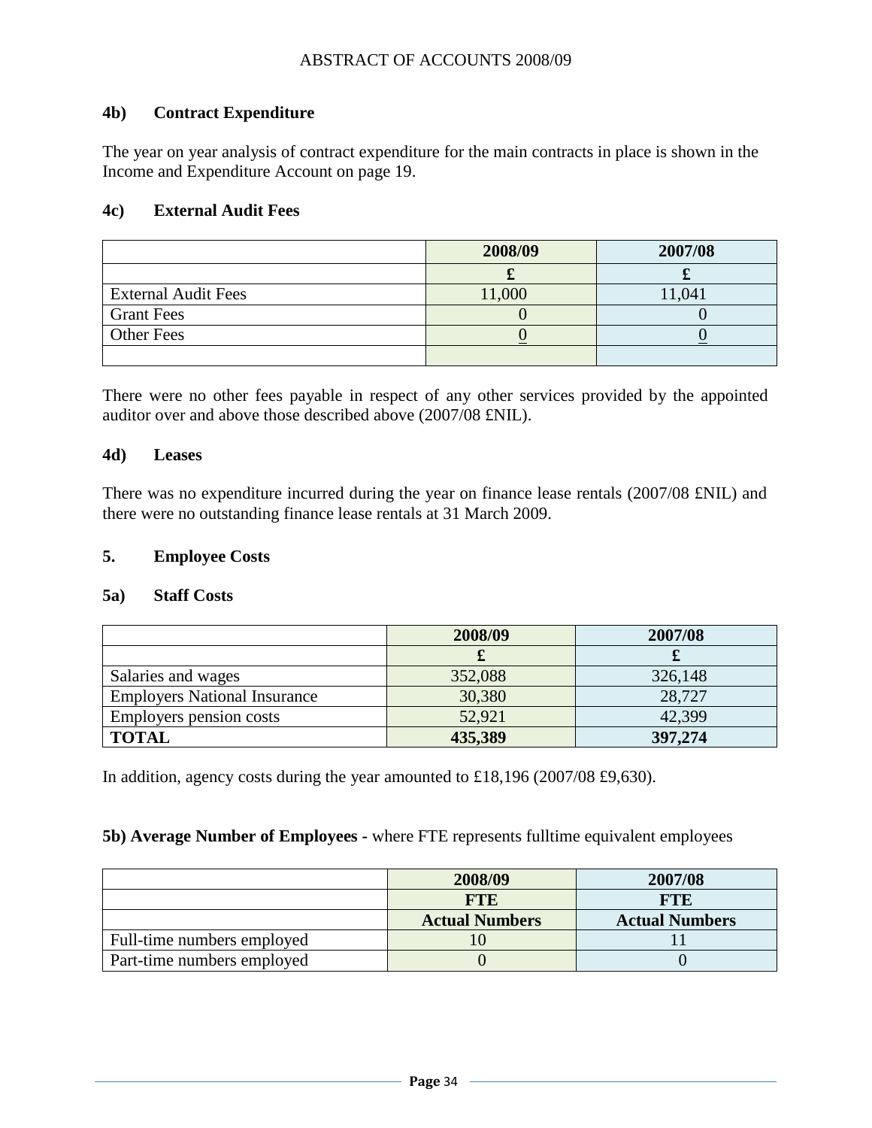#### **4b) Contract Expenditure**

The year on year analysis of contract expenditure for the main contracts in place is shown in the Income and Expenditure Account on page 19.

#### **4c) External Audit Fees**

|                            | 2008/09 | 2007/08 |
|----------------------------|---------|---------|
|                            | o.      |         |
| <b>External Audit Fees</b> | 11,000  | ,041    |
| <b>Grant Fees</b>          |         |         |
| <b>Other Fees</b>          |         |         |
|                            |         |         |

There were no other fees payable in respect of any other services provided by the appointed auditor over and above those described above (2007/08 £NIL).

#### **4d) Leases**

There was no expenditure incurred during the year on finance lease rentals (2007/08 £NIL) and there were no outstanding finance lease rentals at 31 March 2009.

#### **5. Employee Costs**

#### **5a) Staff Costs**

|                                     | 2008/09 | 2007/08 |
|-------------------------------------|---------|---------|
|                                     |         |         |
| Salaries and wages                  | 352,088 | 326,148 |
| <b>Employers National Insurance</b> | 30,380  | 28,727  |
| Employers pension costs             | 52,921  | 42,399  |
| <b>TOTAL</b>                        | 435,389 | 397,274 |

In addition, agency costs during the year amounted to £18,196 (2007/08 £9,630).

#### **5b) Average Number of Employees -** where FTE represents fulltime equivalent employees

|                            | 2008/09               | 2007/08               |
|----------------------------|-----------------------|-----------------------|
|                            | <b>FTE</b>            | FTE                   |
|                            | <b>Actual Numbers</b> | <b>Actual Numbers</b> |
| Full-time numbers employed |                       |                       |
| Part-time numbers employed |                       |                       |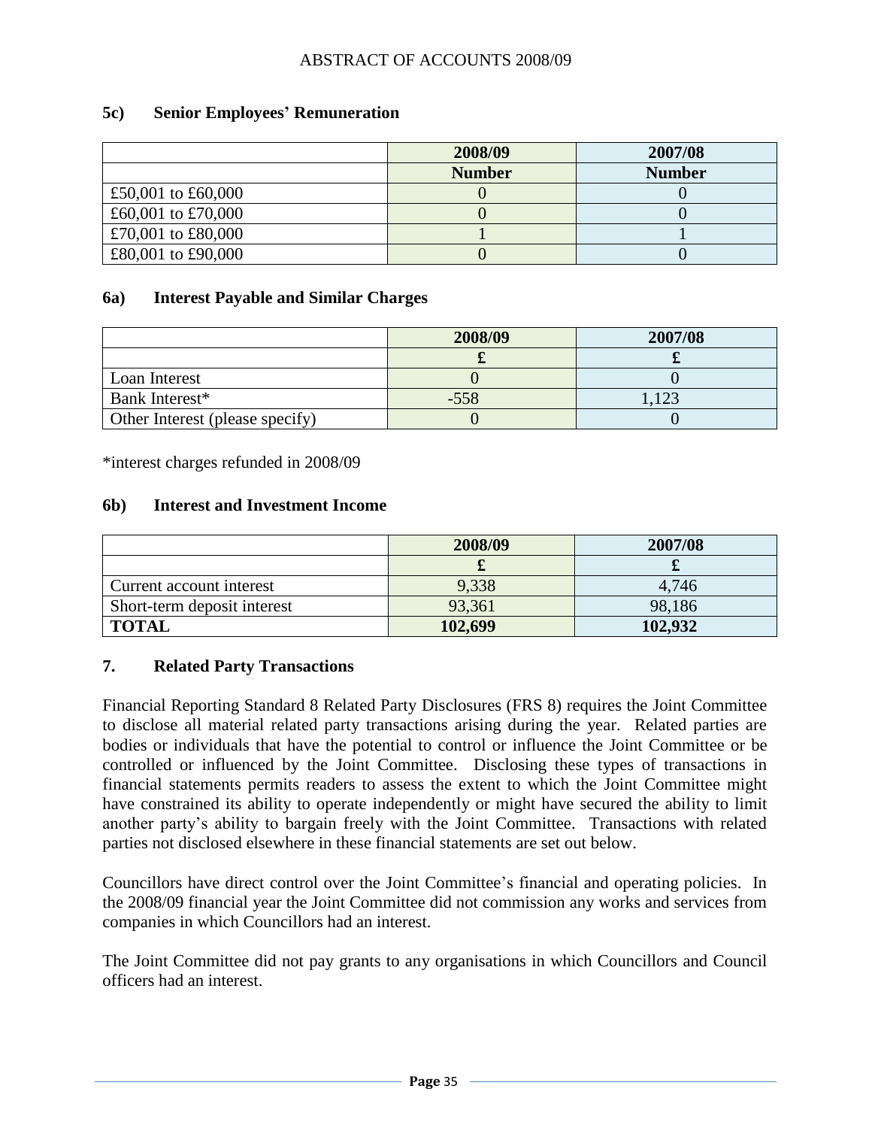#### **5c) Senior Employees' Remuneration**

|                    | 2008/09       | 2007/08       |
|--------------------|---------------|---------------|
|                    | <b>Number</b> | <b>Number</b> |
| £50,001 to £60,000 |               |               |
| £60,001 to £70,000 |               |               |
| £70,001 to £80,000 |               |               |
| £80,001 to £90,000 |               |               |

#### **6a) Interest Payable and Similar Charges**

|                                 | 2008/09 | 2007/08 |
|---------------------------------|---------|---------|
|                                 |         |         |
| Loan Interest                   |         |         |
| Bank Interest*                  | $-558$  | 1 2 2   |
| Other Interest (please specify) |         |         |

\*interest charges refunded in 2008/09

#### **6b) Interest and Investment Income**

|                             | 2008/09 | 2007/08 |
|-----------------------------|---------|---------|
|                             |         |         |
| Current account interest    | 9,338   | 4,746   |
| Short-term deposit interest | 93,361  | 98,186  |
| <b>TOTAL</b>                | 102,699 | 102,932 |

#### **7. Related Party Transactions**

Financial Reporting Standard 8 Related Party Disclosures (FRS 8) requires the Joint Committee to disclose all material related party transactions arising during the year. Related parties are bodies or individuals that have the potential to control or influence the Joint Committee or be controlled or influenced by the Joint Committee. Disclosing these types of transactions in financial statements permits readers to assess the extent to which the Joint Committee might have constrained its ability to operate independently or might have secured the ability to limit another party"s ability to bargain freely with the Joint Committee. Transactions with related parties not disclosed elsewhere in these financial statements are set out below.

Councillors have direct control over the Joint Committee"s financial and operating policies. In the 2008/09 financial year the Joint Committee did not commission any works and services from companies in which Councillors had an interest.

The Joint Committee did not pay grants to any organisations in which Councillors and Council officers had an interest.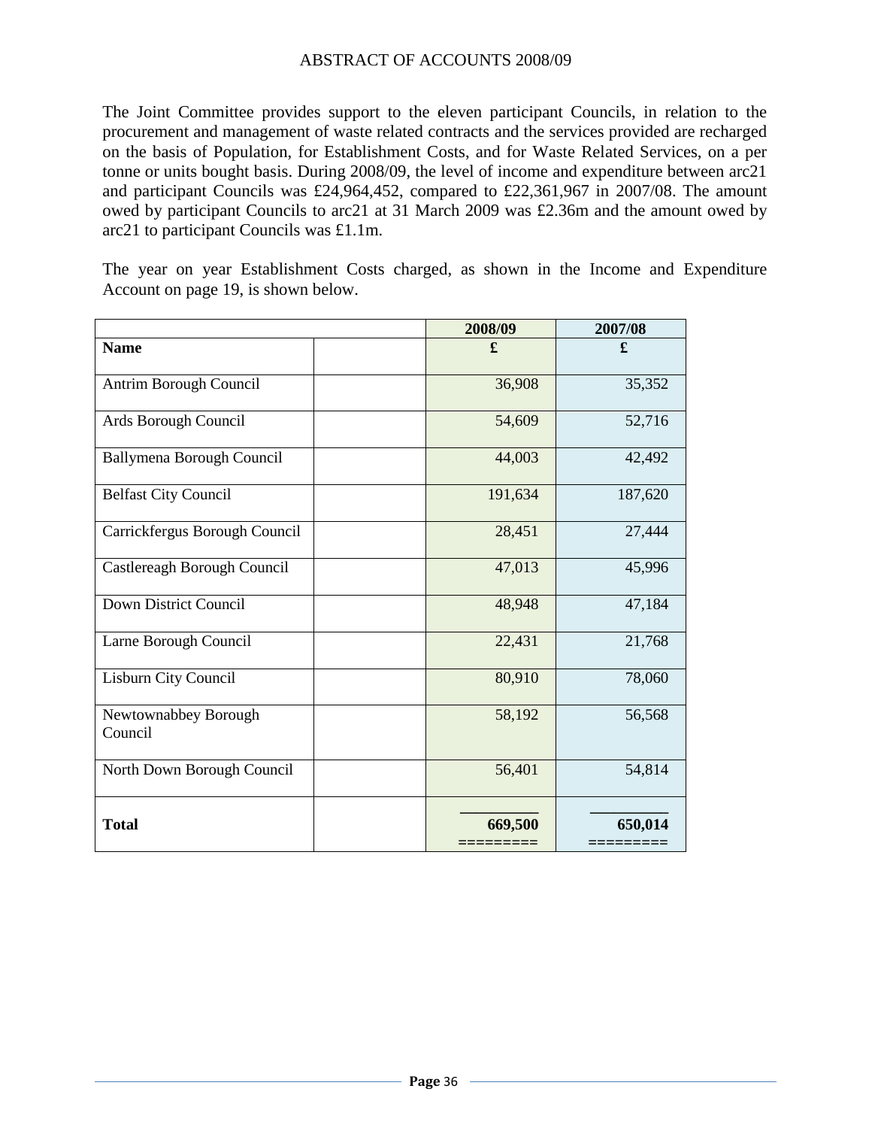The Joint Committee provides support to the eleven participant Councils, in relation to the procurement and management of waste related contracts and the services provided are recharged on the basis of Population, for Establishment Costs, and for Waste Related Services, on a per tonne or units bought basis. During 2008/09, the level of income and expenditure between arc21 and participant Councils was £24,964,452, compared to £22,361,967 in 2007/08. The amount owed by participant Councils to arc21 at 31 March 2009 was £2.36m and the amount owed by arc21 to participant Councils was £1.1m.

The year on year Establishment Costs charged, as shown in the Income and Expenditure Account on page 19, is shown below.

|                                  | 2008/09 | 2007/08 |
|----------------------------------|---------|---------|
| <b>Name</b>                      | £       | £       |
| Antrim Borough Council           | 36,908  | 35,352  |
| Ards Borough Council             | 54,609  | 52,716  |
| <b>Ballymena Borough Council</b> | 44,003  | 42,492  |
| <b>Belfast City Council</b>      | 191,634 | 187,620 |
| Carrickfergus Borough Council    | 28,451  | 27,444  |
| Castlereagh Borough Council      | 47,013  | 45,996  |
| Down District Council            | 48,948  | 47,184  |
| Larne Borough Council            | 22,431  | 21,768  |
| Lisburn City Council             | 80,910  | 78,060  |
| Newtownabbey Borough<br>Council  | 58,192  | 56,568  |
| North Down Borough Council       | 56,401  | 54,814  |
| <b>Total</b>                     | 669,500 | 650,014 |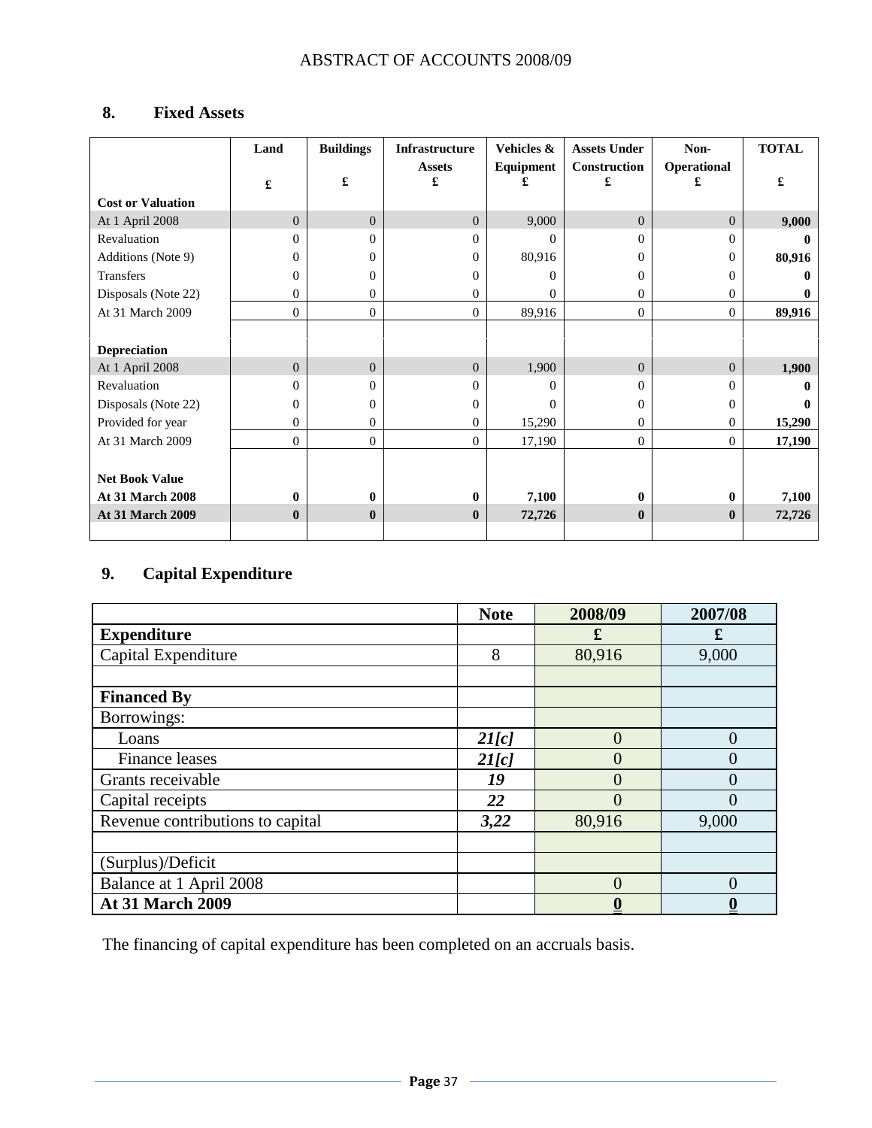# **8. Fixed Assets**

|                          | Land           | <b>Buildings</b> | Infrastructure     | Vehicles & | <b>Assets Under</b> | Non-           | <b>TOTAL</b> |
|--------------------------|----------------|------------------|--------------------|------------|---------------------|----------------|--------------|
|                          | £              | £                | <b>Assets</b><br>£ | Equipment  | Construction<br>£   | Operational    | £            |
| <b>Cost or Valuation</b> |                |                  |                    |            |                     |                |              |
| At 1 April 2008          | $\overline{0}$ | $\overline{0}$   | $\Omega$           | 9,000      | $\overline{0}$      | $\Omega$       | 9,000        |
| Revaluation              | 0              | $\Omega$         | $\Omega$           | $\Omega$   | $\Omega$            | 0              | $\bullet$    |
| Additions (Note 9)       | $\Omega$       | $\Omega$         | $\Omega$           | 80,916     | $\Omega$            | $^{()}$        | 80,916       |
| Transfers                | $\Omega$       | 0                | 0                  | 0          | $\mathbf{0}$        | 0              |              |
| Disposals (Note 22)      | 0              | $\Omega$         | 0                  | $\Omega$   | $\mathbf{0}$        | 0              | $\bullet$    |
| At 31 March 2009         | $\overline{0}$ | $\overline{0}$   | $\overline{0}$     | 89,916     | $\overline{0}$      | $\overline{0}$ | 89,916       |
|                          |                |                  |                    |            |                     |                |              |
| <b>Depreciation</b>      |                |                  |                    |            |                     |                |              |
| At 1 April 2008          | $\overline{0}$ | $\Omega$         | $\Omega$           | 1,900      | $\overline{0}$      | $\Omega$       | 1,900        |
| Revaluation              | $\Omega$       | 0                | $\Omega$           | 0          | $\Omega$            | 0              |              |
| Disposals (Note 22)      | $\Omega$       | $\Omega$         | 0                  | $\Omega$   | $\mathbf{0}$        | 0              |              |
| Provided for year        | 0              | 0                | $\Omega$           | 15,290     | $\mathbf{0}$        | 0              | 15,290       |
| At 31 March 2009         | $\Omega$       | $\overline{0}$   | $\Omega$           | 17,190     | $\overline{0}$      | $\Omega$       | 17,190       |
|                          |                |                  |                    |            |                     |                |              |
| <b>Net Book Value</b>    |                |                  |                    |            |                     |                |              |
| <b>At 31 March 2008</b>  | $\mathbf{0}$   | $\mathbf{0}$     | $\mathbf{0}$       | 7,100      | $\mathbf{0}$        | 0              | 7,100        |
| <b>At 31 March 2009</b>  | $\mathbf{0}$   | $\mathbf{0}$     | $\mathbf{0}$       | 72,726     | $\bf{0}$            | $\bf{0}$       | 72,726       |
|                          |                |                  |                    |            |                     |                |              |

## **9. Capital Expenditure**

|                                  | <b>Note</b> | 2008/09  | 2007/08  |
|----------------------------------|-------------|----------|----------|
| <b>Expenditure</b>               |             | £        | £        |
| Capital Expenditure              | 8           | 80,916   | 9,000    |
|                                  |             |          |          |
| <b>Financed By</b>               |             |          |          |
| Borrowings:                      |             |          |          |
| Loans                            | 2I[c]       | 0        | $\theta$ |
| <b>Finance leases</b>            | 2I[c]       |          | $\Omega$ |
| Grants receivable                | 19          |          | 0        |
| Capital receipts                 | 22          |          | $\theta$ |
| Revenue contributions to capital | 3,22        | 80,916   | 9,000    |
|                                  |             |          |          |
| (Surplus)/Deficit                |             |          |          |
| Balance at 1 April 2008          |             | $\Omega$ | $\Omega$ |
| <b>At 31 March 2009</b>          |             |          |          |

The financing of capital expenditure has been completed on an accruals basis.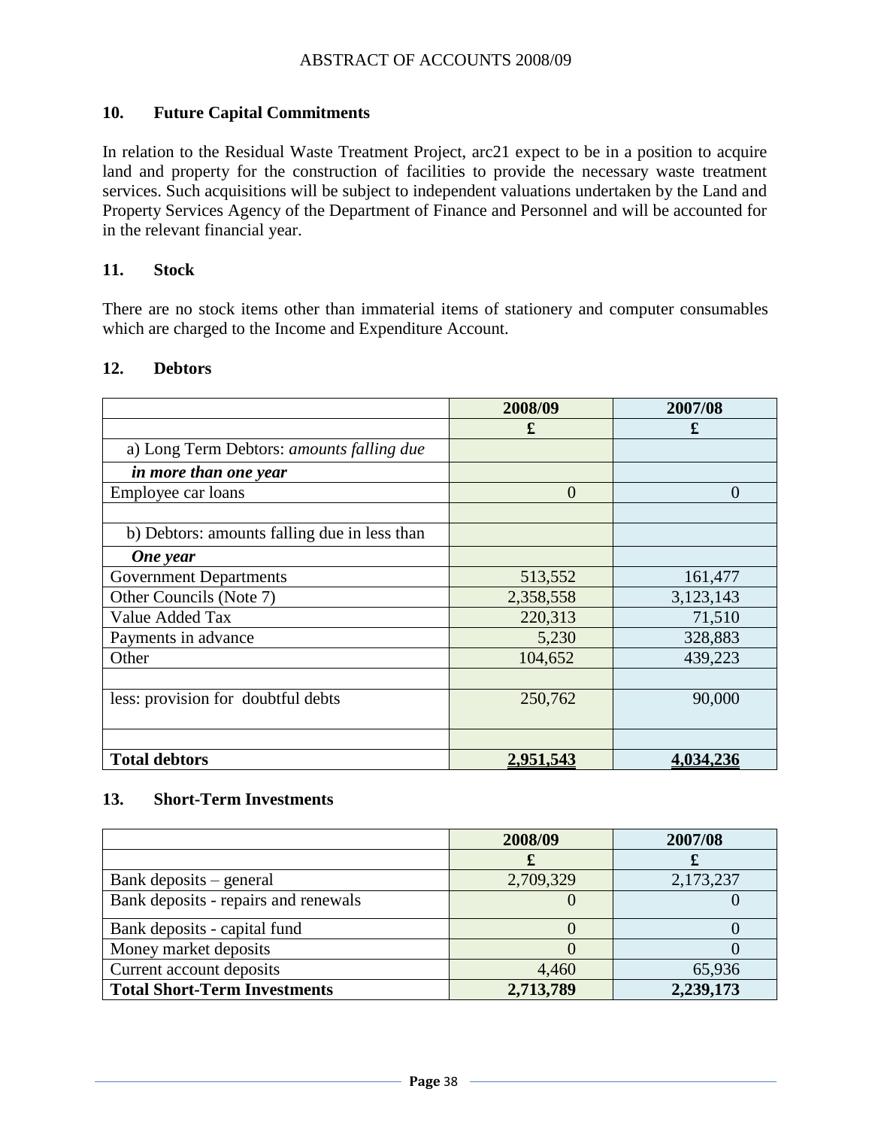#### **10. Future Capital Commitments**

In relation to the Residual Waste Treatment Project, arc21 expect to be in a position to acquire land and property for the construction of facilities to provide the necessary waste treatment services. Such acquisitions will be subject to independent valuations undertaken by the Land and Property Services Agency of the Department of Finance and Personnel and will be accounted for in the relevant financial year.

#### **11. Stock**

There are no stock items other than immaterial items of stationery and computer consumables which are charged to the Income and Expenditure Account.

|                                              | 2008/09          | 2007/08        |
|----------------------------------------------|------------------|----------------|
|                                              | £                | £              |
| a) Long Term Debtors: amounts falling due    |                  |                |
| in more than one year                        |                  |                |
| Employee car loans                           | $\overline{0}$   | $\overline{0}$ |
|                                              |                  |                |
| b) Debtors: amounts falling due in less than |                  |                |
| One year                                     |                  |                |
| <b>Government Departments</b>                | 513,552          | 161,477        |
| Other Councils (Note 7)                      | 2,358,558        | 3,123,143      |
| Value Added Tax                              | 220,313          | 71,510         |
| Payments in advance                          | 5,230            | 328,883        |
| Other                                        | 104,652          | 439,223        |
|                                              |                  |                |
| less: provision for doubtful debts           | 250,762          | 90,000         |
|                                              |                  |                |
| <b>Total debtors</b>                         | <u>2,951,543</u> | 4,034,236      |

#### **12. Debtors**

#### **13. Short-Term Investments**

|                                      | 2008/09   | 2007/08   |
|--------------------------------------|-----------|-----------|
|                                      |           |           |
| Bank deposits – general              | 2,709,329 | 2,173,237 |
| Bank deposits - repairs and renewals |           |           |
| Bank deposits - capital fund         |           |           |
| Money market deposits                |           |           |
| Current account deposits             | 4,460     | 65,936    |
| <b>Total Short-Term Investments</b>  | 2,713,789 | 2,239,173 |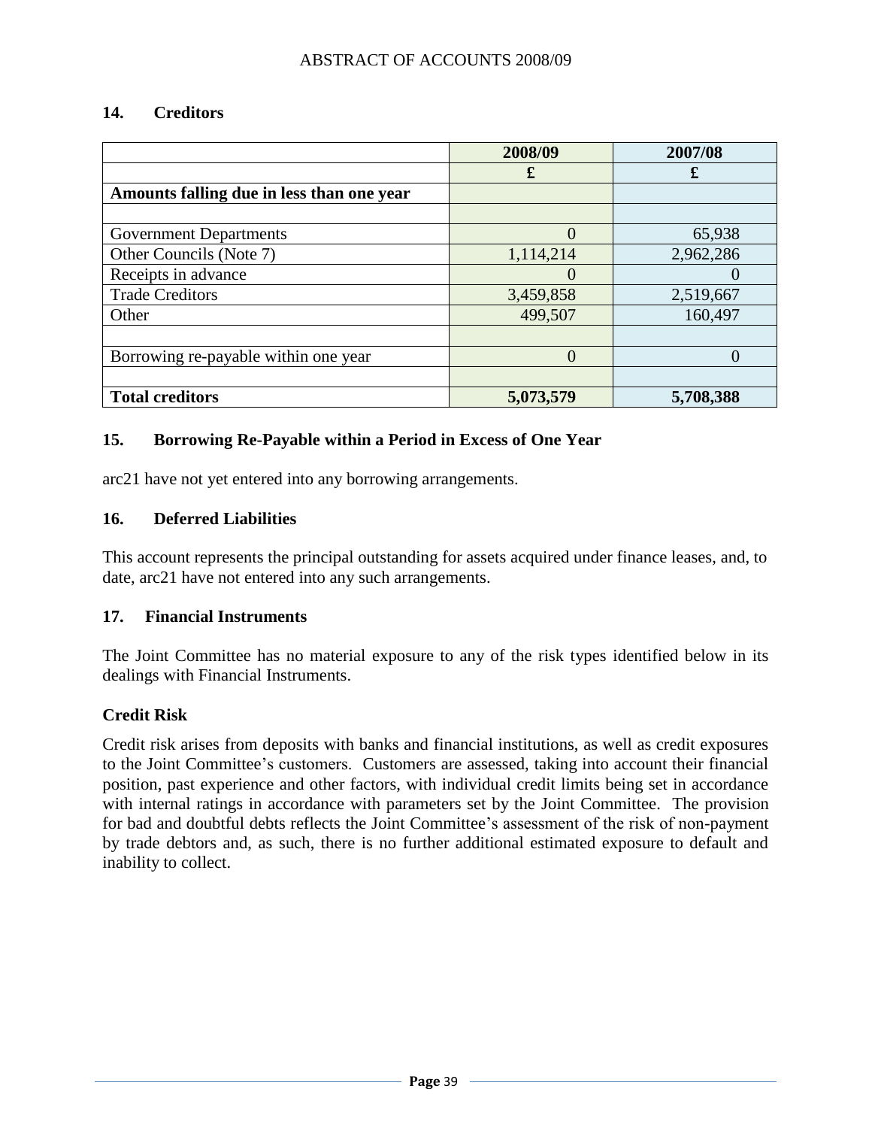#### **14. Creditors**

|                                           | 2008/09   | 2007/08   |
|-------------------------------------------|-----------|-----------|
|                                           | £         | £         |
| Amounts falling due in less than one year |           |           |
|                                           |           |           |
| <b>Government Departments</b>             | $\Omega$  | 65,938    |
| Other Councils (Note 7)                   | 1,114,214 | 2,962,286 |
| Receipts in advance                       |           |           |
| <b>Trade Creditors</b>                    | 3,459,858 | 2,519,667 |
| Other                                     | 499,507   | 160,497   |
|                                           |           |           |
| Borrowing re-payable within one year      | $\theta$  |           |
|                                           |           |           |
| <b>Total creditors</b>                    | 5,073,579 | 5,708,388 |

#### **15. Borrowing Re-Payable within a Period in Excess of One Year**

arc21 have not yet entered into any borrowing arrangements.

#### **16. Deferred Liabilities**

This account represents the principal outstanding for assets acquired under finance leases, and, to date, arc21 have not entered into any such arrangements.

#### **17. Financial Instruments**

The Joint Committee has no material exposure to any of the risk types identified below in its dealings with Financial Instruments.

#### **Credit Risk**

Credit risk arises from deposits with banks and financial institutions, as well as credit exposures to the Joint Committee"s customers. Customers are assessed, taking into account their financial position, past experience and other factors, with individual credit limits being set in accordance with internal ratings in accordance with parameters set by the Joint Committee. The provision for bad and doubtful debts reflects the Joint Committee"s assessment of the risk of non-payment by trade debtors and, as such, there is no further additional estimated exposure to default and inability to collect.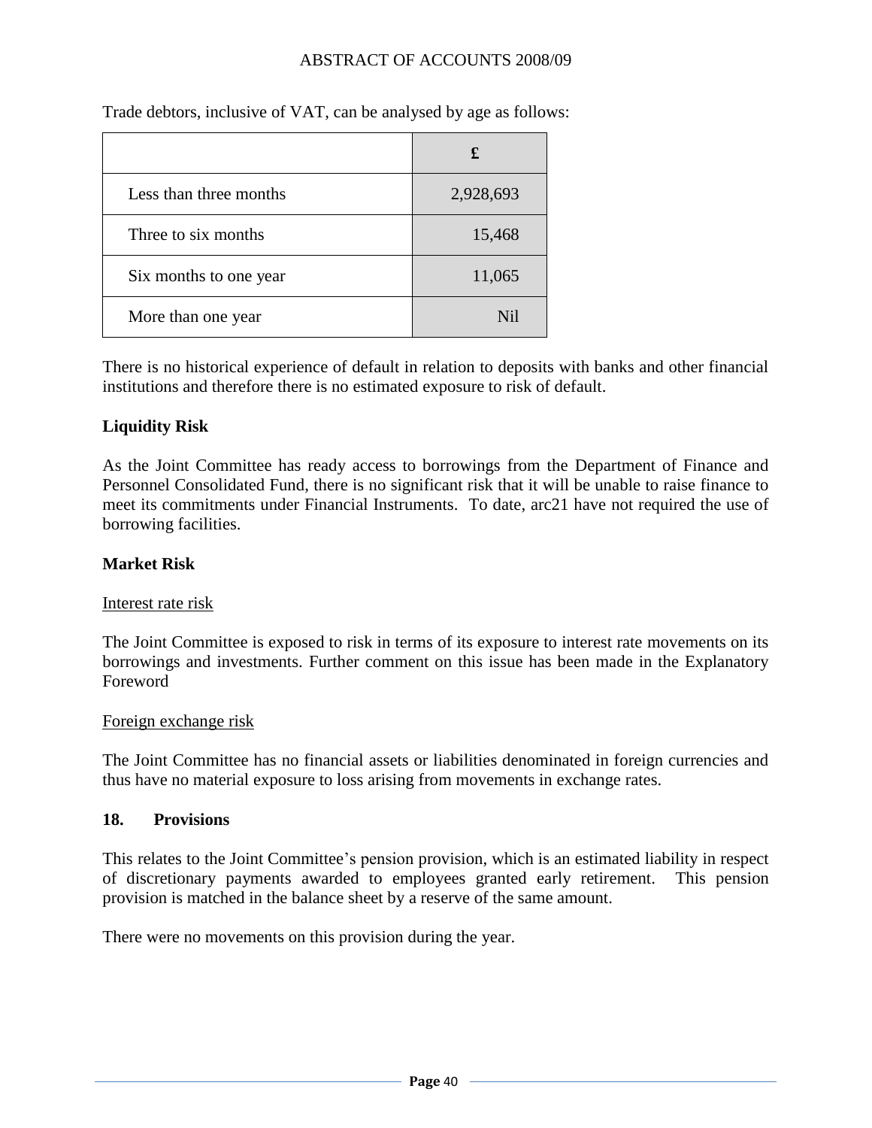| Less than three months | 2,928,693        |
|------------------------|------------------|
| Three to six months    | 15,468           |
| Six months to one year | 11,065           |
| More than one year     | N <sub>i</sub> l |

Trade debtors, inclusive of VAT, can be analysed by age as follows:

There is no historical experience of default in relation to deposits with banks and other financial institutions and therefore there is no estimated exposure to risk of default.

#### **Liquidity Risk**

As the Joint Committee has ready access to borrowings from the Department of Finance and Personnel Consolidated Fund, there is no significant risk that it will be unable to raise finance to meet its commitments under Financial Instruments. To date, arc21 have not required the use of borrowing facilities.

#### **Market Risk**

#### Interest rate risk

The Joint Committee is exposed to risk in terms of its exposure to interest rate movements on its borrowings and investments. Further comment on this issue has been made in the Explanatory Foreword

#### Foreign exchange risk

The Joint Committee has no financial assets or liabilities denominated in foreign currencies and thus have no material exposure to loss arising from movements in exchange rates.

#### **18. Provisions**

This relates to the Joint Committee's pension provision, which is an estimated liability in respect of discretionary payments awarded to employees granted early retirement. This pension provision is matched in the balance sheet by a reserve of the same amount.

There were no movements on this provision during the year.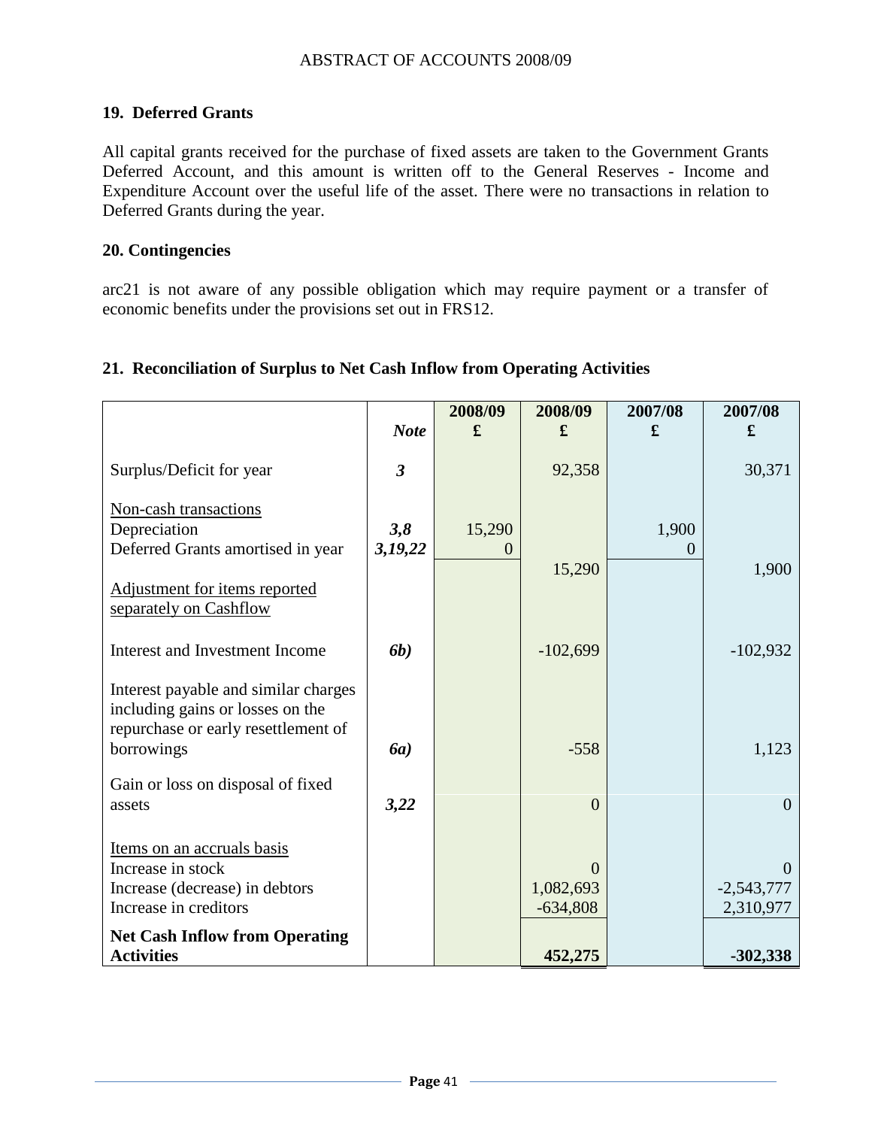## **19. Deferred Grants**

All capital grants received for the purchase of fixed assets are taken to the Government Grants Deferred Account, and this amount is written off to the General Reserves - Income and Expenditure Account over the useful life of the asset. There were no transactions in relation to Deferred Grants during the year.

#### **20. Contingencies**

arc21 is not aware of any possible obligation which may require payment or a transfer of economic benefits under the provisions set out in FRS12.

#### **21. Reconciliation of Surplus to Net Cash Inflow from Operating Activities**

|                                                                                                                               |                | 2008/09     | 2008/09                             | 2007/08 | 2007/08                               |
|-------------------------------------------------------------------------------------------------------------------------------|----------------|-------------|-------------------------------------|---------|---------------------------------------|
|                                                                                                                               | <b>Note</b>    | £           | £                                   | £       | £                                     |
| Surplus/Deficit for year                                                                                                      | $\mathfrak{Z}$ |             | 92,358                              |         | 30,371                                |
| Non-cash transactions<br>Depreciation<br>Deferred Grants amortised in year                                                    | 3,8<br>3,19,22 | 15,290<br>0 |                                     | 1,900   |                                       |
| Adjustment for items reported<br>separately on Cashflow                                                                       |                |             | 15,290                              |         | 1,900                                 |
| Interest and Investment Income                                                                                                | <b>6b</b> )    |             | $-102,699$                          |         | $-102,932$                            |
| Interest payable and similar charges<br>including gains or losses on the<br>repurchase or early resettlement of<br>borrowings | <b>6a</b> )    |             | $-558$                              |         | 1,123                                 |
| Gain or loss on disposal of fixed<br>assets                                                                                   | 3,22           |             | $\overline{0}$                      |         | $\overline{0}$                        |
| Items on an accruals basis<br>Increase in stock<br>Increase (decrease) in debtors<br>Increase in creditors                    |                |             | $\Omega$<br>1,082,693<br>$-634,808$ |         | $\Omega$<br>$-2,543,777$<br>2,310,977 |
| <b>Net Cash Inflow from Operating</b><br><b>Activities</b>                                                                    |                |             | 452,275                             |         | $-302,338$                            |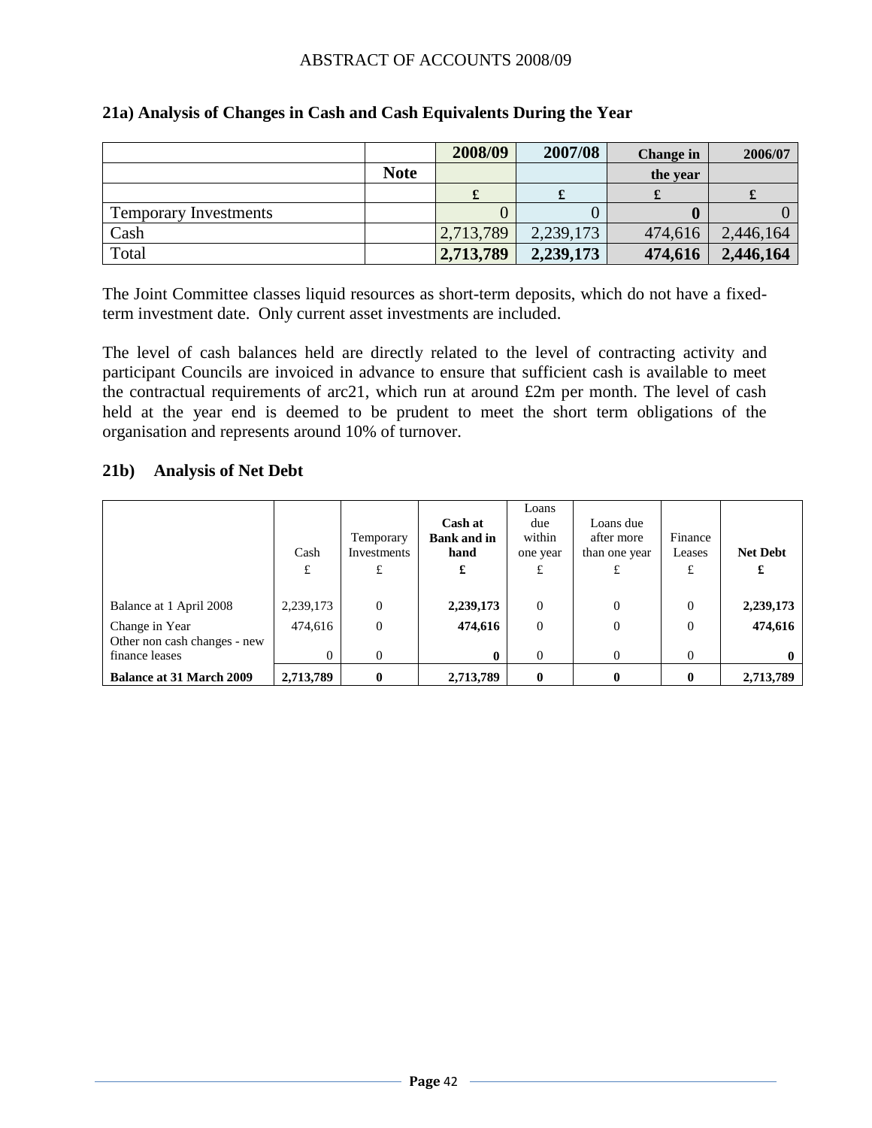|                              |             | 2008/09   | 2007/08   | <b>Change</b> in | 2006/07   |
|------------------------------|-------------|-----------|-----------|------------------|-----------|
|                              | <b>Note</b> |           |           | the year         |           |
|                              |             | x         |           |                  |           |
| <b>Temporary Investments</b> |             |           |           |                  |           |
| Cash                         |             | 2,713,789 | 2,239,173 | 474,616          | 2,446,164 |
| Total                        |             | 2,713,789 | 2,239,173 | 474,616          | 2,446,164 |

#### **21a) Analysis of Changes in Cash and Cash Equivalents During the Year**

The Joint Committee classes liquid resources as short-term deposits, which do not have a fixedterm investment date. Only current asset investments are included.

The level of cash balances held are directly related to the level of contracting activity and participant Councils are invoiced in advance to ensure that sufficient cash is available to meet the contractual requirements of arc21, which run at around £2m per month. The level of cash held at the year end is deemed to be prudent to meet the short term obligations of the organisation and represents around 10% of turnover.

#### **21b) Analysis of Net Debt**

|                                                | Cash<br>£ | Temporary<br>Investments<br>£ | Cash at<br><b>Bank and in</b><br>hand<br>£ | Loans<br>due<br>within<br>one year<br>£ | Loans due<br>after more<br>than one year | Finance<br>Leases<br>£ | <b>Net Debt</b><br>£ |
|------------------------------------------------|-----------|-------------------------------|--------------------------------------------|-----------------------------------------|------------------------------------------|------------------------|----------------------|
| Balance at 1 April 2008                        | 2,239,173 | $\Omega$                      | 2,239,173                                  | $\theta$                                | $\Omega$                                 | $\theta$               | 2,239,173            |
| Change in Year                                 | 474,616   | $\Omega$                      | 474,616                                    | $\overline{0}$                          | $\Omega$                                 | $\theta$               | 474,616              |
| Other non cash changes - new<br>finance leases | $\theta$  | $\Omega$                      | 0                                          | $\theta$                                | $\Omega$                                 | $\theta$               |                      |
| <b>Balance at 31 March 2009</b>                | 2,713,789 | 0                             | 2,713,789                                  | $\bf{0}$                                | $\mathbf{0}$                             |                        | 2,713,789            |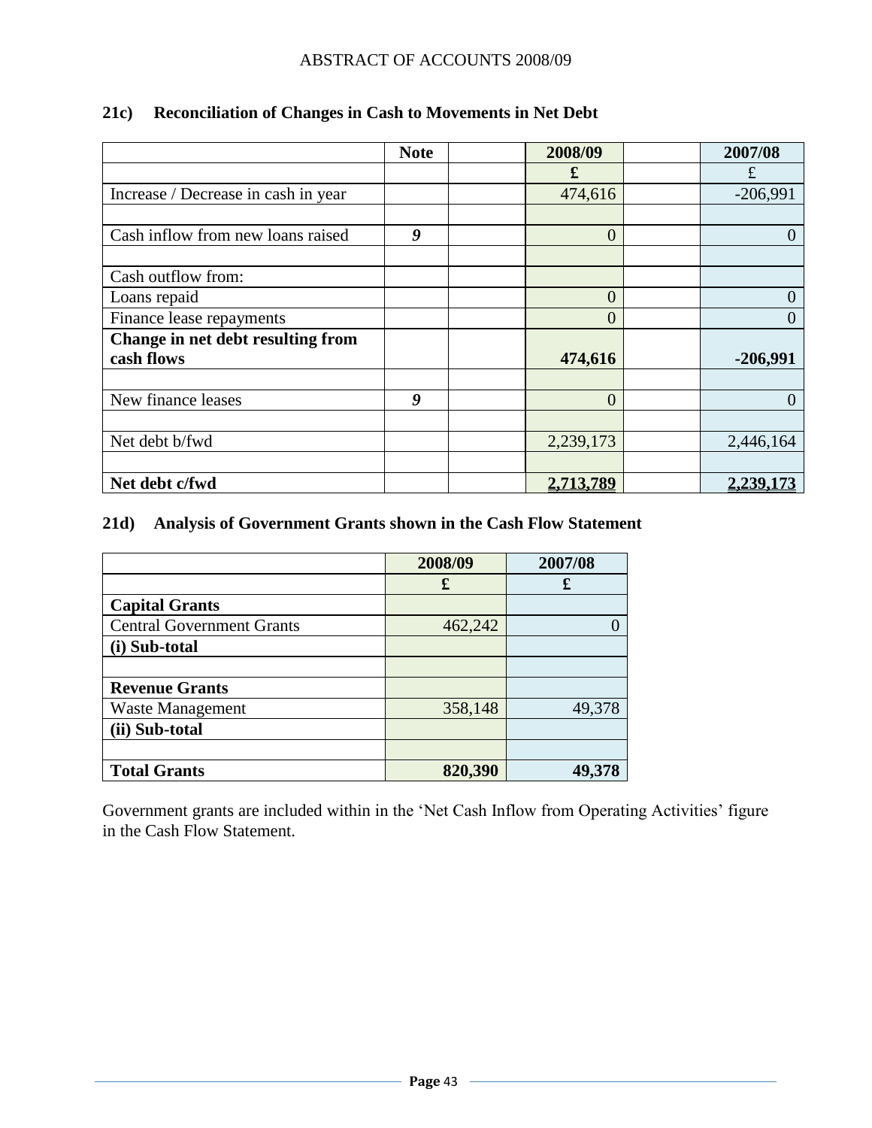|                                     | <b>Note</b> | 2008/09        | 2007/08      |
|-------------------------------------|-------------|----------------|--------------|
|                                     |             | £              | £            |
| Increase / Decrease in cash in year |             | 474,616        | $-206,991$   |
|                                     |             |                |              |
| Cash inflow from new loans raised   | 9           | $\overline{0}$ | $\theta$     |
|                                     |             |                |              |
| Cash outflow from:                  |             |                |              |
| Loans repaid                        |             | $\overline{0}$ | $\theta$     |
| Finance lease repayments            |             | $\overline{0}$ | $\mathbf{0}$ |
| Change in net debt resulting from   |             |                |              |
| cash flows                          |             | 474,616        | $-206,991$   |
|                                     |             |                |              |
| New finance leases                  | 9           | $\overline{0}$ | $\Omega$     |
|                                     |             |                |              |
| Net debt b/fwd                      |             | 2,239,173      | 2,446,164    |
|                                     |             |                |              |
| Net debt c/fwd                      |             | 2,713,789      | 2,239,173    |

## **21c) Reconciliation of Changes in Cash to Movements in Net Debt**

## **21d) Analysis of Government Grants shown in the Cash Flow Statement**

|                                  | 2008/09 | 2007/08 |
|----------------------------------|---------|---------|
|                                  | £       | £       |
| <b>Capital Grants</b>            |         |         |
| <b>Central Government Grants</b> | 462,242 |         |
| (i) Sub-total                    |         |         |
|                                  |         |         |
| <b>Revenue Grants</b>            |         |         |
| Waste Management                 | 358,148 | 49,378  |
| (ii) Sub-total                   |         |         |
|                                  |         |         |
| <b>Total Grants</b>              | 820,390 | 49,378  |

Government grants are included within in the 'Net Cash Inflow from Operating Activities' figure in the Cash Flow Statement.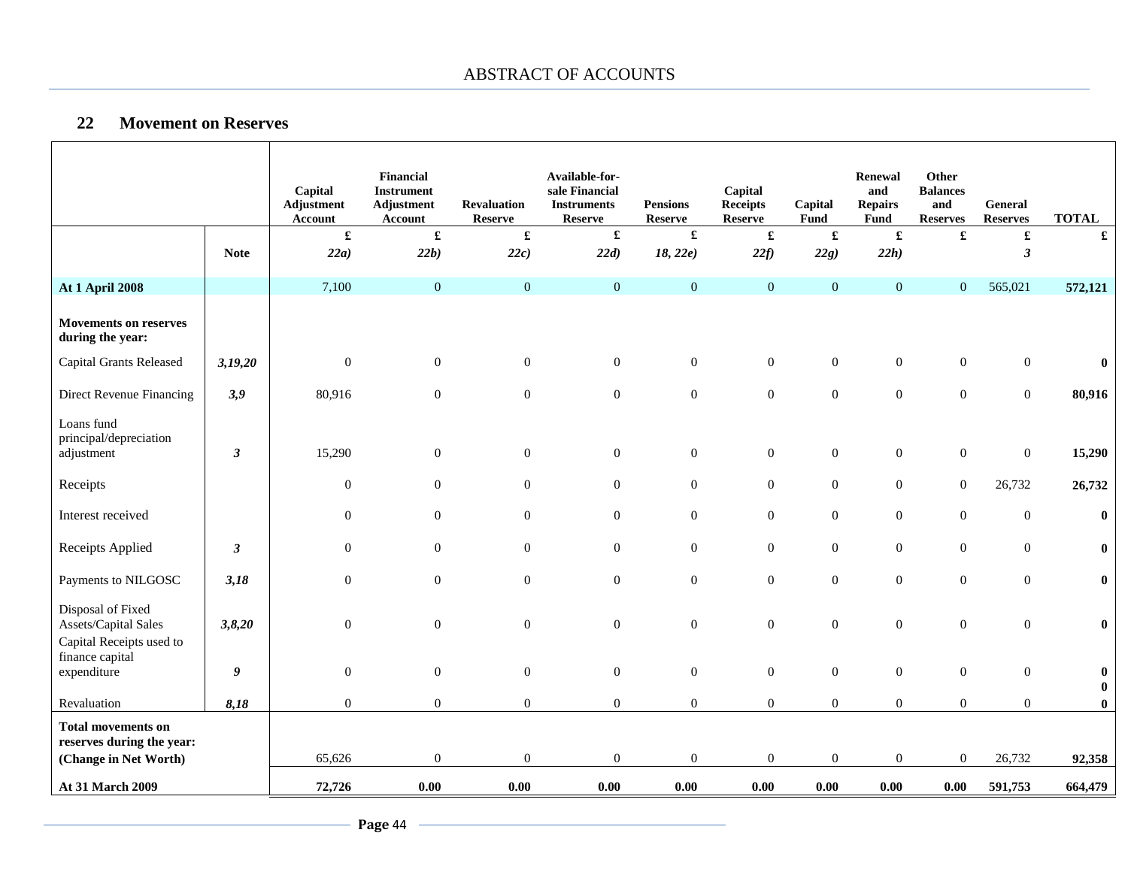#### **22 Movement on Reserves**

 $\mathbf{I}$ 

Г

|                                                                       |                      | Capital<br><b>Adjustment</b><br>Account | <b>Financial</b><br><b>Instrument</b><br>Adjustment<br>Account | <b>Revaluation</b><br>Reserve | Available-for-<br>sale Financial<br><b>Instruments</b><br><b>Reserve</b> | <b>Pensions</b><br><b>Reserve</b> | Capital<br><b>Receipts</b><br><b>Reserve</b> | Capital<br>Fund      | <b>Renewal</b><br>and<br><b>Repairs</b><br>Fund | Other<br><b>Balances</b><br>and<br><b>Reserves</b> | <b>General</b><br><b>Reserves</b> | <b>TOTAL</b>                 |
|-----------------------------------------------------------------------|----------------------|-----------------------------------------|----------------------------------------------------------------|-------------------------------|--------------------------------------------------------------------------|-----------------------------------|----------------------------------------------|----------------------|-------------------------------------------------|----------------------------------------------------|-----------------------------------|------------------------------|
|                                                                       |                      | £                                       | £                                                              | $\pmb{\mathfrak{L}}$          | $\pmb{\mathfrak{L}}$                                                     |                                   |                                              | $\pmb{\mathfrak{L}}$ | $\pmb{\mathfrak{L}}$                            | $\pmb{\mathfrak{L}}$                               | $\mathbf f$                       | $\pmb{\mathfrak{L}}$         |
|                                                                       | <b>Note</b>          | 22a)                                    | 22b)                                                           | 22c)                          | 22d)                                                                     | 18, 22e)                          | 22f                                          | 22g)                 | 22h)                                            |                                                    | $\boldsymbol{\beta}$              |                              |
| <b>At 1 April 2008</b>                                                |                      | 7,100                                   | $\mathbf{0}$                                                   | $\boldsymbol{0}$              | $\overline{0}$                                                           | $\mathbf{0}$                      | $\mathbf{0}$                                 | $\mathbf{0}$         | $\mathbf{0}$                                    | $\overline{0}$                                     | 565,021                           | 572,121                      |
| <b>Movements on reserves</b><br>during the year:                      |                      |                                         |                                                                |                               |                                                                          |                                   |                                              |                      |                                                 |                                                    |                                   |                              |
| <b>Capital Grants Released</b>                                        | 3,19,20              | $\mathbf{0}$                            | $\boldsymbol{0}$                                               | $\boldsymbol{0}$              | $\overline{0}$                                                           | $\boldsymbol{0}$                  | $\mathbf{0}$                                 | $\boldsymbol{0}$     | $\boldsymbol{0}$                                | $\boldsymbol{0}$                                   | $\overline{0}$                    | $\boldsymbol{0}$             |
| Direct Revenue Financing                                              | 3,9                  | 80,916                                  | $\boldsymbol{0}$                                               | $\boldsymbol{0}$              | $\overline{0}$                                                           | $\boldsymbol{0}$                  | $\boldsymbol{0}$                             | $\boldsymbol{0}$     | $\boldsymbol{0}$                                | $\mathbf{0}$                                       | $\boldsymbol{0}$                  | 80,916                       |
| Loans fund<br>principal/depreciation<br>adjustment                    | 3                    | 15,290                                  | $\boldsymbol{0}$                                               | $\boldsymbol{0}$              | $\boldsymbol{0}$                                                         | $\boldsymbol{0}$                  | $\boldsymbol{0}$                             | $\boldsymbol{0}$     | $\boldsymbol{0}$                                | $\boldsymbol{0}$                                   | $\boldsymbol{0}$                  | 15,290                       |
| Receipts                                                              |                      | $\mathbf{0}$                            | $\mathbf{0}$                                                   | $\overline{0}$                | $\boldsymbol{0}$                                                         | $\boldsymbol{0}$                  | $\mathbf{0}$                                 | $\boldsymbol{0}$     | $\mathbf{0}$                                    | $\boldsymbol{0}$                                   | 26,732                            | 26,732                       |
| Interest received                                                     |                      | $\boldsymbol{0}$                        | $\boldsymbol{0}$                                               | $\boldsymbol{0}$              | $\boldsymbol{0}$                                                         | $\boldsymbol{0}$                  | $\boldsymbol{0}$                             | $\boldsymbol{0}$     | $\boldsymbol{0}$                                | $\boldsymbol{0}$                                   | $\boldsymbol{0}$                  | $\bf{0}$                     |
| Receipts Applied                                                      | $\boldsymbol{\beta}$ | $\mathbf{0}$                            | $\boldsymbol{0}$                                               | $\boldsymbol{0}$              | $\overline{0}$                                                           | $\boldsymbol{0}$                  | $\boldsymbol{0}$                             | $\boldsymbol{0}$     | $\boldsymbol{0}$                                | $\boldsymbol{0}$                                   | $\boldsymbol{0}$                  | $\pmb{0}$                    |
| Payments to NILGOSC                                                   | 3,18                 | $\mathbf{0}$                            | $\boldsymbol{0}$                                               | $\boldsymbol{0}$              | $\boldsymbol{0}$                                                         | $\boldsymbol{0}$                  | $\boldsymbol{0}$                             | $\boldsymbol{0}$     | $\boldsymbol{0}$                                | $\mathbf{0}$                                       | $\mathbf{0}$                      | $\bf{0}$                     |
| Disposal of Fixed<br>Assets/Capital Sales<br>Capital Receipts used to | 3,8,20               | $\mathbf{0}$                            | $\boldsymbol{0}$                                               | $\boldsymbol{0}$              | $\overline{0}$                                                           | $\boldsymbol{0}$                  | $\boldsymbol{0}$                             | $\boldsymbol{0}$     | $\boldsymbol{0}$                                | $\mathbf{0}$                                       | $\mathbf{0}$                      | $\bf{0}$                     |
| finance capital<br>expenditure                                        | 9                    | $\mathbf{0}$                            | $\boldsymbol{0}$                                               | $\boldsymbol{0}$              | $\overline{0}$                                                           | $\boldsymbol{0}$                  | $\mathbf{0}$                                 | $\boldsymbol{0}$     | $\boldsymbol{0}$                                | $\boldsymbol{0}$                                   | $\overline{0}$                    | $\boldsymbol{0}$<br>$\bf{0}$ |
| Revaluation                                                           | 8,18                 | $\boldsymbol{0}$                        | $\boldsymbol{0}$                                               | $\boldsymbol{0}$              | $\overline{0}$                                                           | $\boldsymbol{0}$                  | $\boldsymbol{0}$                             | $\mathbf{0}$         | $\boldsymbol{0}$                                | $\boldsymbol{0}$                                   | $\overline{0}$                    | $\pmb{0}$                    |
| <b>Total movements on</b><br>reserves during the year:                |                      |                                         |                                                                |                               |                                                                          |                                   |                                              |                      |                                                 |                                                    |                                   |                              |
| (Change in Net Worth)                                                 |                      | 65,626                                  | $\boldsymbol{0}$                                               | $\boldsymbol{0}$              | $\mathbf{0}$                                                             | $\mathbf{0}$                      | $\mathbf{0}$                                 | $\boldsymbol{0}$     | $\boldsymbol{0}$                                | $\boldsymbol{0}$                                   | 26,732                            | 92,358                       |
| At 31 March 2009                                                      |                      | 72,726                                  | 0.00                                                           | 0.00                          | 0.00                                                                     | 0.00                              | 0.00                                         | 0.00                 | 0.00                                            | $0.00\,$                                           | 591,753                           | 664,479                      |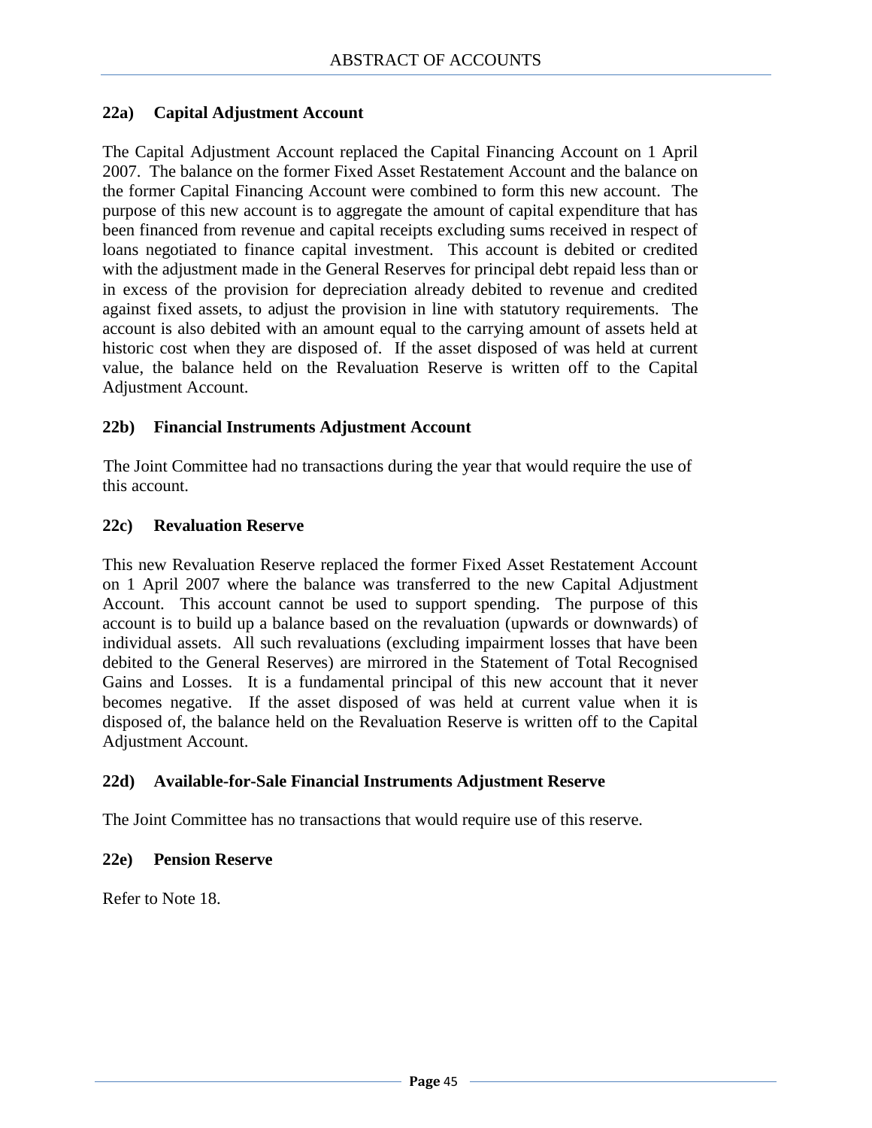#### **22a) Capital Adjustment Account**

The Capital Adjustment Account replaced the Capital Financing Account on 1 April 2007. The balance on the former Fixed Asset Restatement Account and the balance on the former Capital Financing Account were combined to form this new account. The purpose of this new account is to aggregate the amount of capital expenditure that has been financed from revenue and capital receipts excluding sums received in respect of loans negotiated to finance capital investment. This account is debited or credited with the adjustment made in the General Reserves for principal debt repaid less than or in excess of the provision for depreciation already debited to revenue and credited against fixed assets, to adjust the provision in line with statutory requirements. The account is also debited with an amount equal to the carrying amount of assets held at historic cost when they are disposed of. If the asset disposed of was held at current value, the balance held on the Revaluation Reserve is written off to the Capital Adjustment Account.

#### **22b) Financial Instruments Adjustment Account**

The Joint Committee had no transactions during the year that would require the use of this account.

#### **22c) Revaluation Reserve**

This new Revaluation Reserve replaced the former Fixed Asset Restatement Account on 1 April 2007 where the balance was transferred to the new Capital Adjustment Account. This account cannot be used to support spending. The purpose of this account is to build up a balance based on the revaluation (upwards or downwards) of individual assets. All such revaluations (excluding impairment losses that have been debited to the General Reserves) are mirrored in the Statement of Total Recognised Gains and Losses. It is a fundamental principal of this new account that it never becomes negative. If the asset disposed of was held at current value when it is disposed of, the balance held on the Revaluation Reserve is written off to the Capital Adjustment Account.

#### **22d) Available-for-Sale Financial Instruments Adjustment Reserve**

The Joint Committee has no transactions that would require use of this reserve.

#### **22e) Pension Reserve**

Refer to Note 18.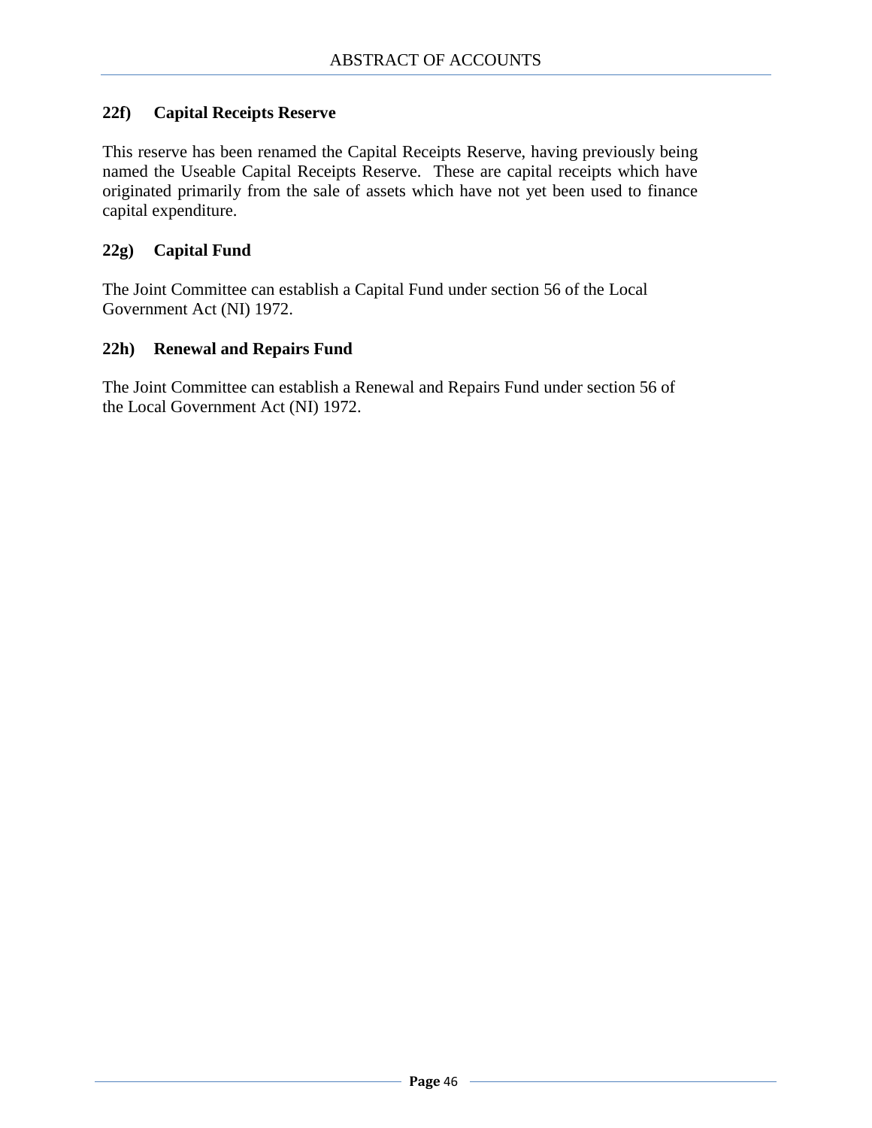#### **22f) Capital Receipts Reserve**

This reserve has been renamed the Capital Receipts Reserve, having previously being named the Useable Capital Receipts Reserve. These are capital receipts which have originated primarily from the sale of assets which have not yet been used to finance capital expenditure.

#### **22g) Capital Fund**

The Joint Committee can establish a Capital Fund under section 56 of the Local Government Act (NI) 1972.

#### **22h) Renewal and Repairs Fund**

The Joint Committee can establish a Renewal and Repairs Fund under section 56 of the Local Government Act (NI) 1972.